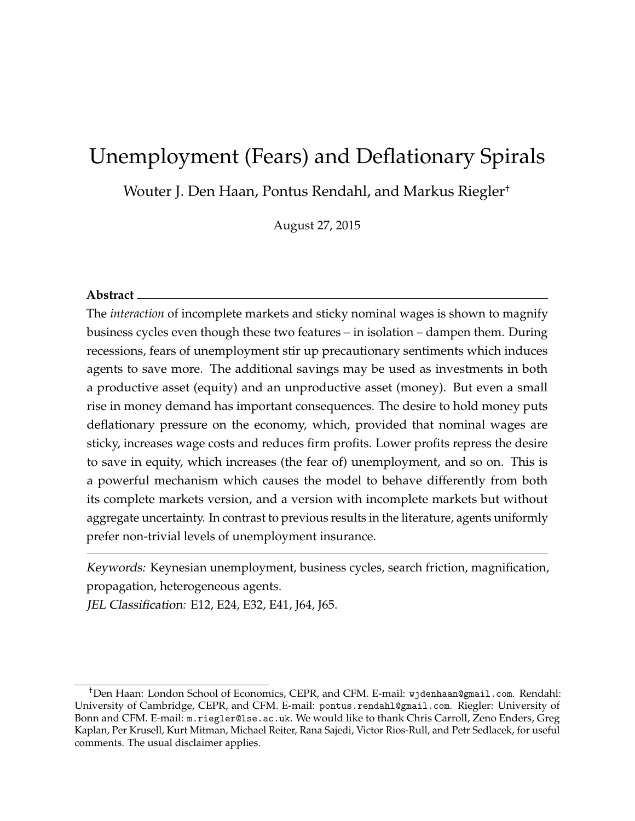# Unemployment (Fears) and Deflationary Spirals

Wouter J. Den Haan, Pontus Rendahl, and Markus Riegler†

August 27, 2015

#### **Abstract**

The *interaction* of incomplete markets and sticky nominal wages is shown to magnify business cycles even though these two features – in isolation – dampen them. During recessions, fears of unemployment stir up precautionary sentiments which induces agents to save more. The additional savings may be used as investments in both a productive asset (equity) and an unproductive asset (money). But even a small rise in money demand has important consequences. The desire to hold money puts deflationary pressure on the economy, which, provided that nominal wages are sticky, increases wage costs and reduces firm profits. Lower profits repress the desire to save in equity, which increases (the fear of) unemployment, and so on. This is a powerful mechanism which causes the model to behave differently from both its complete markets version, and a version with incomplete markets but without aggregate uncertainty. In contrast to previous results in the literature, agents uniformly prefer non-trivial levels of unemployment insurance.

Keywords: Keynesian unemployment, business cycles, search friction, magnification, propagation, heterogeneous agents.

JEL Classification: E12, E24, E32, E41, J64, J65.

<sup>†</sup>Den Haan: London School of Economics, CEPR, and CFM. E-mail: wjdenhaan@gmail.com. Rendahl: University of Cambridge, CEPR, and CFM. E-mail: pontus.rendahl@gmail.com. Riegler: University of Bonn and CFM. E-mail: m.riegler@lse.ac.uk. We would like to thank Chris Carroll, Zeno Enders, Greg Kaplan, Per Krusell, Kurt Mitman, Michael Reiter, Rana Sajedi, Victor Rios-Rull, and Petr Sedlacek, for useful comments. The usual disclaimer applies.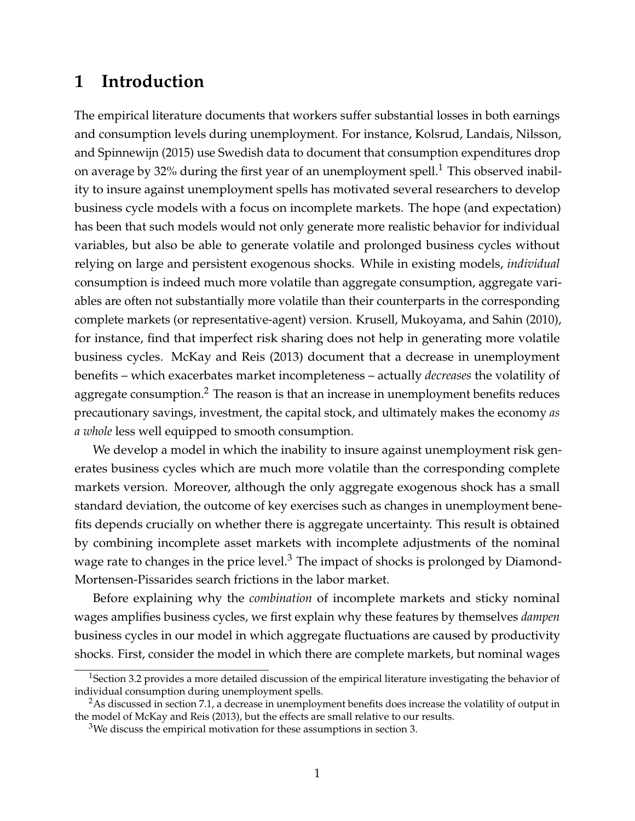## **1 Introduction**

The empirical literature documents that workers suffer substantial losses in both earnings and consumption levels during unemployment. For instance, Kolsrud, Landais, Nilsson, and Spinnewijn (2015) use Swedish data to document that consumption expenditures drop on average by 32% during the first year of an unemployment spell.<sup>1</sup> This observed inability to insure against unemployment spells has motivated several researchers to develop business cycle models with a focus on incomplete markets. The hope (and expectation) has been that such models would not only generate more realistic behavior for individual variables, but also be able to generate volatile and prolonged business cycles without relying on large and persistent exogenous shocks. While in existing models, *individual* consumption is indeed much more volatile than aggregate consumption, aggregate variables are often not substantially more volatile than their counterparts in the corresponding complete markets (or representative-agent) version. Krusell, Mukoyama, and Sahin (2010), for instance, find that imperfect risk sharing does not help in generating more volatile business cycles. McKay and Reis (2013) document that a decrease in unemployment benefits – which exacerbates market incompleteness – actually *decreases* the volatility of aggregate consumption. $2$  The reason is that an increase in unemployment benefits reduces precautionary savings, investment, the capital stock, and ultimately makes the economy *as a whole* less well equipped to smooth consumption.

We develop a model in which the inability to insure against unemployment risk generates business cycles which are much more volatile than the corresponding complete markets version. Moreover, although the only aggregate exogenous shock has a small standard deviation, the outcome of key exercises such as changes in unemployment benefits depends crucially on whether there is aggregate uncertainty. This result is obtained by combining incomplete asset markets with incomplete adjustments of the nominal wage rate to changes in the price level. $3$  The impact of shocks is prolonged by Diamond-Mortensen-Pissarides search frictions in the labor market.

Before explaining why the *combination* of incomplete markets and sticky nominal wages amplifies business cycles, we first explain why these features by themselves *dampen* business cycles in our model in which aggregate fluctuations are caused by productivity shocks. First, consider the model in which there are complete markets, but nominal wages

<sup>&</sup>lt;sup>1</sup>Section 3.2 provides a more detailed discussion of the empirical literature investigating the behavior of individual consumption during unemployment spells.

<sup>&</sup>lt;sup>2</sup>As discussed in section 7.1, a decrease in unemployment benefits does increase the volatility of output in the model of McKay and Reis (2013), but the effects are small relative to our results.

<sup>&</sup>lt;sup>3</sup>We discuss the empirical motivation for these assumptions in section 3.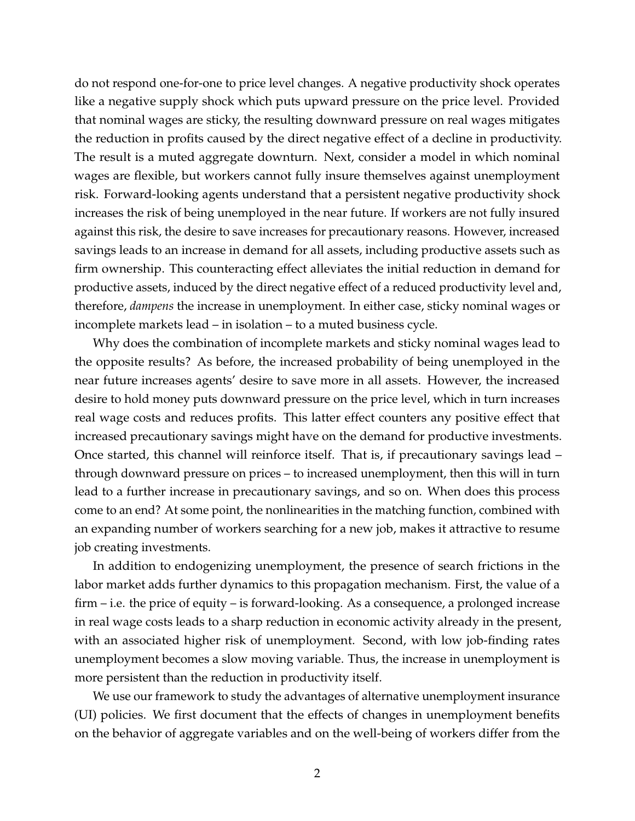do not respond one-for-one to price level changes. A negative productivity shock operates like a negative supply shock which puts upward pressure on the price level. Provided that nominal wages are sticky, the resulting downward pressure on real wages mitigates the reduction in profits caused by the direct negative effect of a decline in productivity. The result is a muted aggregate downturn. Next, consider a model in which nominal wages are flexible, but workers cannot fully insure themselves against unemployment risk. Forward-looking agents understand that a persistent negative productivity shock increases the risk of being unemployed in the near future. If workers are not fully insured against this risk, the desire to save increases for precautionary reasons. However, increased savings leads to an increase in demand for all assets, including productive assets such as firm ownership. This counteracting effect alleviates the initial reduction in demand for productive assets, induced by the direct negative effect of a reduced productivity level and, therefore, *dampens* the increase in unemployment. In either case, sticky nominal wages or incomplete markets lead – in isolation – to a muted business cycle.

Why does the combination of incomplete markets and sticky nominal wages lead to the opposite results? As before, the increased probability of being unemployed in the near future increases agents' desire to save more in all assets. However, the increased desire to hold money puts downward pressure on the price level, which in turn increases real wage costs and reduces profits. This latter effect counters any positive effect that increased precautionary savings might have on the demand for productive investments. Once started, this channel will reinforce itself. That is, if precautionary savings lead – through downward pressure on prices – to increased unemployment, then this will in turn lead to a further increase in precautionary savings, and so on. When does this process come to an end? At some point, the nonlinearities in the matching function, combined with an expanding number of workers searching for a new job, makes it attractive to resume job creating investments.

In addition to endogenizing unemployment, the presence of search frictions in the labor market adds further dynamics to this propagation mechanism. First, the value of a firm – i.e. the price of equity – is forward-looking. As a consequence, a prolonged increase in real wage costs leads to a sharp reduction in economic activity already in the present, with an associated higher risk of unemployment. Second, with low job-finding rates unemployment becomes a slow moving variable. Thus, the increase in unemployment is more persistent than the reduction in productivity itself.

We use our framework to study the advantages of alternative unemployment insurance (UI) policies. We first document that the effects of changes in unemployment benefits on the behavior of aggregate variables and on the well-being of workers differ from the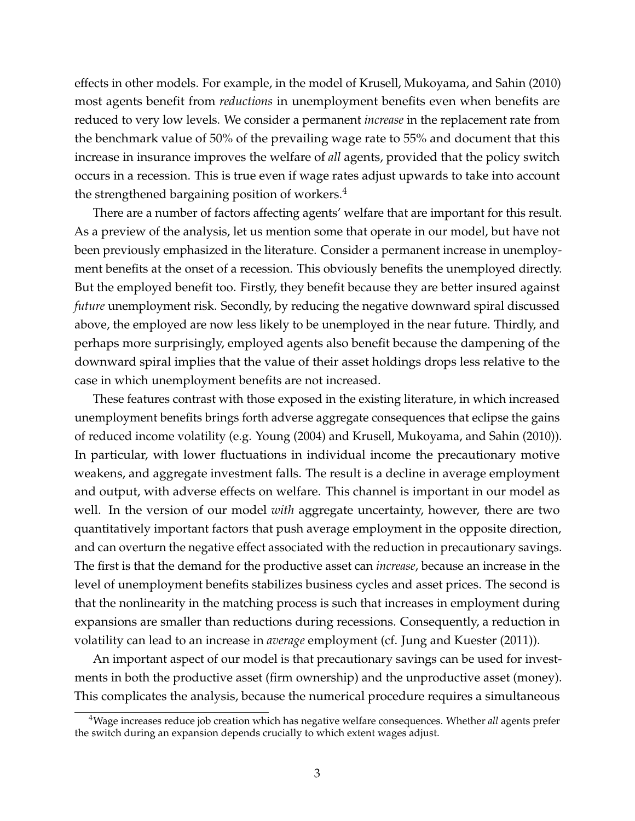effects in other models. For example, in the model of Krusell, Mukoyama, and Sahin (2010) most agents benefit from *reductions* in unemployment benefits even when benefits are reduced to very low levels. We consider a permanent *increase* in the replacement rate from the benchmark value of 50% of the prevailing wage rate to 55% and document that this increase in insurance improves the welfare of *all* agents, provided that the policy switch occurs in a recession. This is true even if wage rates adjust upwards to take into account the strengthened bargaining position of workers. $4$ 

There are a number of factors affecting agents' welfare that are important for this result. As a preview of the analysis, let us mention some that operate in our model, but have not been previously emphasized in the literature. Consider a permanent increase in unemployment benefits at the onset of a recession. This obviously benefits the unemployed directly. But the employed benefit too. Firstly, they benefit because they are better insured against *future* unemployment risk. Secondly, by reducing the negative downward spiral discussed above, the employed are now less likely to be unemployed in the near future. Thirdly, and perhaps more surprisingly, employed agents also benefit because the dampening of the downward spiral implies that the value of their asset holdings drops less relative to the case in which unemployment benefits are not increased.

These features contrast with those exposed in the existing literature, in which increased unemployment benefits brings forth adverse aggregate consequences that eclipse the gains of reduced income volatility (e.g. Young (2004) and Krusell, Mukoyama, and Sahin (2010)). In particular, with lower fluctuations in individual income the precautionary motive weakens, and aggregate investment falls. The result is a decline in average employment and output, with adverse effects on welfare. This channel is important in our model as well. In the version of our model *with* aggregate uncertainty, however, there are two quantitatively important factors that push average employment in the opposite direction, and can overturn the negative effect associated with the reduction in precautionary savings. The first is that the demand for the productive asset can *increase*, because an increase in the level of unemployment benefits stabilizes business cycles and asset prices. The second is that the nonlinearity in the matching process is such that increases in employment during expansions are smaller than reductions during recessions. Consequently, a reduction in volatility can lead to an increase in *average* employment (cf. Jung and Kuester (2011)).

An important aspect of our model is that precautionary savings can be used for investments in both the productive asset (firm ownership) and the unproductive asset (money). This complicates the analysis, because the numerical procedure requires a simultaneous

<sup>4</sup>Wage increases reduce job creation which has negative welfare consequences. Whether *all* agents prefer the switch during an expansion depends crucially to which extent wages adjust.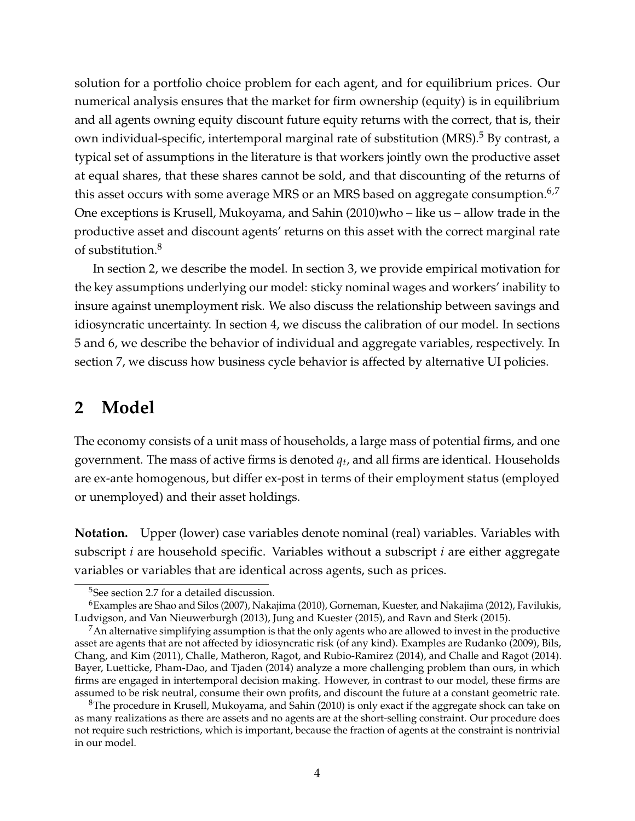solution for a portfolio choice problem for each agent, and for equilibrium prices. Our numerical analysis ensures that the market for firm ownership (equity) is in equilibrium and all agents owning equity discount future equity returns with the correct, that is, their own individual-specific, intertemporal marginal rate of substitution (MRS).<sup>5</sup> By contrast, a typical set of assumptions in the literature is that workers jointly own the productive asset at equal shares, that these shares cannot be sold, and that discounting of the returns of this asset occurs with some average MRS or an MRS based on aggregate consumption. $6.7$ One exceptions is Krusell, Mukoyama, and Sahin (2010)who – like us – allow trade in the productive asset and discount agents' returns on this asset with the correct marginal rate of substitution.<sup>8</sup>

In section 2, we describe the model. In section 3, we provide empirical motivation for the key assumptions underlying our model: sticky nominal wages and workers' inability to insure against unemployment risk. We also discuss the relationship between savings and idiosyncratic uncertainty. In section 4, we discuss the calibration of our model. In sections 5 and 6, we describe the behavior of individual and aggregate variables, respectively. In section 7, we discuss how business cycle behavior is affected by alternative UI policies.

## **2 Model**

The economy consists of a unit mass of households, a large mass of potential firms, and one government. The mass of active firms is denoted *q<sup>t</sup>* , and all firms are identical. Households are ex-ante homogenous, but differ ex-post in terms of their employment status (employed or unemployed) and their asset holdings.

**Notation.** Upper (lower) case variables denote nominal (real) variables. Variables with subscript *i* are household specific. Variables without a subscript *i* are either aggregate variables or variables that are identical across agents, such as prices.

<sup>5</sup>See section 2.7 for a detailed discussion.

 $6$ Examples are Shao and Silos (2007), Nakajima (2010), Gorneman, Kuester, and Nakajima (2012), Favilukis, Ludvigson, and Van Nieuwerburgh (2013), Jung and Kuester (2015), and Ravn and Sterk (2015).

 $<sup>7</sup>$ An alternative simplifying assumption is that the only agents who are allowed to invest in the productive</sup> asset are agents that are not affected by idiosyncratic risk (of any kind). Examples are Rudanko (2009), Bils, Chang, and Kim (2011), Challe, Matheron, Ragot, and Rubio-Ramirez (2014), and Challe and Ragot (2014). Bayer, Luetticke, Pham-Dao, and Tjaden (2014) analyze a more challenging problem than ours, in which firms are engaged in intertemporal decision making. However, in contrast to our model, these firms are assumed to be risk neutral, consume their own profits, and discount the future at a constant geometric rate.

<sup>&</sup>lt;sup>8</sup>The procedure in Krusell, Mukoyama, and Sahin (2010) is only exact if the aggregate shock can take on as many realizations as there are assets and no agents are at the short-selling constraint. Our procedure does not require such restrictions, which is important, because the fraction of agents at the constraint is nontrivial in our model.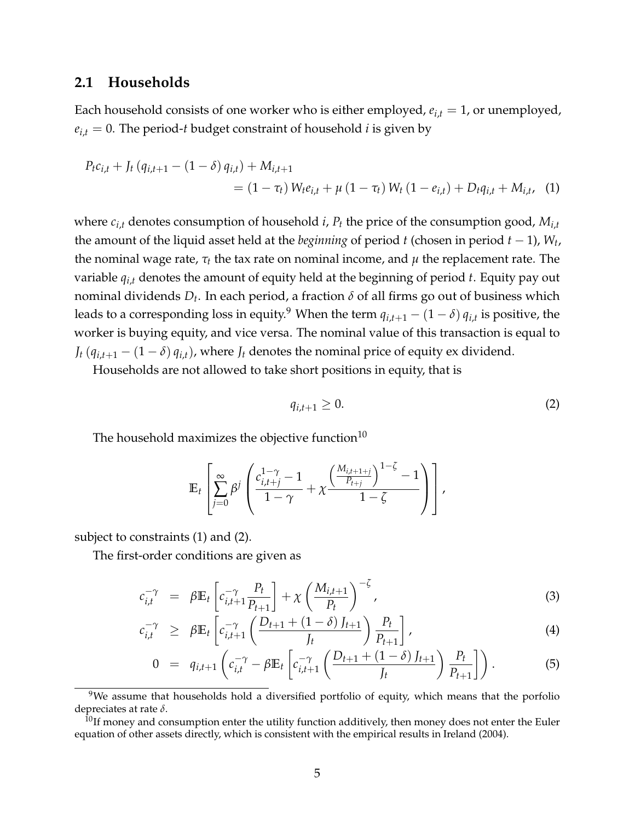### **2.1 Households**

Each household consists of one worker who is either employed,  $e_{i,t} = 1$ , or unemployed,  $e_{i,t} = 0$ . The period-*t* budget constraint of household *i* is given by

$$
P_{t}c_{i,t} + J_{t}(q_{i,t+1} - (1 - \delta) q_{i,t}) + M_{i,t+1}
$$
  
= (1 -  $\tau_{t}$ )  $W_{t}e_{i,t} + \mu (1 - \tau_{t}) W_{t}(1 - e_{i,t}) + D_{t}q_{i,t} + M_{i,t}$ , (1)

where  $c_{i,t}$  denotes consumption of household *i*,  $P_t$  the price of the consumption good,  $M_{i,t}$ the amount of the liquid asset held at the *beginning* of period *t* (chosen in period *t* − 1), *W<sup>t</sup>* , the nominal wage rate, *τ<sup>t</sup>* the tax rate on nominal income, and *µ* the replacement rate. The variable *qi*,*<sup>t</sup>* denotes the amount of equity held at the beginning of period *t*. Equity pay out nominal dividends *D<sup>t</sup>* . In each period, a fraction *δ* of all firms go out of business which leads to a corresponding loss in equity. $^9$  When the term  $q_{i,t+1} - (1-\delta) \, q_{i,t}$  is positive, the worker is buying equity, and vice versa. The nominal value of this transaction is equal to *J*<sup>*t*</sup> ( $q_{i,t+1} - (1 - \delta) q_{i,t}$ ), where *J*<sup>*t*</sup> denotes the nominal price of equity ex dividend.

Households are not allowed to take short positions in equity, that is

$$
q_{i,t+1} \geq 0. \tag{2}
$$

The household maximizes the objective function $10$ 

$$
\mathbb{E}_{t}\left[\sum_{j=0}^{\infty}\beta^{j}\left(\frac{c_{i,t+j}^{1-\gamma}-1}{1-\gamma}+\chi\frac{\left(\frac{M_{i,t+1+j}}{P_{t+j}}\right)^{1-\zeta}-1}{1-\zeta}\right)\right],
$$

subject to constraints (1) and (2).

The first-order conditions are given as

$$
c_{i,t}^{-\gamma} = \beta \mathbb{E}_t \left[ c_{i,t+1}^{-\gamma} \frac{P_t}{P_{t+1}} \right] + \chi \left( \frac{M_{i,t+1}}{P_t} \right)^{-\zeta}, \tag{3}
$$

$$
c_{i,t}^{-\gamma} \geq \beta \mathbb{E}_t \left[ c_{i,t+1}^{-\gamma} \left( \frac{D_{t+1} + (1-\delta) J_{t+1}}{J_t} \right) \frac{P_t}{P_{t+1}} \right], \tag{4}
$$

$$
0 = q_{i,t+1} \left( c_{i,t}^{-\gamma} - \beta \mathbb{E}_t \left[ c_{i,t+1}^{-\gamma} \left( \frac{D_{t+1} + (1-\delta) J_{t+1}}{J_t} \right) \frac{P_t}{P_{t+1}} \right] \right).
$$
 (5)

 $9$ We assume that households hold a diversified portfolio of equity, which means that the porfolio depreciates at rate *δ*.

 $10$ If money and consumption enter the utility function additively, then money does not enter the Euler equation of other assets directly, which is consistent with the empirical results in Ireland (2004).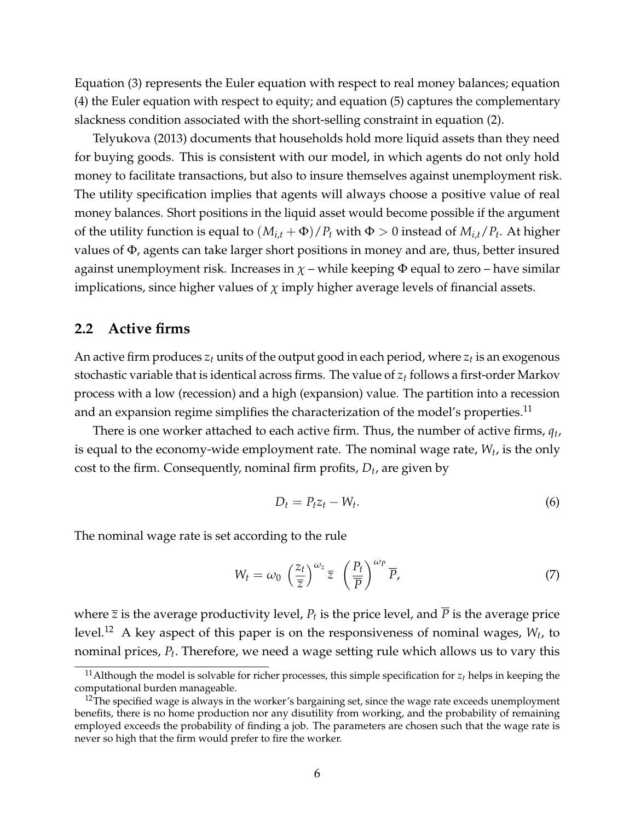Equation (3) represents the Euler equation with respect to real money balances; equation (4) the Euler equation with respect to equity; and equation (5) captures the complementary slackness condition associated with the short-selling constraint in equation (2).

Telyukova (2013) documents that households hold more liquid assets than they need for buying goods. This is consistent with our model, in which agents do not only hold money to facilitate transactions, but also to insure themselves against unemployment risk. The utility specification implies that agents will always choose a positive value of real money balances. Short positions in the liquid asset would become possible if the argument of the utility function is equal to  $(M_{i,t} + \Phi)/P_t$  with  $\Phi > 0$  instead of  $M_{i,t}/P_t$ . At higher values of Φ, agents can take larger short positions in money and are, thus, better insured against unemployment risk. Increases in  $\chi$  – while keeping  $\Phi$  equal to zero – have similar implications, since higher values of  $\chi$  imply higher average levels of financial assets.

#### **2.2 Active firms**

An active firm produces *z<sup>t</sup>* units of the output good in each period, where *z<sup>t</sup>* is an exogenous stochastic variable that is identical across firms. The value of *z<sup>t</sup>* follows a first-order Markov process with a low (recession) and a high (expansion) value. The partition into a recession and an expansion regime simplifies the characterization of the model's properties.<sup>11</sup>

There is one worker attached to each active firm. Thus, the number of active firms, *q<sup>t</sup>* , is equal to the economy-wide employment rate. The nominal wage rate, *W<sup>t</sup>* , is the only cost to the firm. Consequently, nominal firm profits, *D<sup>t</sup>* , are given by

$$
D_t = P_t z_t - W_t. \tag{6}
$$

The nominal wage rate is set according to the rule

$$
W_t = \omega_0 \left(\frac{z_t}{\overline{z}}\right)^{\omega_z} \overline{z} \left(\frac{P_t}{\overline{P}}\right)^{\omega_p} \overline{P},\tag{7}
$$

where  $\bar{z}$  is the average productivity level,  $P_t$  is the price level, and  $P$  is the average price level.<sup>12</sup> A key aspect of this paper is on the responsiveness of nominal wages, *W<sup>t</sup>* , to nominal prices, *P<sup>t</sup>* . Therefore, we need a wage setting rule which allows us to vary this

<sup>&</sup>lt;sup>11</sup>Although the model is solvable for richer processes, this simple specification for  $z_t$  helps in keeping the computational burden manageable.

 $12$ The specified wage is always in the worker's bargaining set, since the wage rate exceeds unemployment benefits, there is no home production nor any disutility from working, and the probability of remaining employed exceeds the probability of finding a job. The parameters are chosen such that the wage rate is never so high that the firm would prefer to fire the worker.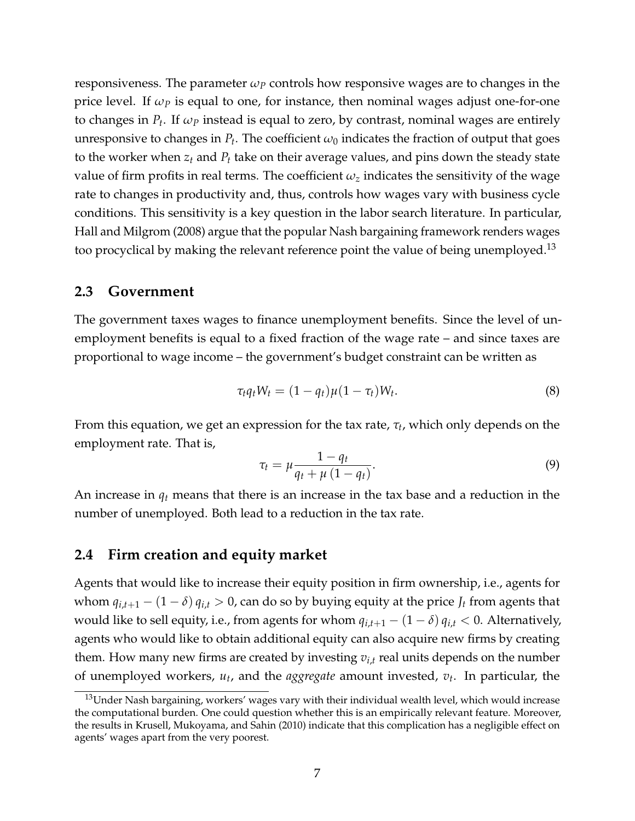responsiveness. The parameter  $\omega_P$  controls how responsive wages are to changes in the price level. If *ω<sup>P</sup>* is equal to one, for instance, then nominal wages adjust one-for-one to changes in *P<sup>t</sup>* . If *ω<sup>P</sup>* instead is equal to zero, by contrast, nominal wages are entirely unresponsive to changes in  $P_t.$  The coefficient  $\omega_0$  indicates the fraction of output that goes to the worker when *z<sup>t</sup>* and *P<sup>t</sup>* take on their average values, and pins down the steady state value of firm profits in real terms. The coefficient  $\omega_z$  indicates the sensitivity of the wage rate to changes in productivity and, thus, controls how wages vary with business cycle conditions. This sensitivity is a key question in the labor search literature. In particular, Hall and Milgrom (2008) argue that the popular Nash bargaining framework renders wages too procyclical by making the relevant reference point the value of being unemployed.<sup>13</sup>

#### **2.3 Government**

The government taxes wages to finance unemployment benefits. Since the level of unemployment benefits is equal to a fixed fraction of the wage rate – and since taxes are proportional to wage income – the government's budget constraint can be written as

$$
\tau_t q_t W_t = (1 - q_t) \mu (1 - \tau_t) W_t. \tag{8}
$$

From this equation, we get an expression for the tax rate, *τ<sup>t</sup>* , which only depends on the employment rate. That is,

$$
\tau_t = \mu \frac{1 - q_t}{q_t + \mu \left(1 - q_t\right)}.\tag{9}
$$

An increase in *q<sup>t</sup>* means that there is an increase in the tax base and a reduction in the number of unemployed. Both lead to a reduction in the tax rate.

### **2.4 Firm creation and equity market**

Agents that would like to increase their equity position in firm ownership, i.e., agents for whom  $q_{i,t+1} - (1 - \delta) q_{i,t} > 0$ , can do so by buying equity at the price  $J_t$  from agents that would like to sell equity, i.e., from agents for whom  $q_{i,t+1} - (1 - \delta) q_{i,t} < 0$ . Alternatively, agents who would like to obtain additional equity can also acquire new firms by creating them. How many new firms are created by investing *vi*,*<sup>t</sup>* real units depends on the number of unemployed workers, *u<sup>t</sup>* , and the *aggregate* amount invested, *v<sup>t</sup>* . In particular, the

<sup>&</sup>lt;sup>13</sup>Under Nash bargaining, workers' wages vary with their individual wealth level, which would increase the computational burden. One could question whether this is an empirically relevant feature. Moreover, the results in Krusell, Mukoyama, and Sahin (2010) indicate that this complication has a negligible effect on agents' wages apart from the very poorest.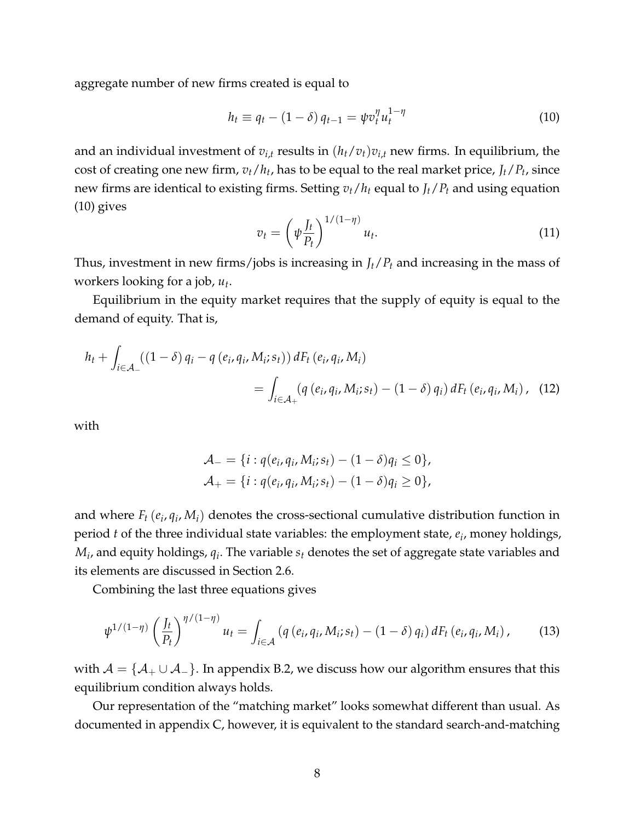aggregate number of new firms created is equal to

$$
h_t \equiv q_t - (1 - \delta) q_{t-1} = \psi v_t^{\eta} u_t^{1 - \eta}
$$
 (10)

and an individual investment of  $v_{i,t}$  results in  $(h_t/v_t)v_{i,t}$  new firms. In equilibrium, the cost of creating one new firm,  $v_t/h_t$ , has to be equal to the real market price,  $J_t/P_t$ , since new firms are identical to existing firms. Setting  $v_t/h_t$  equal to  $J_t/P_t$  and using equation (10) gives

$$
v_t = \left(\psi \frac{J_t}{P_t}\right)^{1/(1-\eta)} u_t.
$$
\n(11)

Thus, investment in new firms/jobs is increasing in *Jt*/*P<sup>t</sup>* and increasing in the mass of workers looking for a job, *u<sup>t</sup>* .

Equilibrium in the equity market requires that the supply of equity is equal to the demand of equity. That is,

$$
h_{t} + \int_{i \in \mathcal{A}_{-}} ((1 - \delta) q_{i} - q (e_{i}, q_{i}, M_{i}; s_{t})) dF_{t} (e_{i}, q_{i}, M_{i})
$$
  
= 
$$
\int_{i \in \mathcal{A}_{+}} (q (e_{i}, q_{i}, M_{i}; s_{t}) - (1 - \delta) q_{i}) dF_{t} (e_{i}, q_{i}, M_{i}),
$$
 (12)

with

$$
\mathcal{A}_{-} = \{i : q(e_i, q_i, M_i; s_t) - (1 - \delta)q_i \le 0\}, \mathcal{A}_{+} = \{i : q(e_i, q_i, M_i; s_t) - (1 - \delta)q_i \ge 0\},
$$

and where  $F_t$  ( $e_i$ ,  $q_i$ ,  $M_i$ ) denotes the cross-sectional cumulative distribution function in period *t* of the three individual state variables: the employment state, *e<sup>i</sup>* , money holdings,  $M_i$ , and equity holdings,  $q_i$ . The variable  $s_t$  denotes the set of aggregate state variables and its elements are discussed in Section 2.6.

Combining the last three equations gives

$$
\psi^{1/(1-\eta)}\left(\frac{J_t}{P_t}\right)^{\eta/(1-\eta)}u_t = \int_{i\in\mathcal{A}} \left(q\left(e_i, q_i, M_i; s_t\right) - (1-\delta) q_i\right) dF_t\left(e_i, q_i, M_i\right),\tag{13}
$$

with  $A = \{A_+ \cup A_-\}$ . In appendix B.2, we discuss how our algorithm ensures that this equilibrium condition always holds.

Our representation of the "matching market" looks somewhat different than usual. As documented in appendix C, however, it is equivalent to the standard search-and-matching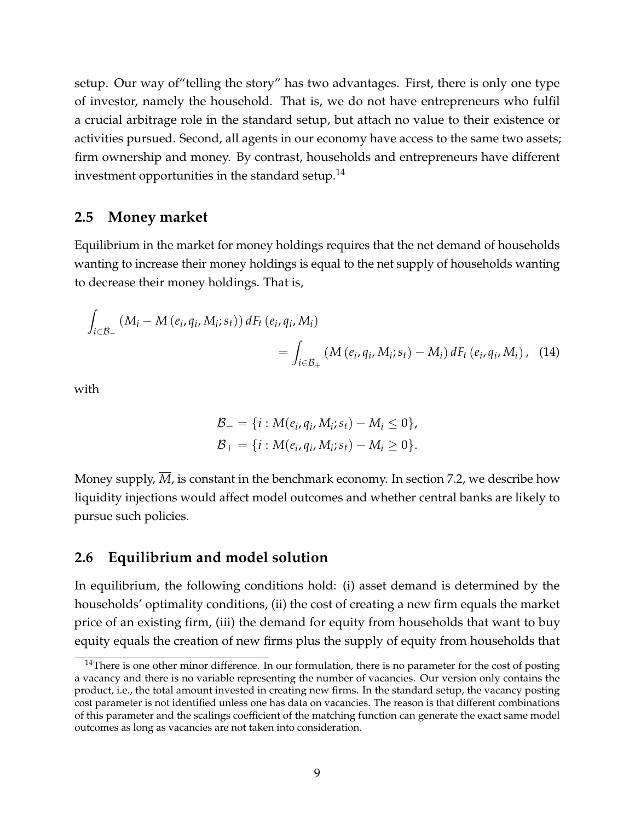setup. Our way of"telling the story" has two advantages. First, there is only one type of investor, namely the household. That is, we do not have entrepreneurs who fulfil a crucial arbitrage role in the standard setup, but attach no value to their existence or activities pursued. Second, all agents in our economy have access to the same two assets; firm ownership and money. By contrast, households and entrepreneurs have different investment opportunities in the standard setup. $<sup>14</sup>$ </sup>

### **2.5 Money market**

Equilibrium in the market for money holdings requires that the net demand of households wanting to increase their money holdings is equal to the net supply of households wanting to decrease their money holdings. That is,

$$
\int_{i \in \mathcal{B}_-} (M_i - M(e_i, q_i, M_i; s_t)) dF_t(e_i, q_i, M_i)
$$
\n
$$
= \int_{i \in \mathcal{B}_+} (M(e_i, q_i, M_i; s_t) - M_i) dF_t(e_i, q_i, M_i), \quad (14)
$$

with

$$
\mathcal{B}_{-} = \{i : M(e_i, q_i, M_i; s_t) - M_i \leq 0\},\
$$
  

$$
\mathcal{B}_{+} = \{i : M(e_i, q_i, M_i; s_t) - M_i \geq 0\}.
$$

Money supply,  $\overline{M}$ , is constant in the benchmark economy. In section 7.2, we describe how liquidity injections would affect model outcomes and whether central banks are likely to pursue such policies.

## **2.6 Equilibrium and model solution**

In equilibrium, the following conditions hold: (i) asset demand is determined by the households' optimality conditions, (ii) the cost of creating a new firm equals the market price of an existing firm, (iii) the demand for equity from households that want to buy equity equals the creation of new firms plus the supply of equity from households that

<sup>&</sup>lt;sup>14</sup>There is one other minor difference. In our formulation, there is no parameter for the cost of posting a vacancy and there is no variable representing the number of vacancies. Our version only contains the product, i.e., the total amount invested in creating new firms. In the standard setup, the vacancy posting cost parameter is not identified unless one has data on vacancies. The reason is that different combinations of this parameter and the scalings coefficient of the matching function can generate the exact same model outcomes as long as vacancies are not taken into consideration.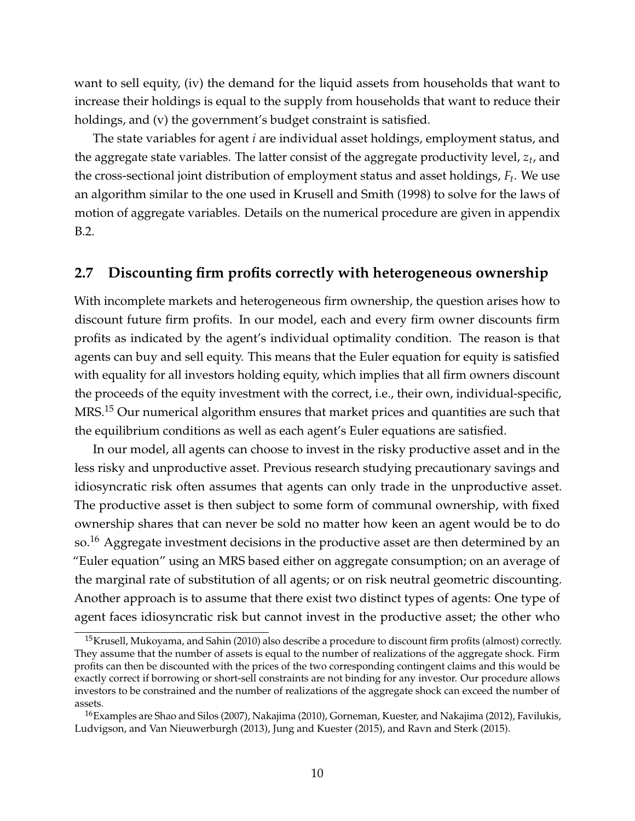want to sell equity, (iv) the demand for the liquid assets from households that want to increase their holdings is equal to the supply from households that want to reduce their holdings, and (v) the government's budget constraint is satisfied.

The state variables for agent *i* are individual asset holdings, employment status, and the aggregate state variables. The latter consist of the aggregate productivity level, *z<sup>t</sup>* , and the cross-sectional joint distribution of employment status and asset holdings, *F<sup>t</sup>* . We use an algorithm similar to the one used in Krusell and Smith (1998) to solve for the laws of motion of aggregate variables. Details on the numerical procedure are given in appendix B.2.

## **2.7 Discounting firm profits correctly with heterogeneous ownership**

With incomplete markets and heterogeneous firm ownership, the question arises how to discount future firm profits. In our model, each and every firm owner discounts firm profits as indicated by the agent's individual optimality condition. The reason is that agents can buy and sell equity. This means that the Euler equation for equity is satisfied with equality for all investors holding equity, which implies that all firm owners discount the proceeds of the equity investment with the correct, i.e., their own, individual-specific, MRS.<sup>15</sup> Our numerical algorithm ensures that market prices and quantities are such that the equilibrium conditions as well as each agent's Euler equations are satisfied.

In our model, all agents can choose to invest in the risky productive asset and in the less risky and unproductive asset. Previous research studying precautionary savings and idiosyncratic risk often assumes that agents can only trade in the unproductive asset. The productive asset is then subject to some form of communal ownership, with fixed ownership shares that can never be sold no matter how keen an agent would be to do so.<sup>16</sup> Aggregate investment decisions in the productive asset are then determined by an "Euler equation" using an MRS based either on aggregate consumption; on an average of the marginal rate of substitution of all agents; or on risk neutral geometric discounting. Another approach is to assume that there exist two distinct types of agents: One type of agent faces idiosyncratic risk but cannot invest in the productive asset; the other who

 $15$ Krusell, Mukoyama, and Sahin (2010) also describe a procedure to discount firm profits (almost) correctly. They assume that the number of assets is equal to the number of realizations of the aggregate shock. Firm profits can then be discounted with the prices of the two corresponding contingent claims and this would be exactly correct if borrowing or short-sell constraints are not binding for any investor. Our procedure allows investors to be constrained and the number of realizations of the aggregate shock can exceed the number of assets.

<sup>&</sup>lt;sup>16</sup>Examples are Shao and Silos (2007), Nakajima (2010), Gorneman, Kuester, and Nakajima (2012), Favilukis, Ludvigson, and Van Nieuwerburgh (2013), Jung and Kuester (2015), and Ravn and Sterk (2015).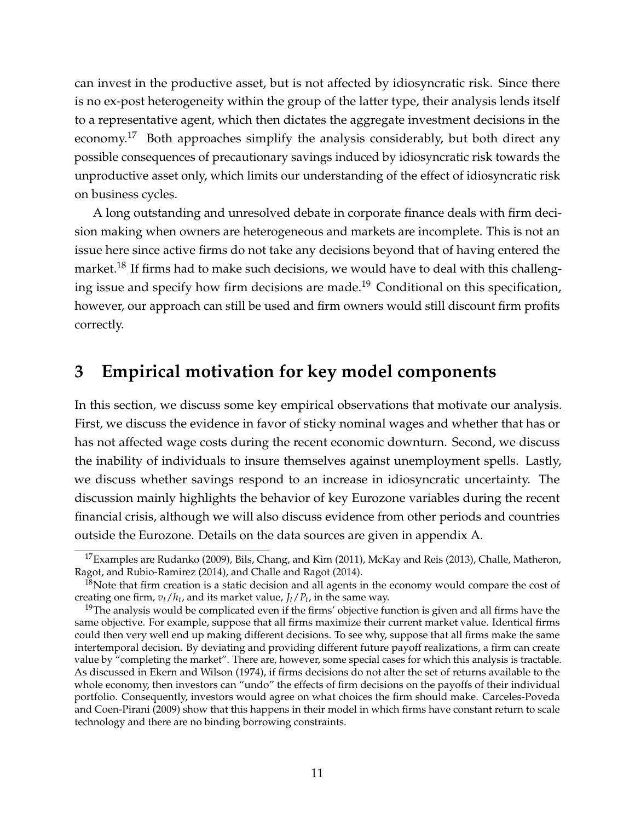can invest in the productive asset, but is not affected by idiosyncratic risk. Since there is no ex-post heterogeneity within the group of the latter type, their analysis lends itself to a representative agent, which then dictates the aggregate investment decisions in the economy.<sup>17</sup> Both approaches simplify the analysis considerably, but both direct any possible consequences of precautionary savings induced by idiosyncratic risk towards the unproductive asset only, which limits our understanding of the effect of idiosyncratic risk on business cycles.

A long outstanding and unresolved debate in corporate finance deals with firm decision making when owners are heterogeneous and markets are incomplete. This is not an issue here since active firms do not take any decisions beyond that of having entered the market.<sup>18</sup> If firms had to make such decisions, we would have to deal with this challenging issue and specify how firm decisions are made.<sup>19</sup> Conditional on this specification, however, our approach can still be used and firm owners would still discount firm profits correctly.

# **3 Empirical motivation for key model components**

In this section, we discuss some key empirical observations that motivate our analysis. First, we discuss the evidence in favor of sticky nominal wages and whether that has or has not affected wage costs during the recent economic downturn. Second, we discuss the inability of individuals to insure themselves against unemployment spells. Lastly, we discuss whether savings respond to an increase in idiosyncratic uncertainty. The discussion mainly highlights the behavior of key Eurozone variables during the recent financial crisis, although we will also discuss evidence from other periods and countries outside the Eurozone. Details on the data sources are given in appendix A.

<sup>&</sup>lt;sup>17</sup>Examples are Rudanko (2009), Bils, Chang, and Kim (2011), McKay and Reis (2013), Challe, Matheron, Ragot, and Rubio-Ramirez (2014), and Challe and Ragot (2014).

 $18$ Note that firm creation is a static decision and all agents in the economy would compare the cost of creating one firm, *vt*/*h<sup>t</sup>* , and its market value, *Jt*/*P<sup>t</sup>* , in the same way.

 $19$ The analysis would be complicated even if the firms' objective function is given and all firms have the same objective. For example, suppose that all firms maximize their current market value. Identical firms could then very well end up making different decisions. To see why, suppose that all firms make the same intertemporal decision. By deviating and providing different future payoff realizations, a firm can create value by "completing the market". There are, however, some special cases for which this analysis is tractable. As discussed in Ekern and Wilson (1974), if firms decisions do not alter the set of returns available to the whole economy, then investors can "undo" the effects of firm decisions on the payoffs of their individual portfolio. Consequently, investors would agree on what choices the firm should make. Carceles-Poveda and Coen-Pirani (2009) show that this happens in their model in which firms have constant return to scale technology and there are no binding borrowing constraints.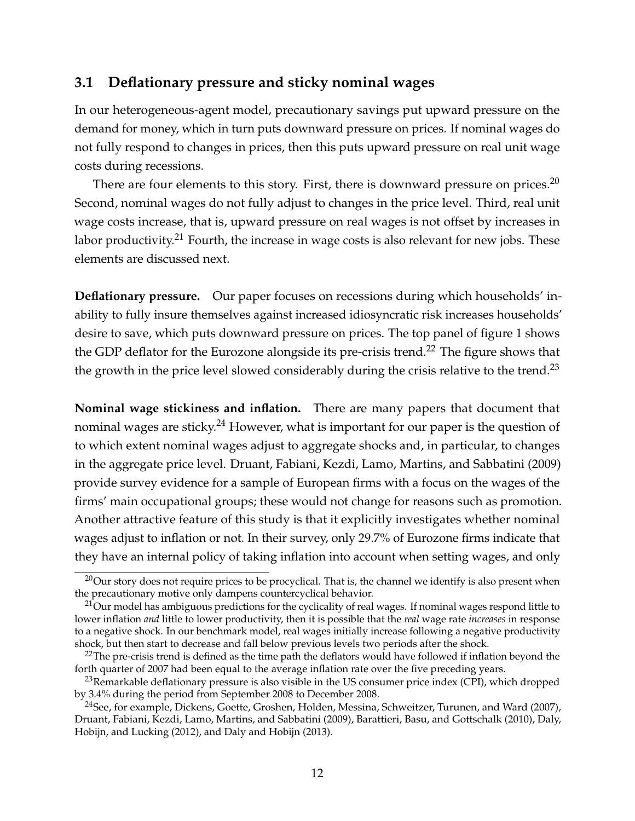## **3.1 Deflationary pressure and sticky nominal wages**

In our heterogeneous-agent model, precautionary savings put upward pressure on the demand for money, which in turn puts downward pressure on prices. If nominal wages do not fully respond to changes in prices, then this puts upward pressure on real unit wage costs during recessions.

There are four elements to this story. First, there is downward pressure on prices.<sup>20</sup> Second, nominal wages do not fully adjust to changes in the price level. Third, real unit wage costs increase, that is, upward pressure on real wages is not offset by increases in labor productivity.<sup>21</sup> Fourth, the increase in wage costs is also relevant for new jobs. These elements are discussed next.

**Deflationary pressure.** Our paper focuses on recessions during which households' inability to fully insure themselves against increased idiosyncratic risk increases households' desire to save, which puts downward pressure on prices. The top panel of figure 1 shows the GDP deflator for the Eurozone alongside its pre-crisis trend.<sup>22</sup> The figure shows that the growth in the price level slowed considerably during the crisis relative to the trend.<sup>23</sup>

**Nominal wage stickiness and inflation.** There are many papers that document that nominal wages are sticky.<sup>24</sup> However, what is important for our paper is the question of to which extent nominal wages adjust to aggregate shocks and, in particular, to changes in the aggregate price level. Druant, Fabiani, Kezdi, Lamo, Martins, and Sabbatini (2009) provide survey evidence for a sample of European firms with a focus on the wages of the firms' main occupational groups; these would not change for reasons such as promotion. Another attractive feature of this study is that it explicitly investigates whether nominal wages adjust to inflation or not. In their survey, only 29.7% of Eurozone firms indicate that they have an internal policy of taking inflation into account when setting wages, and only

<sup>&</sup>lt;sup>20</sup>Our story does not require prices to be procyclical. That is, the channel we identify is also present when the precautionary motive only dampens countercyclical behavior.

<sup>&</sup>lt;sup>21</sup>Our model has ambiguous predictions for the cyclicality of real wages. If nominal wages respond little to lower inflation *and* little to lower productivity, then it is possible that the *real* wage rate *increases* in response to a negative shock. In our benchmark model, real wages initially increase following a negative productivity shock, but then start to decrease and fall below previous levels two periods after the shock.

 $^{22}$ The pre-crisis trend is defined as the time path the deflators would have followed if inflation beyond the forth quarter of 2007 had been equal to the average inflation rate over the five preceding years.

 $^{23}$ Remarkable deflationary pressure is also visible in the US consumer price index (CPI), which dropped by 3.4% during the period from September 2008 to December 2008.

<sup>&</sup>lt;sup>24</sup>See, for example, Dickens, Goette, Groshen, Holden, Messina, Schweitzer, Turunen, and Ward (2007), Druant, Fabiani, Kezdi, Lamo, Martins, and Sabbatini (2009), Barattieri, Basu, and Gottschalk (2010), Daly, Hobijn, and Lucking (2012), and Daly and Hobijn (2013).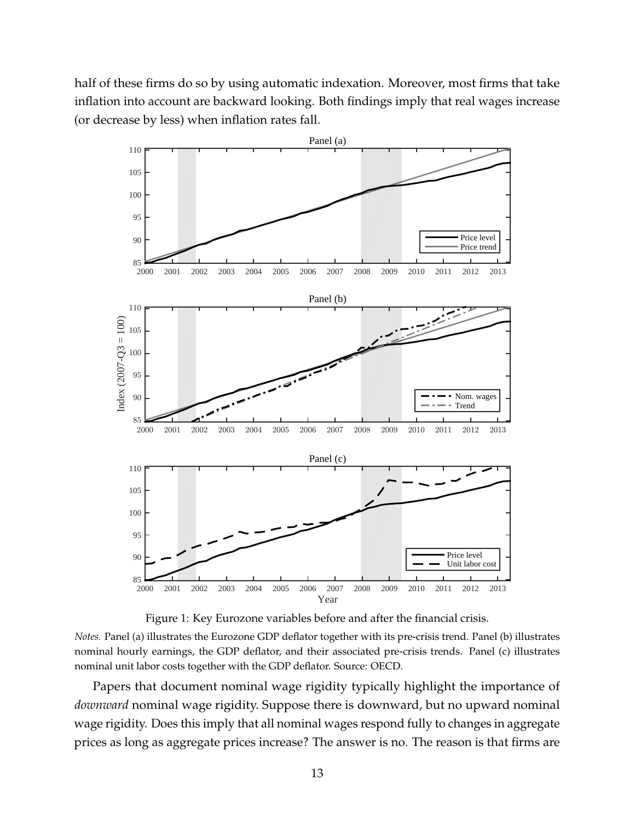half of these firms do so by using automatic indexation. Moreover, most firms that take inflation into account are backward looking. Both findings imply that real wages increase (or decrease by less) when inflation rates fall.



Figure 1: Key Eurozone variables before and after the financial crisis.

*Notes.* Panel (a) illustrates the Eurozone GDP deflator together with its pre-crisis trend. Panel (b) illustrates nominal hourly earnings, the GDP deflator, and their associated pre-crisis trends. Panel (c) illustrates nominal unit labor costs together with the GDP deflator. Source: OECD.

Papers that document nominal wage rigidity typically highlight the importance of *downward* nominal wage rigidity. Suppose there is downward, but no upward nominal wage rigidity. Does this imply that all nominal wages respond fully to changes in aggregate prices as long as aggregate prices increase? The answer is no. The reason is that firms are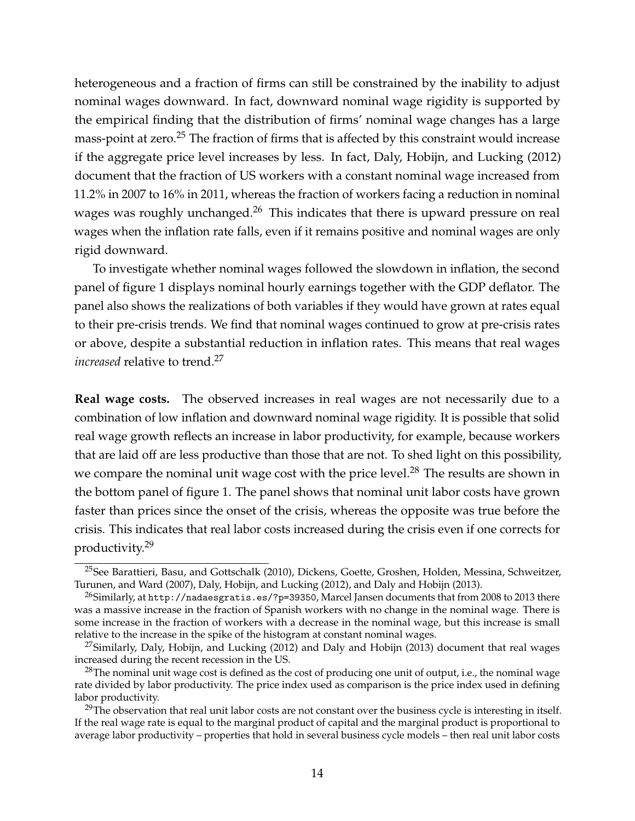heterogeneous and a fraction of firms can still be constrained by the inability to adjust nominal wages downward. In fact, downward nominal wage rigidity is supported by the empirical finding that the distribution of firms' nominal wage changes has a large mass-point at zero.<sup>25</sup> The fraction of firms that is affected by this constraint would increase if the aggregate price level increases by less. In fact, Daly, Hobijn, and Lucking (2012) document that the fraction of US workers with a constant nominal wage increased from 11.2% in 2007 to 16% in 2011, whereas the fraction of workers facing a reduction in nominal wages was roughly unchanged.<sup>26</sup> This indicates that there is upward pressure on real wages when the inflation rate falls, even if it remains positive and nominal wages are only rigid downward.

To investigate whether nominal wages followed the slowdown in inflation, the second panel of figure 1 displays nominal hourly earnings together with the GDP deflator. The panel also shows the realizations of both variables if they would have grown at rates equal to their pre-crisis trends. We find that nominal wages continued to grow at pre-crisis rates or above, despite a substantial reduction in inflation rates. This means that real wages *increased* relative to trend.<sup>27</sup>

**Real wage costs.** The observed increases in real wages are not necessarily due to a combination of low inflation and downward nominal wage rigidity. It is possible that solid real wage growth reflects an increase in labor productivity, for example, because workers that are laid off are less productive than those that are not. To shed light on this possibility, we compare the nominal unit wage cost with the price level.<sup>28</sup> The results are shown in the bottom panel of figure 1. The panel shows that nominal unit labor costs have grown faster than prices since the onset of the crisis, whereas the opposite was true before the crisis. This indicates that real labor costs increased during the crisis even if one corrects for productivity.<sup>29</sup>

<sup>&</sup>lt;sup>25</sup>See Barattieri, Basu, and Gottschalk (2010), Dickens, Goette, Groshen, Holden, Messina, Schweitzer, Turunen, and Ward (2007), Daly, Hobijn, and Lucking (2012), and Daly and Hobijn (2013).

 $^{26}$ Similarly, at http://nadaesgratis.es/?p=39350, Marcel Jansen documents that from 2008 to 2013 there was a massive increase in the fraction of Spanish workers with no change in the nominal wage. There is some increase in the fraction of workers with a decrease in the nominal wage, but this increase is small relative to the increase in the spike of the histogram at constant nominal wages.

<sup>&</sup>lt;sup>27</sup>Similarly, Daly, Hobijn, and Lucking (2012) and Daly and Hobijn (2013) document that real wages increased during the recent recession in the US.

 $28$ The nominal unit wage cost is defined as the cost of producing one unit of output, i.e., the nominal wage rate divided by labor productivity. The price index used as comparison is the price index used in defining labor productivity.

<sup>&</sup>lt;sup>29</sup>The observation that real unit labor costs are not constant over the business cycle is interesting in itself. If the real wage rate is equal to the marginal product of capital and the marginal product is proportional to average labor productivity – properties that hold in several business cycle models – then real unit labor costs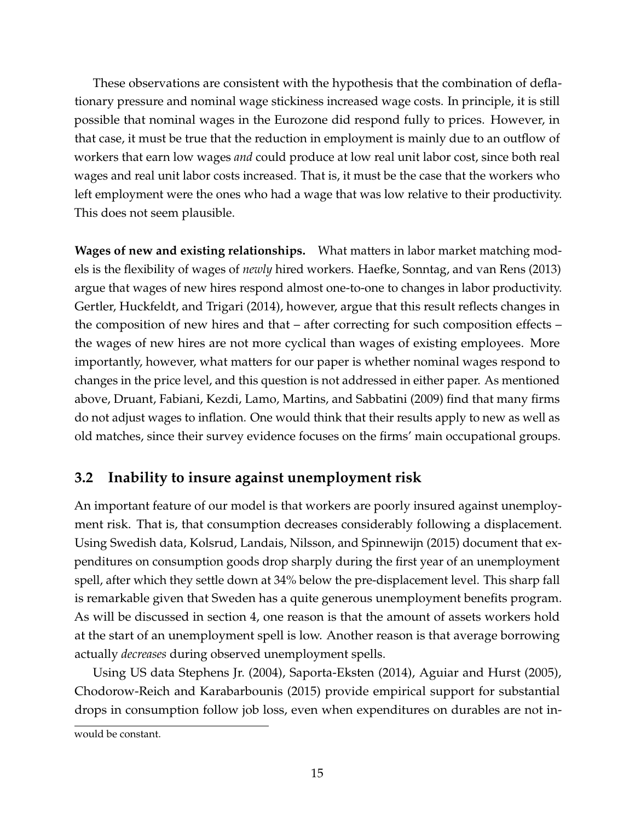These observations are consistent with the hypothesis that the combination of deflationary pressure and nominal wage stickiness increased wage costs. In principle, it is still possible that nominal wages in the Eurozone did respond fully to prices. However, in that case, it must be true that the reduction in employment is mainly due to an outflow of workers that earn low wages *and* could produce at low real unit labor cost, since both real wages and real unit labor costs increased. That is, it must be the case that the workers who left employment were the ones who had a wage that was low relative to their productivity. This does not seem plausible.

**Wages of new and existing relationships.** What matters in labor market matching models is the flexibility of wages of *newly* hired workers. Haefke, Sonntag, and van Rens (2013) argue that wages of new hires respond almost one-to-one to changes in labor productivity. Gertler, Huckfeldt, and Trigari (2014), however, argue that this result reflects changes in the composition of new hires and that – after correcting for such composition effects – the wages of new hires are not more cyclical than wages of existing employees. More importantly, however, what matters for our paper is whether nominal wages respond to changes in the price level, and this question is not addressed in either paper. As mentioned above, Druant, Fabiani, Kezdi, Lamo, Martins, and Sabbatini (2009) find that many firms do not adjust wages to inflation. One would think that their results apply to new as well as old matches, since their survey evidence focuses on the firms' main occupational groups.

## **3.2 Inability to insure against unemployment risk**

An important feature of our model is that workers are poorly insured against unemployment risk. That is, that consumption decreases considerably following a displacement. Using Swedish data, Kolsrud, Landais, Nilsson, and Spinnewijn (2015) document that expenditures on consumption goods drop sharply during the first year of an unemployment spell, after which they settle down at 34% below the pre-displacement level. This sharp fall is remarkable given that Sweden has a quite generous unemployment benefits program. As will be discussed in section 4, one reason is that the amount of assets workers hold at the start of an unemployment spell is low. Another reason is that average borrowing actually *decreases* during observed unemployment spells.

Using US data Stephens Jr. (2004), Saporta-Eksten (2014), Aguiar and Hurst (2005), Chodorow-Reich and Karabarbounis (2015) provide empirical support for substantial drops in consumption follow job loss, even when expenditures on durables are not in-

would be constant.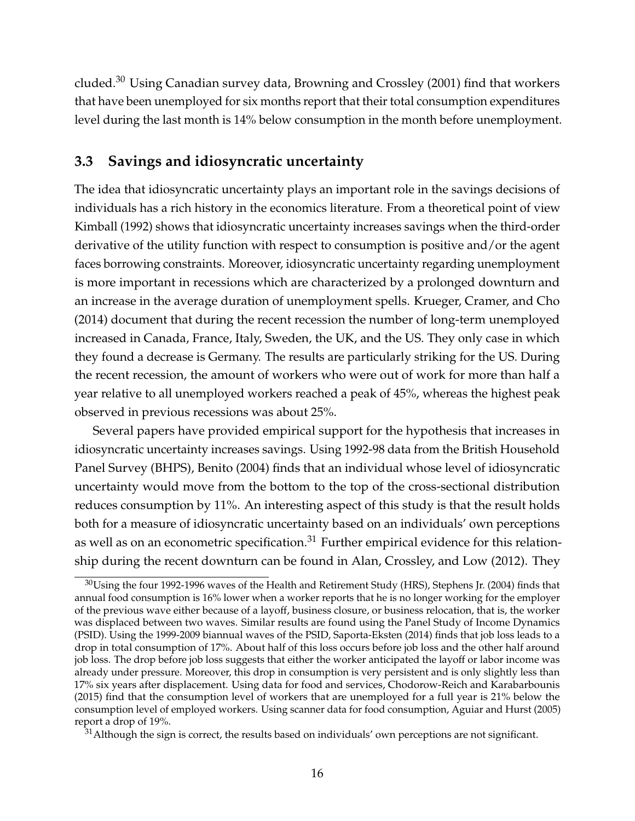cluded.<sup>30</sup> Using Canadian survey data, Browning and Crossley (2001) find that workers that have been unemployed for six months report that their total consumption expenditures level during the last month is 14% below consumption in the month before unemployment.

## **3.3 Savings and idiosyncratic uncertainty**

The idea that idiosyncratic uncertainty plays an important role in the savings decisions of individuals has a rich history in the economics literature. From a theoretical point of view Kimball (1992) shows that idiosyncratic uncertainty increases savings when the third-order derivative of the utility function with respect to consumption is positive and/or the agent faces borrowing constraints. Moreover, idiosyncratic uncertainty regarding unemployment is more important in recessions which are characterized by a prolonged downturn and an increase in the average duration of unemployment spells. Krueger, Cramer, and Cho (2014) document that during the recent recession the number of long-term unemployed increased in Canada, France, Italy, Sweden, the UK, and the US. They only case in which they found a decrease is Germany. The results are particularly striking for the US. During the recent recession, the amount of workers who were out of work for more than half a year relative to all unemployed workers reached a peak of 45%, whereas the highest peak observed in previous recessions was about 25%.

Several papers have provided empirical support for the hypothesis that increases in idiosyncratic uncertainty increases savings. Using 1992-98 data from the British Household Panel Survey (BHPS), Benito (2004) finds that an individual whose level of idiosyncratic uncertainty would move from the bottom to the top of the cross-sectional distribution reduces consumption by 11%. An interesting aspect of this study is that the result holds both for a measure of idiosyncratic uncertainty based on an individuals' own perceptions as well as on an econometric specification.<sup>31</sup> Further empirical evidence for this relationship during the recent downturn can be found in Alan, Crossley, and Low (2012). They

 $31$ Although the sign is correct, the results based on individuals' own perceptions are not significant.

 $30$ Using the four 1992-1996 waves of the Health and Retirement Study (HRS), Stephens Jr. (2004) finds that annual food consumption is 16% lower when a worker reports that he is no longer working for the employer of the previous wave either because of a layoff, business closure, or business relocation, that is, the worker was displaced between two waves. Similar results are found using the Panel Study of Income Dynamics (PSID). Using the 1999-2009 biannual waves of the PSID, Saporta-Eksten (2014) finds that job loss leads to a drop in total consumption of 17%. About half of this loss occurs before job loss and the other half around job loss. The drop before job loss suggests that either the worker anticipated the layoff or labor income was already under pressure. Moreover, this drop in consumption is very persistent and is only slightly less than 17% six years after displacement. Using data for food and services, Chodorow-Reich and Karabarbounis (2015) find that the consumption level of workers that are unemployed for a full year is 21% below the consumption level of employed workers. Using scanner data for food consumption, Aguiar and Hurst (2005) report a drop of 19%.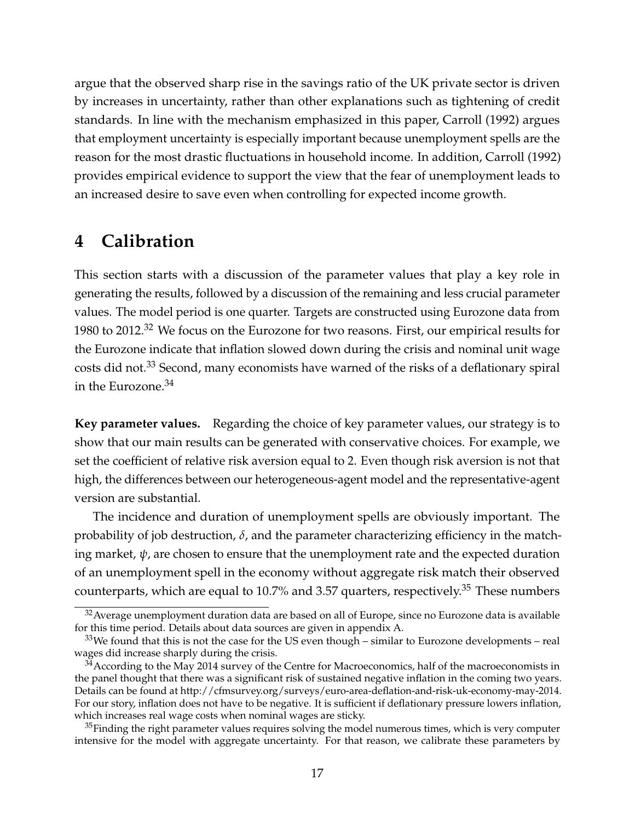argue that the observed sharp rise in the savings ratio of the UK private sector is driven by increases in uncertainty, rather than other explanations such as tightening of credit standards. In line with the mechanism emphasized in this paper, Carroll (1992) argues that employment uncertainty is especially important because unemployment spells are the reason for the most drastic fluctuations in household income. In addition, Carroll (1992) provides empirical evidence to support the view that the fear of unemployment leads to an increased desire to save even when controlling for expected income growth.

## **4 Calibration**

This section starts with a discussion of the parameter values that play a key role in generating the results, followed by a discussion of the remaining and less crucial parameter values. The model period is one quarter. Targets are constructed using Eurozone data from 1980 to 2012.<sup>32</sup> We focus on the Eurozone for two reasons. First, our empirical results for the Eurozone indicate that inflation slowed down during the crisis and nominal unit wage costs did not.<sup>33</sup> Second, many economists have warned of the risks of a deflationary spiral in the Eurozone.<sup>34</sup>

**Key parameter values.** Regarding the choice of key parameter values, our strategy is to show that our main results can be generated with conservative choices. For example, we set the coefficient of relative risk aversion equal to 2. Even though risk aversion is not that high, the differences between our heterogeneous-agent model and the representative-agent version are substantial.

The incidence and duration of unemployment spells are obviously important. The probability of job destruction, *δ*, and the parameter characterizing efficiency in the matching market,  $\psi$ , are chosen to ensure that the unemployment rate and the expected duration of an unemployment spell in the economy without aggregate risk match their observed counterparts, which are equal to 10.7% and 3.57 quarters, respectively.<sup>35</sup> These numbers

<sup>&</sup>lt;sup>32</sup> Average unemployment duration data are based on all of Europe, since no Eurozone data is available for this time period. Details about data sources are given in appendix A.

 $33$ We found that this is not the case for the US even though – similar to Eurozone developments – real wages did increase sharply during the crisis.

 $34$ According to the May 2014 survey of the Centre for Macroeconomics, half of the macroeconomists in the panel thought that there was a significant risk of sustained negative inflation in the coming two years. Details can be found at http://cfmsurvey.org/surveys/euro-area-deflation-and-risk-uk-economy-may-2014. For our story, inflation does not have to be negative. It is sufficient if deflationary pressure lowers inflation, which increases real wage costs when nominal wages are sticky.

 $35$ Finding the right parameter values requires solving the model numerous times, which is very computer intensive for the model with aggregate uncertainty. For that reason, we calibrate these parameters by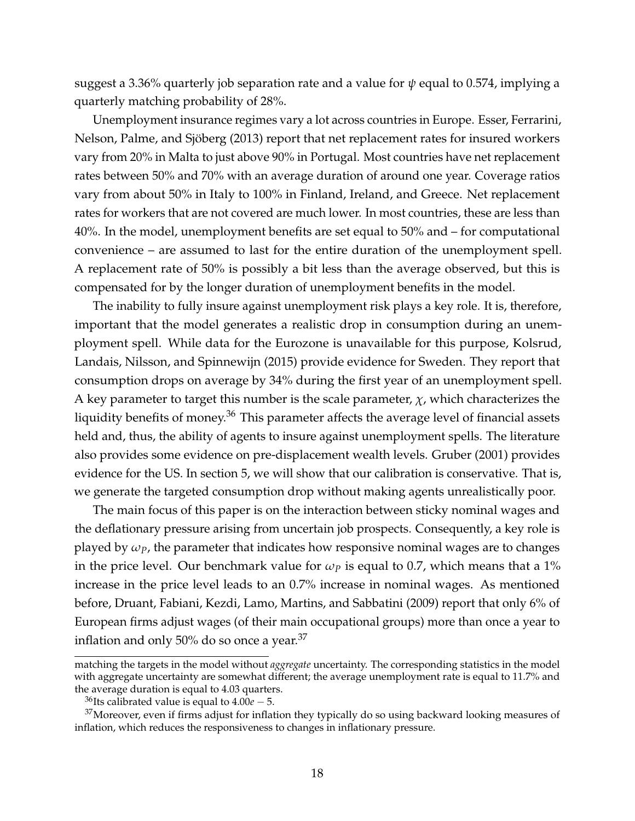suggest a 3.36% quarterly job separation rate and a value for *ψ* equal to 0.574, implying a quarterly matching probability of 28%.

Unemployment insurance regimes vary a lot across countries in Europe. Esser, Ferrarini, Nelson, Palme, and Sjöberg (2013) report that net replacement rates for insured workers vary from 20% in Malta to just above 90% in Portugal. Most countries have net replacement rates between 50% and 70% with an average duration of around one year. Coverage ratios vary from about 50% in Italy to 100% in Finland, Ireland, and Greece. Net replacement rates for workers that are not covered are much lower. In most countries, these are less than 40%. In the model, unemployment benefits are set equal to 50% and – for computational convenience – are assumed to last for the entire duration of the unemployment spell. A replacement rate of 50% is possibly a bit less than the average observed, but this is compensated for by the longer duration of unemployment benefits in the model.

The inability to fully insure against unemployment risk plays a key role. It is, therefore, important that the model generates a realistic drop in consumption during an unemployment spell. While data for the Eurozone is unavailable for this purpose, Kolsrud, Landais, Nilsson, and Spinnewijn (2015) provide evidence for Sweden. They report that consumption drops on average by 34% during the first year of an unemployment spell. A key parameter to target this number is the scale parameter,  $\chi$ , which characterizes the liquidity benefits of money.<sup>36</sup> This parameter affects the average level of financial assets held and, thus, the ability of agents to insure against unemployment spells. The literature also provides some evidence on pre-displacement wealth levels. Gruber (2001) provides evidence for the US. In section 5, we will show that our calibration is conservative. That is, we generate the targeted consumption drop without making agents unrealistically poor.

The main focus of this paper is on the interaction between sticky nominal wages and the deflationary pressure arising from uncertain job prospects. Consequently, a key role is played by  $\omega_p$ , the parameter that indicates how responsive nominal wages are to changes in the price level. Our benchmark value for  $\omega_p$  is equal to 0.7, which means that a 1% increase in the price level leads to an 0.7% increase in nominal wages. As mentioned before, Druant, Fabiani, Kezdi, Lamo, Martins, and Sabbatini (2009) report that only 6% of European firms adjust wages (of their main occupational groups) more than once a year to inflation and only 50% do so once a year.<sup>37</sup>

matching the targets in the model without *aggregate* uncertainty. The corresponding statistics in the model with aggregate uncertainty are somewhat different; the average unemployment rate is equal to 11.7% and the average duration is equal to 4.03 quarters.

<sup>&</sup>lt;sup>36</sup>Its calibrated value is equal to  $4.00e - 5$ .

 $37$ Moreover, even if firms adjust for inflation they typically do so using backward looking measures of inflation, which reduces the responsiveness to changes in inflationary pressure.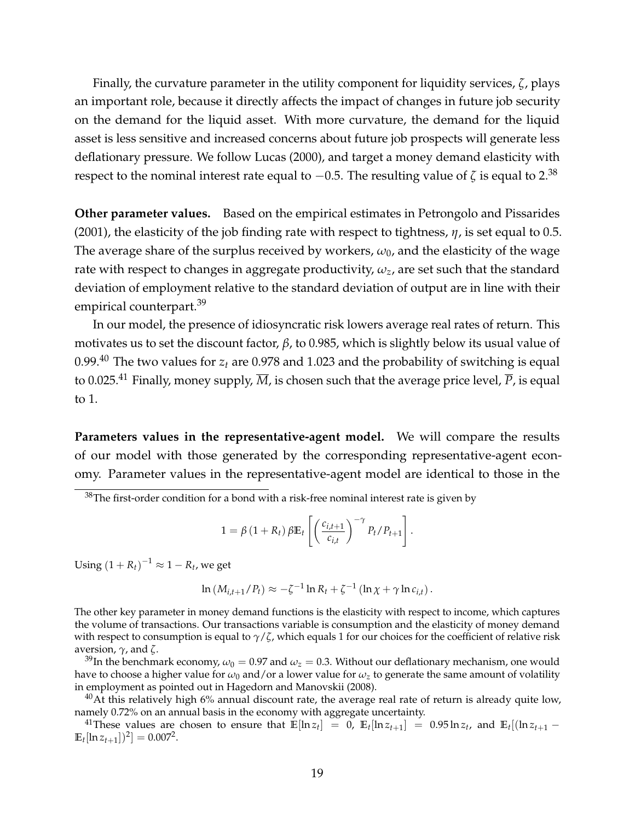Finally, the curvature parameter in the utility component for liquidity services, *ζ*, plays an important role, because it directly affects the impact of changes in future job security on the demand for the liquid asset. With more curvature, the demand for the liquid asset is less sensitive and increased concerns about future job prospects will generate less deflationary pressure. We follow Lucas (2000), and target a money demand elasticity with respect to the nominal interest rate equal to  $-0.5$ . The resulting value of  $\zeta$  is equal to 2.<sup>38</sup>

**Other parameter values.** Based on the empirical estimates in Petrongolo and Pissarides (2001), the elasticity of the job finding rate with respect to tightness, *η*, is set equal to 0.5. The average share of the surplus received by workers,  $\omega_0$ , and the elasticity of the wage rate with respect to changes in aggregate productivity,  $\omega_z$ , are set such that the standard deviation of employment relative to the standard deviation of output are in line with their empirical counterpart.<sup>39</sup>

In our model, the presence of idiosyncratic risk lowers average real rates of return. This motivates us to set the discount factor, *β*, to 0.985, which is slightly below its usual value of 0.99.<sup>40</sup> The two values for  $z_t$  are 0.978 and 1.023 and the probability of switching is equal to 0.025.<sup>41</sup> Finally, money supply,  $\overline{M}$ , is chosen such that the average price level,  $\overline{P}$ , is equal to 1.

**Parameters values in the representative-agent model.** We will compare the results of our model with those generated by the corresponding representative-agent economy. Parameter values in the representative-agent model are identical to those in the

$$
1 = \beta \left(1 + R_t\right) \beta \mathbb{E}_t \left[ \left( \frac{c_{i,t+1}}{c_{i,t}} \right)^{-\gamma} P_t / P_{t+1} \right].
$$

Using  $\left(1+R_t\right)^{-1}\approx 1-R_t$ , we get

$$
\ln\left(M_{i,t+1}/P_t\right) \approx -\zeta^{-1}\ln R_t + \zeta^{-1}\left(\ln\chi + \gamma\ln c_{i,t}\right).
$$

The other key parameter in money demand functions is the elasticity with respect to income, which captures the volume of transactions. Our transactions variable is consumption and the elasticity of money demand with respect to consumption is equal to *γ*/*ζ*, which equals 1 for our choices for the coefficient of relative risk aversion, *γ*, and *ζ*.

<sup>39</sup>In the benchmark economy,  $\omega_0 = 0.97$  and  $\omega_z = 0.3$ . Without our deflationary mechanism, one would have to choose a higher value for  $\omega_0$  and/or a lower value for  $\omega_z$  to generate the same amount of volatility in employment as pointed out in Hagedorn and Manovskii (2008).

 $^{40}$ At this relatively high 6% annual discount rate, the average real rate of return is already quite low, namely 0.72% on an annual basis in the economy with aggregate uncertainty.

<sup>41</sup>These values are chosen to ensure that  $\mathbb{E}[\ln z_t] = 0$ ,  $\mathbb{E}_t[\ln z_{t+1}] = 0.95 \ln z_t$ , and  $\mathbb{E}_t[(\ln z_{t+1} - \ln z_t)]$  $\mathbb{E}_t[\ln z_{t+1}]$ <sup>2</sup> $] = 0.007^2$ .

 $38$ The first-order condition for a bond with a risk-free nominal interest rate is given by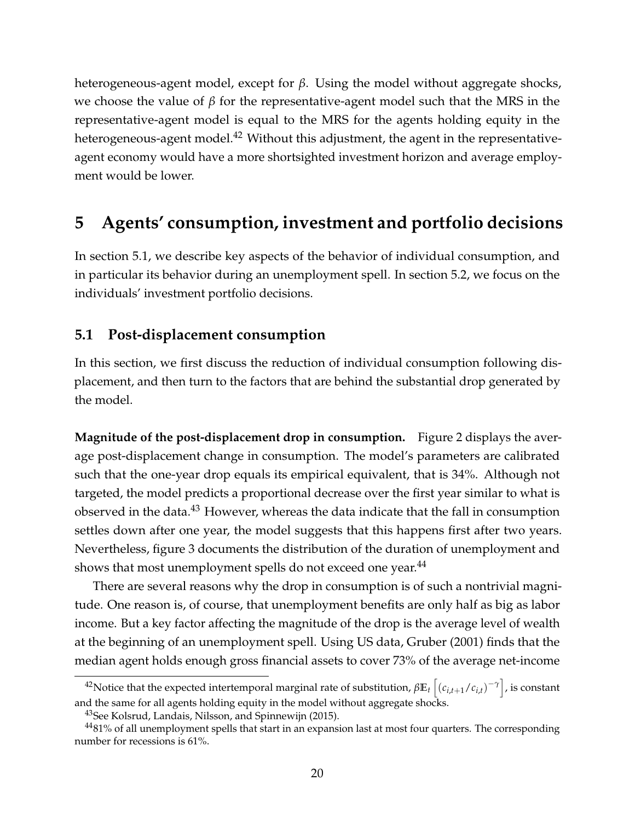heterogeneous-agent model, except for *β*. Using the model without aggregate shocks, we choose the value of *β* for the representative-agent model such that the MRS in the representative-agent model is equal to the MRS for the agents holding equity in the heterogeneous-agent model.<sup>42</sup> Without this adjustment, the agent in the representativeagent economy would have a more shortsighted investment horizon and average employment would be lower.

# **5 Agents' consumption, investment and portfolio decisions**

In section 5.1, we describe key aspects of the behavior of individual consumption, and in particular its behavior during an unemployment spell. In section 5.2, we focus on the individuals' investment portfolio decisions.

## **5.1 Post-displacement consumption**

In this section, we first discuss the reduction of individual consumption following displacement, and then turn to the factors that are behind the substantial drop generated by the model.

**Magnitude of the post-displacement drop in consumption.** Figure 2 displays the average post-displacement change in consumption. The model's parameters are calibrated such that the one-year drop equals its empirical equivalent, that is 34%. Although not targeted, the model predicts a proportional decrease over the first year similar to what is observed in the data.<sup>43</sup> However, whereas the data indicate that the fall in consumption settles down after one year, the model suggests that this happens first after two years. Nevertheless, figure 3 documents the distribution of the duration of unemployment and shows that most unemployment spells do not exceed one year.<sup>44</sup>

There are several reasons why the drop in consumption is of such a nontrivial magnitude. One reason is, of course, that unemployment benefits are only half as big as labor income. But a key factor affecting the magnitude of the drop is the average level of wealth at the beginning of an unemployment spell. Using US data, Gruber (2001) finds that the median agent holds enough gross financial assets to cover 73% of the average net-income

<sup>42</sup>Notice that the expected intertemporal marginal rate of substitution, *β***E***<sup>t</sup>* h (*ci*,*t*+1/*ci*,*t*) −*γ* i , is constant and the same for all agents holding equity in the model without aggregate shocks.

<sup>&</sup>lt;sup>43</sup>See Kolsrud, Landais, Nilsson, and Spinnewijn (2015).

 $4481\%$  of all unemployment spells that start in an expansion last at most four quarters. The corresponding number for recessions is 61%.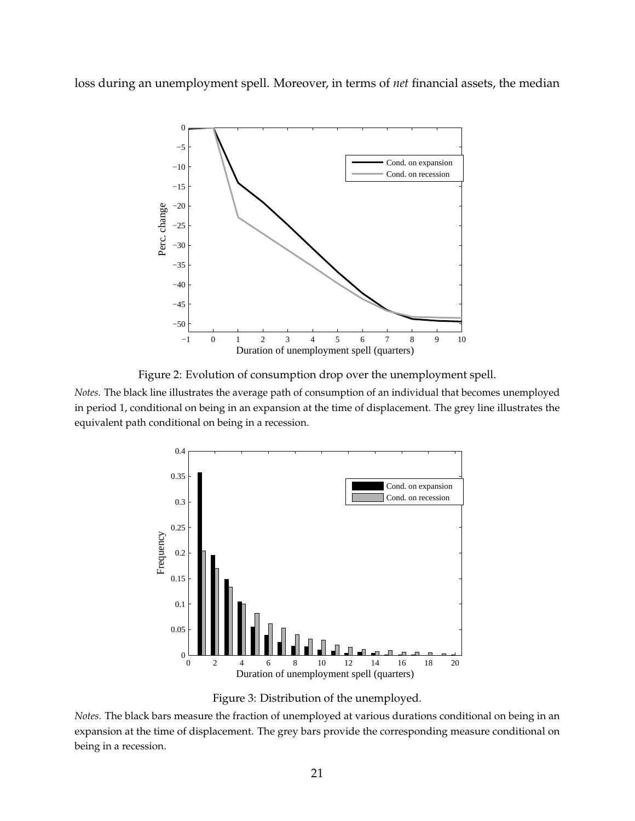loss during an unemployment spell. Moreover, in terms of *net* financial assets, the median



Figure 2: Evolution of consumption drop over the unemployment spell.

*Notes.* The black line illustrates the average path of consumption of an individual that becomes unemployed in period 1, conditional on being in an expansion at the time of displacement. The grey line illustrates the equivalent path conditional on being in a recession.



Figure 3: Distribution of the unemployed.

*Notes.* The black bars measure the fraction of unemployed at various durations conditional on being in an expansion at the time of displacement. The grey bars provide the corresponding measure conditional on being in a recession.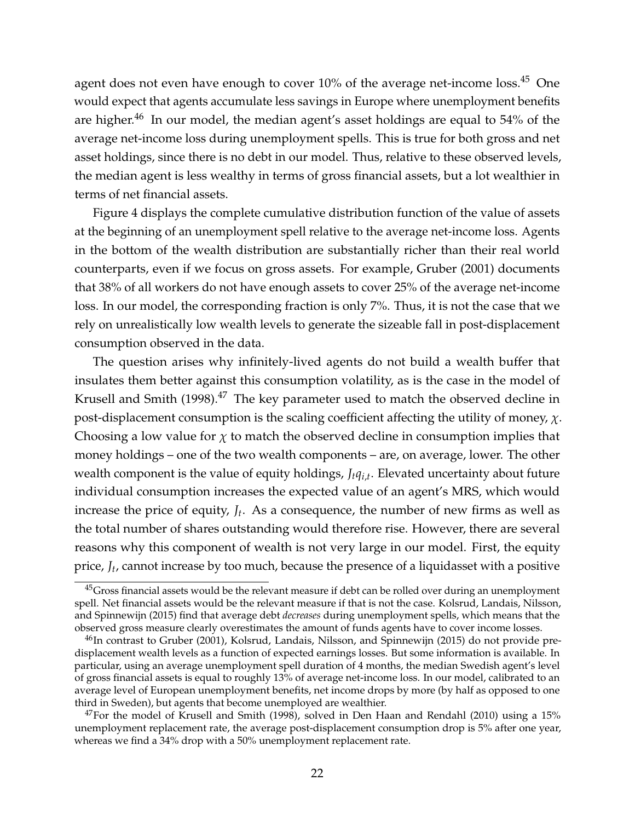agent does not even have enough to cover 10% of the average net-income loss.<sup>45</sup> One would expect that agents accumulate less savings in Europe where unemployment benefits are higher.<sup>46</sup> In our model, the median agent's asset holdings are equal to 54% of the average net-income loss during unemployment spells. This is true for both gross and net asset holdings, since there is no debt in our model. Thus, relative to these observed levels, the median agent is less wealthy in terms of gross financial assets, but a lot wealthier in terms of net financial assets.

Figure 4 displays the complete cumulative distribution function of the value of assets at the beginning of an unemployment spell relative to the average net-income loss. Agents in the bottom of the wealth distribution are substantially richer than their real world counterparts, even if we focus on gross assets. For example, Gruber (2001) documents that 38% of all workers do not have enough assets to cover 25% of the average net-income loss. In our model, the corresponding fraction is only 7%. Thus, it is not the case that we rely on unrealistically low wealth levels to generate the sizeable fall in post-displacement consumption observed in the data.

The question arises why infinitely-lived agents do not build a wealth buffer that insulates them better against this consumption volatility, as is the case in the model of Krusell and Smith  $(1998).^{47}$  The key parameter used to match the observed decline in post-displacement consumption is the scaling coefficient affecting the utility of money, *χ*. Choosing a low value for  $\chi$  to match the observed decline in consumption implies that money holdings – one of the two wealth components – are, on average, lower. The other wealth component is the value of equity holdings, *Jtqi*,*<sup>t</sup>* . Elevated uncertainty about future individual consumption increases the expected value of an agent's MRS, which would increase the price of equity, *J<sup>t</sup>* . As a consequence, the number of new firms as well as the total number of shares outstanding would therefore rise. However, there are several reasons why this component of wealth is not very large in our model. First, the equity price, *J<sup>t</sup>* , cannot increase by too much, because the presence of a liquidasset with a positive

<sup>&</sup>lt;sup>45</sup>Gross financial assets would be the relevant measure if debt can be rolled over during an unemployment spell. Net financial assets would be the relevant measure if that is not the case. Kolsrud, Landais, Nilsson, and Spinnewijn (2015) find that average debt *decreases* during unemployment spells, which means that the observed gross measure clearly overestimates the amount of funds agents have to cover income losses.

 $^{46}$ In contrast to Gruber (2001), Kolsrud, Landais, Nilsson, and Spinnewijn (2015) do not provide predisplacement wealth levels as a function of expected earnings losses. But some information is available. In particular, using an average unemployment spell duration of 4 months, the median Swedish agent's level of gross financial assets is equal to roughly 13% of average net-income loss. In our model, calibrated to an average level of European unemployment benefits, net income drops by more (by half as opposed to one third in Sweden), but agents that become unemployed are wealthier.

 $47$ For the model of Krusell and Smith (1998), solved in Den Haan and Rendahl (2010) using a 15% unemployment replacement rate, the average post-displacement consumption drop is 5% after one year, whereas we find a 34% drop with a 50% unemployment replacement rate.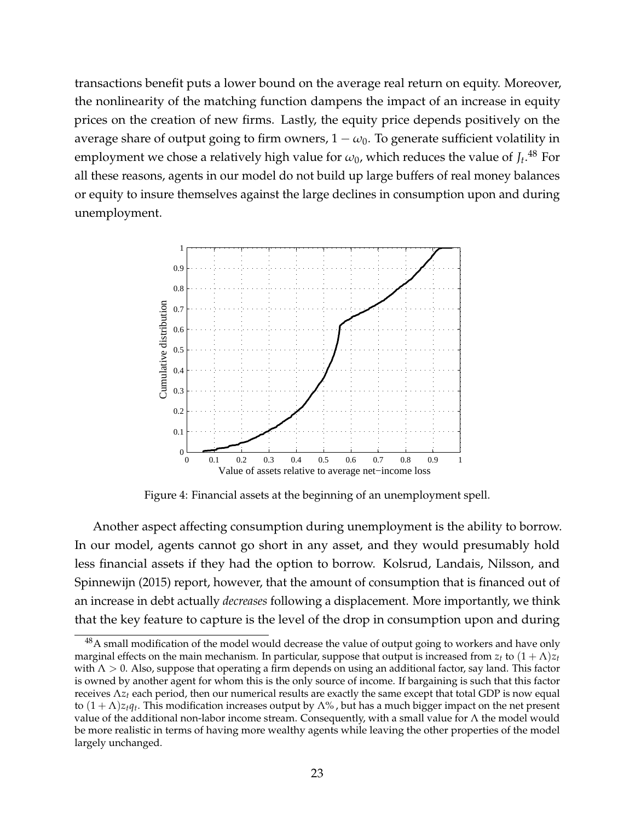transactions benefit puts a lower bound on the average real return on equity. Moreover, the nonlinearity of the matching function dampens the impact of an increase in equity prices on the creation of new firms. Lastly, the equity price depends positively on the average share of output going to firm owners,  $1 - \omega_0$ . To generate sufficient volatility in employment we chose a relatively high value for  $\omega_0$ , which reduces the value of  $J_t.^{48}$  For all these reasons, agents in our model do not build up large buffers of real money balances or equity to insure themselves against the large declines in consumption upon and during unemployment.



Figure 4: Financial assets at the beginning of an unemployment spell.

Another aspect affecting consumption during unemployment is the ability to borrow. In our model, agents cannot go short in any asset, and they would presumably hold less financial assets if they had the option to borrow. Kolsrud, Landais, Nilsson, and Spinnewijn (2015) report, however, that the amount of consumption that is financed out of an increase in debt actually *decreases* following a displacement. More importantly, we think that the key feature to capture is the level of the drop in consumption upon and during

 $^{48}$ A small modification of the model would decrease the value of output going to workers and have only marginal effects on the main mechanism. In particular, suppose that output is increased from  $z_t$  to  $(1 + \Lambda)z_t$ with  $\Lambda > 0$ . Also, suppose that operating a firm depends on using an additional factor, say land. This factor is owned by another agent for whom this is the only source of income. If bargaining is such that this factor receives Λ*z<sup>t</sup>* each period, then our numerical results are exactly the same except that total GDP is now equal to  $(1+\Lambda)z_tq_t.$  This modification increases output by  $\Lambda\%$  , but has a much bigger impact on the net present value of the additional non-labor income stream. Consequently, with a small value for  $\Lambda$  the model would be more realistic in terms of having more wealthy agents while leaving the other properties of the model largely unchanged.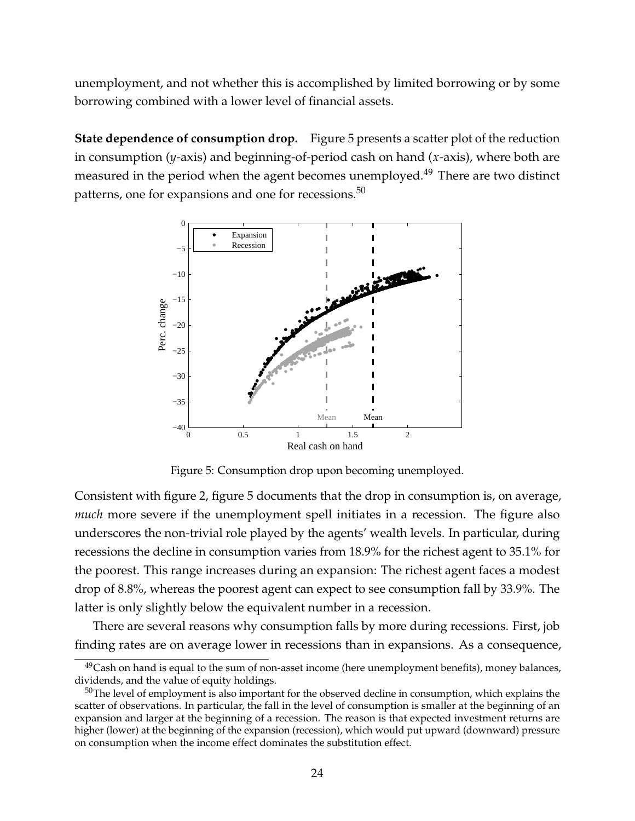unemployment, and not whether this is accomplished by limited borrowing or by some borrowing combined with a lower level of financial assets.

**State dependence of consumption drop.** Figure 5 presents a scatter plot of the reduction in consumption (*y*-axis) and beginning-of-period cash on hand (*x*-axis), where both are measured in the period when the agent becomes unemployed.<sup>49</sup> There are two distinct patterns, one for expansions and one for recessions.<sup>50</sup>



Figure 5: Consumption drop upon becoming unemployed.

Consistent with figure 2, figure 5 documents that the drop in consumption is, on average, *much* more severe if the unemployment spell initiates in a recession. The figure also underscores the non-trivial role played by the agents' wealth levels. In particular, during recessions the decline in consumption varies from 18.9% for the richest agent to 35.1% for the poorest. This range increases during an expansion: The richest agent faces a modest drop of 8.8%, whereas the poorest agent can expect to see consumption fall by 33.9%. The latter is only slightly below the equivalent number in a recession.

There are several reasons why consumption falls by more during recessions. First, job finding rates are on average lower in recessions than in expansions. As a consequence,

 $49$ Cash on hand is equal to the sum of non-asset income (here unemployment benefits), money balances, dividends, and the value of equity holdings.

 $50$ The level of employment is also important for the observed decline in consumption, which explains the scatter of observations. In particular, the fall in the level of consumption is smaller at the beginning of an expansion and larger at the beginning of a recession. The reason is that expected investment returns are higher (lower) at the beginning of the expansion (recession), which would put upward (downward) pressure on consumption when the income effect dominates the substitution effect.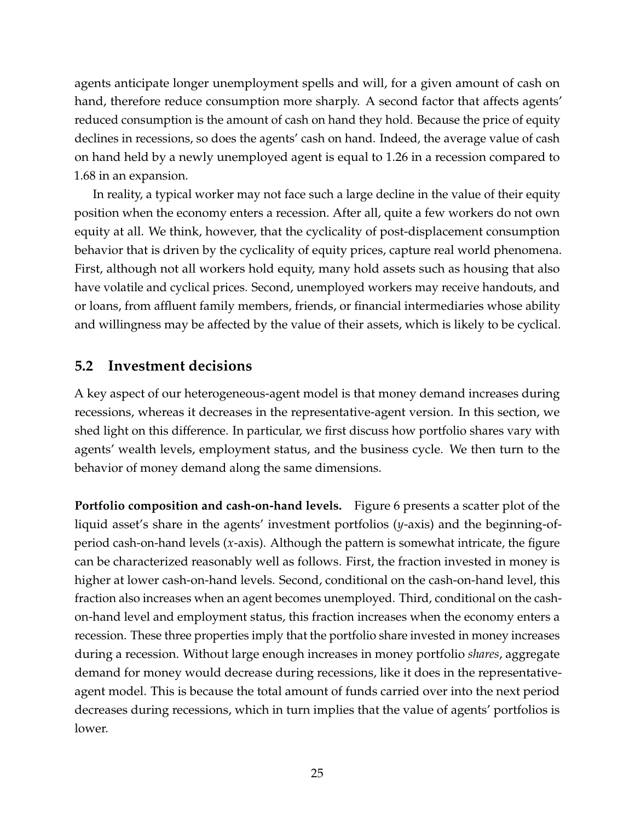agents anticipate longer unemployment spells and will, for a given amount of cash on hand, therefore reduce consumption more sharply. A second factor that affects agents' reduced consumption is the amount of cash on hand they hold. Because the price of equity declines in recessions, so does the agents' cash on hand. Indeed, the average value of cash on hand held by a newly unemployed agent is equal to 1.26 in a recession compared to 1.68 in an expansion.

In reality, a typical worker may not face such a large decline in the value of their equity position when the economy enters a recession. After all, quite a few workers do not own equity at all. We think, however, that the cyclicality of post-displacement consumption behavior that is driven by the cyclicality of equity prices, capture real world phenomena. First, although not all workers hold equity, many hold assets such as housing that also have volatile and cyclical prices. Second, unemployed workers may receive handouts, and or loans, from affluent family members, friends, or financial intermediaries whose ability and willingness may be affected by the value of their assets, which is likely to be cyclical.

## **5.2 Investment decisions**

A key aspect of our heterogeneous-agent model is that money demand increases during recessions, whereas it decreases in the representative-agent version. In this section, we shed light on this difference. In particular, we first discuss how portfolio shares vary with agents' wealth levels, employment status, and the business cycle. We then turn to the behavior of money demand along the same dimensions.

**Portfolio composition and cash-on-hand levels.** Figure 6 presents a scatter plot of the liquid asset's share in the agents' investment portfolios (*y*-axis) and the beginning-ofperiod cash-on-hand levels (*x*-axis). Although the pattern is somewhat intricate, the figure can be characterized reasonably well as follows. First, the fraction invested in money is higher at lower cash-on-hand levels. Second, conditional on the cash-on-hand level, this fraction also increases when an agent becomes unemployed. Third, conditional on the cashon-hand level and employment status, this fraction increases when the economy enters a recession. These three properties imply that the portfolio share invested in money increases during a recession. Without large enough increases in money portfolio *shares*, aggregate demand for money would decrease during recessions, like it does in the representativeagent model. This is because the total amount of funds carried over into the next period decreases during recessions, which in turn implies that the value of agents' portfolios is lower.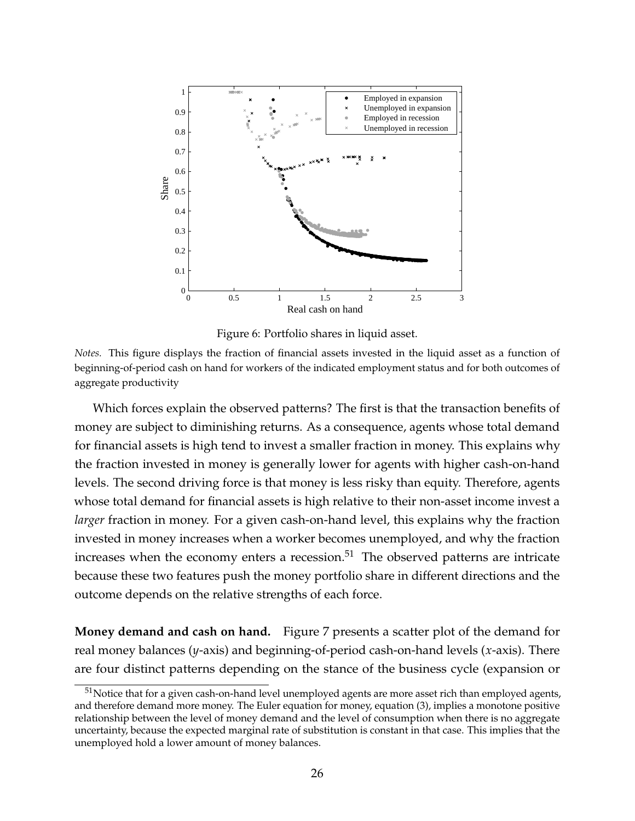

Figure 6: Portfolio shares in liquid asset.

*Notes.* This figure displays the fraction of financial assets invested in the liquid asset as a function of beginning-of-period cash on hand for workers of the indicated employment status and for both outcomes of aggregate productivity

Which forces explain the observed patterns? The first is that the transaction benefits of money are subject to diminishing returns. As a consequence, agents whose total demand for financial assets is high tend to invest a smaller fraction in money. This explains why the fraction invested in money is generally lower for agents with higher cash-on-hand levels. The second driving force is that money is less risky than equity. Therefore, agents whose total demand for financial assets is high relative to their non-asset income invest a *larger* fraction in money. For a given cash-on-hand level, this explains why the fraction invested in money increases when a worker becomes unemployed, and why the fraction increases when the economy enters a recession. $51$  The observed patterns are intricate because these two features push the money portfolio share in different directions and the outcome depends on the relative strengths of each force.

**Money demand and cash on hand.** Figure 7 presents a scatter plot of the demand for real money balances (*y*-axis) and beginning-of-period cash-on-hand levels (*x*-axis). There are four distinct patterns depending on the stance of the business cycle (expansion or

<sup>&</sup>lt;sup>51</sup>Notice that for a given cash-on-hand level unemployed agents are more asset rich than employed agents, and therefore demand more money. The Euler equation for money, equation (3), implies a monotone positive relationship between the level of money demand and the level of consumption when there is no aggregate uncertainty, because the expected marginal rate of substitution is constant in that case. This implies that the unemployed hold a lower amount of money balances.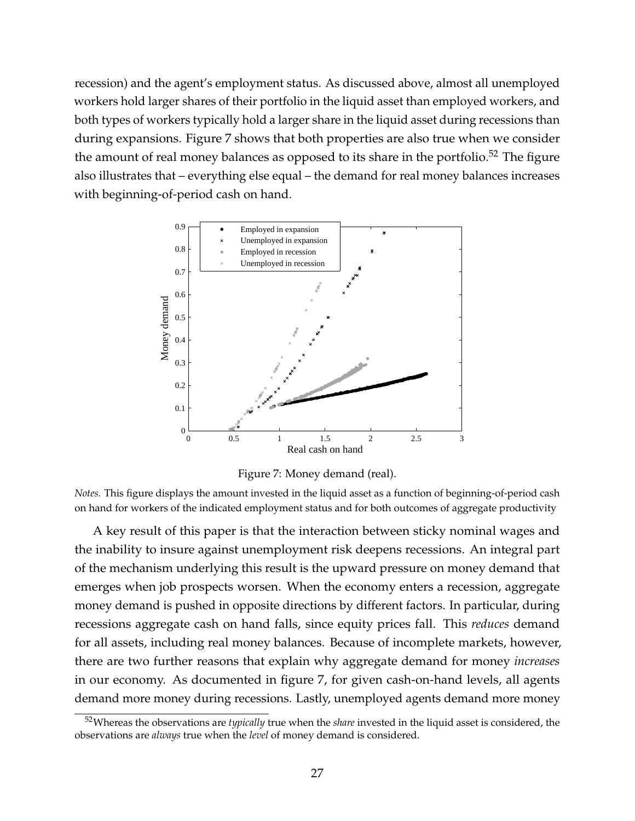recession) and the agent's employment status. As discussed above, almost all unemployed workers hold larger shares of their portfolio in the liquid asset than employed workers, and both types of workers typically hold a larger share in the liquid asset during recessions than during expansions. Figure 7 shows that both properties are also true when we consider the amount of real money balances as opposed to its share in the portfolio.<sup>52</sup> The figure also illustrates that – everything else equal – the demand for real money balances increases with beginning-of-period cash on hand.



Figure 7: Money demand (real).

*Notes.* This figure displays the amount invested in the liquid asset as a function of beginning-of-period cash on hand for workers of the indicated employment status and for both outcomes of aggregate productivity

A key result of this paper is that the interaction between sticky nominal wages and the inability to insure against unemployment risk deepens recessions. An integral part of the mechanism underlying this result is the upward pressure on money demand that emerges when job prospects worsen. When the economy enters a recession, aggregate money demand is pushed in opposite directions by different factors. In particular, during recessions aggregate cash on hand falls, since equity prices fall. This *reduces* demand for all assets, including real money balances. Because of incomplete markets, however, there are two further reasons that explain why aggregate demand for money *increases* in our economy. As documented in figure 7, for given cash-on-hand levels, all agents demand more money during recessions. Lastly, unemployed agents demand more money

<sup>52</sup>Whereas the observations are *typically* true when the *share* invested in the liquid asset is considered, the observations are *always* true when the *level* of money demand is considered.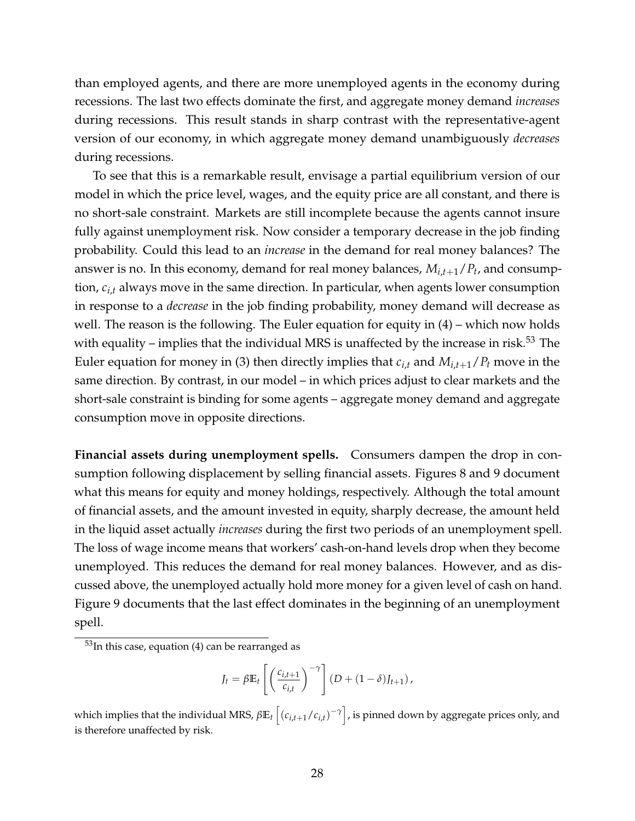than employed agents, and there are more unemployed agents in the economy during recessions. The last two effects dominate the first, and aggregate money demand *increases* during recessions. This result stands in sharp contrast with the representative-agent version of our economy, in which aggregate money demand unambiguously *decreases* during recessions.

To see that this is a remarkable result, envisage a partial equilibrium version of our model in which the price level, wages, and the equity price are all constant, and there is no short-sale constraint. Markets are still incomplete because the agents cannot insure fully against unemployment risk. Now consider a temporary decrease in the job finding probability. Could this lead to an *increase* in the demand for real money balances? The answer is no. In this economy, demand for real money balances, *Mi*,*t*+1/*P<sup>t</sup>* , and consumption, *ci*,*<sup>t</sup>* always move in the same direction. In particular, when agents lower consumption in response to a *decrease* in the job finding probability, money demand will decrease as well. The reason is the following. The Euler equation for equity in (4) – which now holds with equality – implies that the individual MRS is unaffected by the increase in risk.<sup>53</sup> The Euler equation for money in (3) then directly implies that  $c_{i,t}$  and  $M_{i,t+1}/P_t$  move in the same direction. By contrast, in our model – in which prices adjust to clear markets and the short-sale constraint is binding for some agents – aggregate money demand and aggregate consumption move in opposite directions.

**Financial assets during unemployment spells.** Consumers dampen the drop in consumption following displacement by selling financial assets. Figures 8 and 9 document what this means for equity and money holdings, respectively. Although the total amount of financial assets, and the amount invested in equity, sharply decrease, the amount held in the liquid asset actually *increases* during the first two periods of an unemployment spell. The loss of wage income means that workers' cash-on-hand levels drop when they become unemployed. This reduces the demand for real money balances. However, and as discussed above, the unemployed actually hold more money for a given level of cash on hand. Figure 9 documents that the last effect dominates in the beginning of an unemployment spell.

$$
J_t = \beta \mathbb{E}_t \left[ \left( \frac{c_{i,t+1}}{c_{i,t}} \right)^{-\gamma} \right] (D + (1 - \delta) J_{t+1}),
$$

which implies that the individual MRS,  $\beta \mathbb{E}_t\left[(c_{i,t+1}/c_{i,t})^{-\gamma}\right]$ , is pinned down by aggregate prices only, and is therefore unaffected by risk.

 $53$ In this case, equation (4) can be rearranged as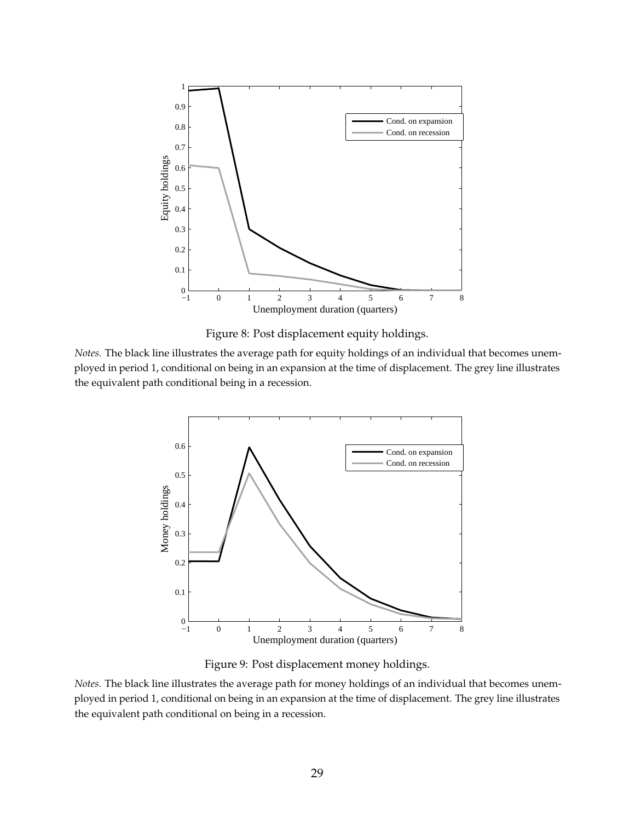



*Notes.* The black line illustrates the average path for equity holdings of an individual that becomes unemployed in period 1, conditional on being in an expansion at the time of displacement. The grey line illustrates the equivalent path conditional being in a recession.



Figure 9: Post displacement money holdings.

*Notes.* The black line illustrates the average path for money holdings of an individual that becomes unemployed in period 1, conditional on being in an expansion at the time of displacement. The grey line illustrates the equivalent path conditional on being in a recession.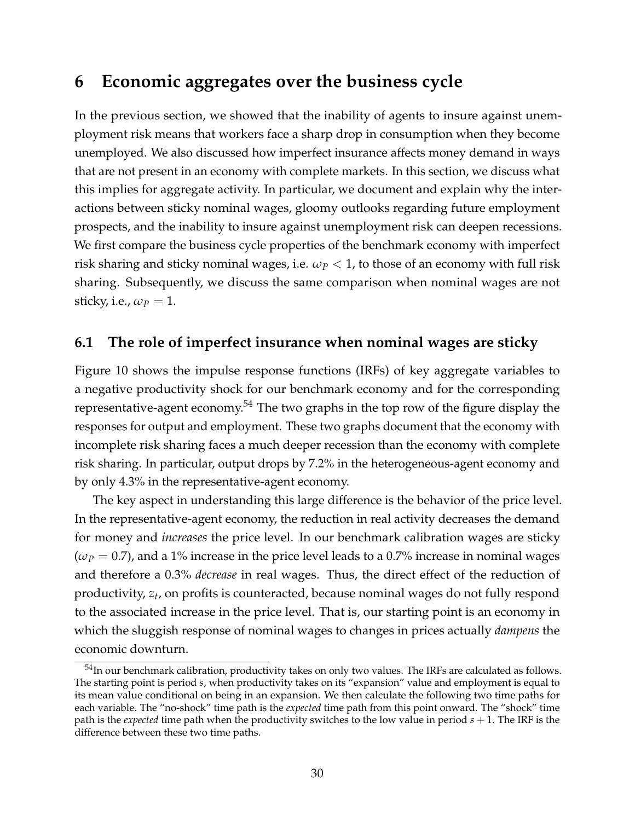## **6 Economic aggregates over the business cycle**

In the previous section, we showed that the inability of agents to insure against unemployment risk means that workers face a sharp drop in consumption when they become unemployed. We also discussed how imperfect insurance affects money demand in ways that are not present in an economy with complete markets. In this section, we discuss what this implies for aggregate activity. In particular, we document and explain why the interactions between sticky nominal wages, gloomy outlooks regarding future employment prospects, and the inability to insure against unemployment risk can deepen recessions. We first compare the business cycle properties of the benchmark economy with imperfect risk sharing and sticky nominal wages, i.e.  $\omega_P < 1$ , to those of an economy with full risk sharing. Subsequently, we discuss the same comparison when nominal wages are not sticky, i.e.,  $\omega_p = 1$ .

### **6.1 The role of imperfect insurance when nominal wages are sticky**

Figure 10 shows the impulse response functions (IRFs) of key aggregate variables to a negative productivity shock for our benchmark economy and for the corresponding representative-agent economy.<sup>54</sup> The two graphs in the top row of the figure display the responses for output and employment. These two graphs document that the economy with incomplete risk sharing faces a much deeper recession than the economy with complete risk sharing. In particular, output drops by 7.2% in the heterogeneous-agent economy and by only 4.3% in the representative-agent economy.

The key aspect in understanding this large difference is the behavior of the price level. In the representative-agent economy, the reduction in real activity decreases the demand for money and *increases* the price level. In our benchmark calibration wages are sticky  $(\omega_P = 0.7)$ , and a 1% increase in the price level leads to a 0.7% increase in nominal wages and therefore a 0.3% *decrease* in real wages. Thus, the direct effect of the reduction of productivity, *z<sup>t</sup>* , on profits is counteracted, because nominal wages do not fully respond to the associated increase in the price level. That is, our starting point is an economy in which the sluggish response of nominal wages to changes in prices actually *dampens* the economic downturn.

<sup>54</sup>In our benchmark calibration, productivity takes on only two values. The IRFs are calculated as follows. The starting point is period *s*, when productivity takes on its "expansion" value and employment is equal to its mean value conditional on being in an expansion. We then calculate the following two time paths for each variable. The "no-shock" time path is the *expected* time path from this point onward. The "shock" time path is the *expected* time path when the productivity switches to the low value in period *s* + 1. The IRF is the difference between these two time paths.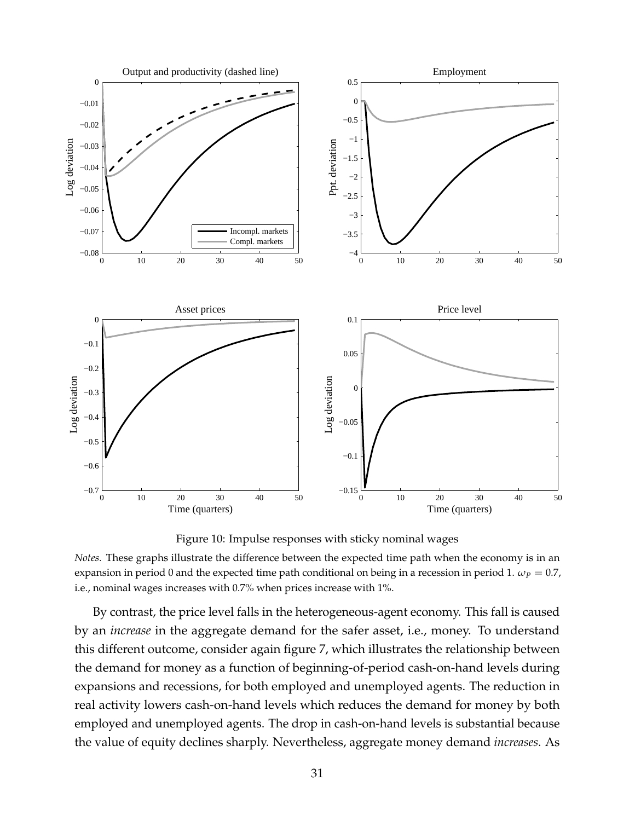

Figure 10: Impulse responses with sticky nominal wages

*Notes.* These graphs illustrate the difference between the expected time path when the economy is in an expansion in period 0 and the expected time path conditional on being in a recession in period 1.  $\omega_p = 0.7$ , i.e., nominal wages increases with 0.7% when prices increase with 1%.

By contrast, the price level falls in the heterogeneous-agent economy. This fall is caused by an *increase* in the aggregate demand for the safer asset, i.e., money. To understand this different outcome, consider again figure 7, which illustrates the relationship between the demand for money as a function of beginning-of-period cash-on-hand levels during expansions and recessions, for both employed and unemployed agents. The reduction in real activity lowers cash-on-hand levels which reduces the demand for money by both employed and unemployed agents. The drop in cash-on-hand levels is substantial because the value of equity declines sharply. Nevertheless, aggregate money demand *increases*. As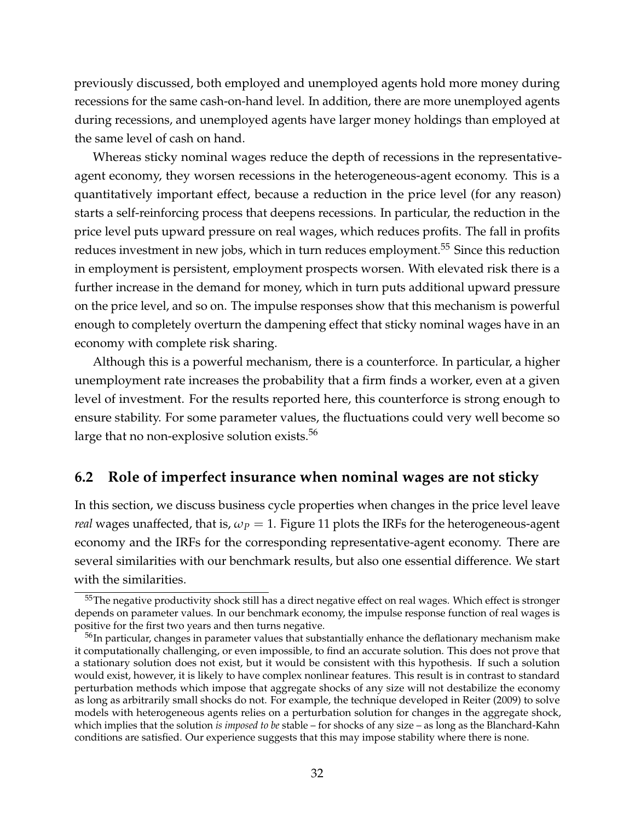previously discussed, both employed and unemployed agents hold more money during recessions for the same cash-on-hand level. In addition, there are more unemployed agents during recessions, and unemployed agents have larger money holdings than employed at the same level of cash on hand.

Whereas sticky nominal wages reduce the depth of recessions in the representativeagent economy, they worsen recessions in the heterogeneous-agent economy. This is a quantitatively important effect, because a reduction in the price level (for any reason) starts a self-reinforcing process that deepens recessions. In particular, the reduction in the price level puts upward pressure on real wages, which reduces profits. The fall in profits reduces investment in new jobs, which in turn reduces employment.<sup>55</sup> Since this reduction in employment is persistent, employment prospects worsen. With elevated risk there is a further increase in the demand for money, which in turn puts additional upward pressure on the price level, and so on. The impulse responses show that this mechanism is powerful enough to completely overturn the dampening effect that sticky nominal wages have in an economy with complete risk sharing.

Although this is a powerful mechanism, there is a counterforce. In particular, a higher unemployment rate increases the probability that a firm finds a worker, even at a given level of investment. For the results reported here, this counterforce is strong enough to ensure stability. For some parameter values, the fluctuations could very well become so large that no non-explosive solution exists.<sup>56</sup>

## **6.2 Role of imperfect insurance when nominal wages are not sticky**

In this section, we discuss business cycle properties when changes in the price level leave *real* wages unaffected, that is,  $\omega_P = 1$ . Figure 11 plots the IRFs for the heterogeneous-agent economy and the IRFs for the corresponding representative-agent economy. There are several similarities with our benchmark results, but also one essential difference. We start with the similarities.

<sup>&</sup>lt;sup>55</sup>The negative productivity shock still has a direct negative effect on real wages. Which effect is stronger depends on parameter values. In our benchmark economy, the impulse response function of real wages is positive for the first two years and then turns negative.

<sup>&</sup>lt;sup>56</sup>In particular, changes in parameter values that substantially enhance the deflationary mechanism make it computationally challenging, or even impossible, to find an accurate solution. This does not prove that a stationary solution does not exist, but it would be consistent with this hypothesis. If such a solution would exist, however, it is likely to have complex nonlinear features. This result is in contrast to standard perturbation methods which impose that aggregate shocks of any size will not destabilize the economy as long as arbitrarily small shocks do not. For example, the technique developed in Reiter (2009) to solve models with heterogeneous agents relies on a perturbation solution for changes in the aggregate shock, which implies that the solution *is imposed to be* stable – for shocks of any size – as long as the Blanchard-Kahn conditions are satisfied. Our experience suggests that this may impose stability where there is none.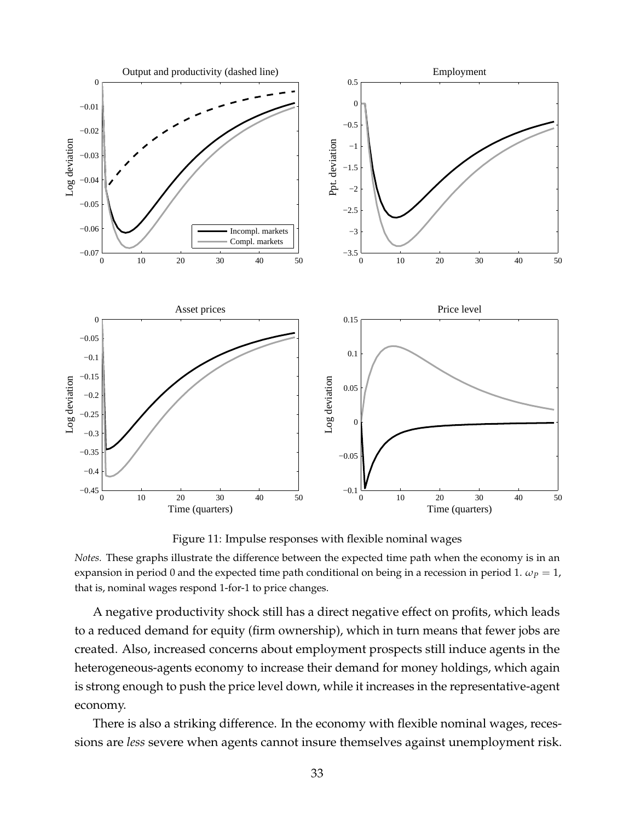

Figure 11: Impulse responses with flexible nominal wages

*Notes.* These graphs illustrate the difference between the expected time path when the economy is in an expansion in period 0 and the expected time path conditional on being in a recession in period 1.  $\omega_P = 1$ , that is, nominal wages respond 1-for-1 to price changes.

A negative productivity shock still has a direct negative effect on profits, which leads to a reduced demand for equity (firm ownership), which in turn means that fewer jobs are created. Also, increased concerns about employment prospects still induce agents in the heterogeneous-agents economy to increase their demand for money holdings, which again is strong enough to push the price level down, while it increases in the representative-agent economy.

There is also a striking difference. In the economy with flexible nominal wages, recessions are *less* severe when agents cannot insure themselves against unemployment risk.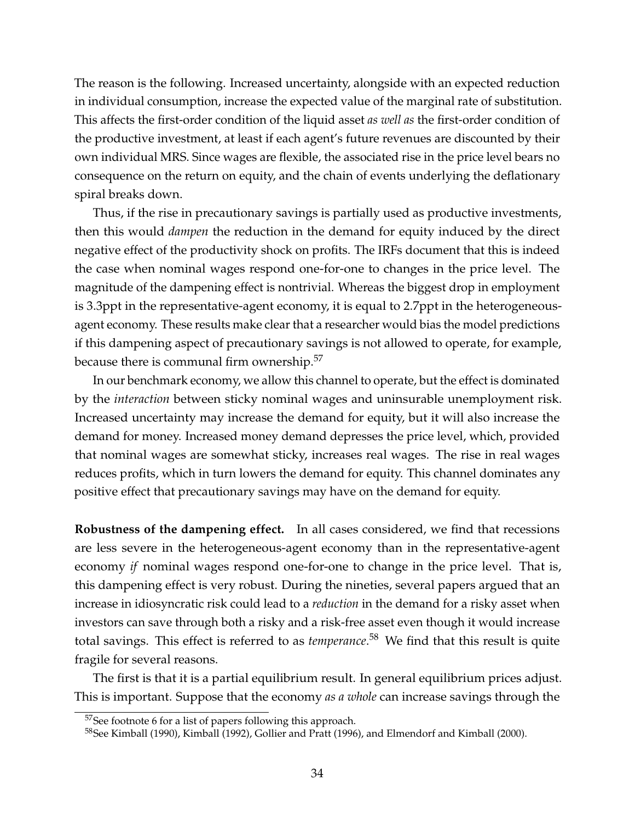The reason is the following. Increased uncertainty, alongside with an expected reduction in individual consumption, increase the expected value of the marginal rate of substitution. This affects the first-order condition of the liquid asset *as well as* the first-order condition of the productive investment, at least if each agent's future revenues are discounted by their own individual MRS. Since wages are flexible, the associated rise in the price level bears no consequence on the return on equity, and the chain of events underlying the deflationary spiral breaks down.

Thus, if the rise in precautionary savings is partially used as productive investments, then this would *dampen* the reduction in the demand for equity induced by the direct negative effect of the productivity shock on profits. The IRFs document that this is indeed the case when nominal wages respond one-for-one to changes in the price level. The magnitude of the dampening effect is nontrivial. Whereas the biggest drop in employment is 3.3ppt in the representative-agent economy, it is equal to 2.7ppt in the heterogeneousagent economy. These results make clear that a researcher would bias the model predictions if this dampening aspect of precautionary savings is not allowed to operate, for example, because there is communal firm ownership.<sup>57</sup>

In our benchmark economy, we allow this channel to operate, but the effect is dominated by the *interaction* between sticky nominal wages and uninsurable unemployment risk. Increased uncertainty may increase the demand for equity, but it will also increase the demand for money. Increased money demand depresses the price level, which, provided that nominal wages are somewhat sticky, increases real wages. The rise in real wages reduces profits, which in turn lowers the demand for equity. This channel dominates any positive effect that precautionary savings may have on the demand for equity.

**Robustness of the dampening effect.** In all cases considered, we find that recessions are less severe in the heterogeneous-agent economy than in the representative-agent economy *if* nominal wages respond one-for-one to change in the price level. That is, this dampening effect is very robust. During the nineties, several papers argued that an increase in idiosyncratic risk could lead to a *reduction* in the demand for a risky asset when investors can save through both a risky and a risk-free asset even though it would increase total savings. This effect is referred to as *temperance*. <sup>58</sup> We find that this result is quite fragile for several reasons.

The first is that it is a partial equilibrium result. In general equilibrium prices adjust. This is important. Suppose that the economy *as a whole* can increase savings through the

<sup>&</sup>lt;sup>57</sup>See footnote 6 for a list of papers following this approach.

<sup>&</sup>lt;sup>58</sup>See Kimball (1990), Kimball (1992), Gollier and Pratt (1996), and Elmendorf and Kimball (2000).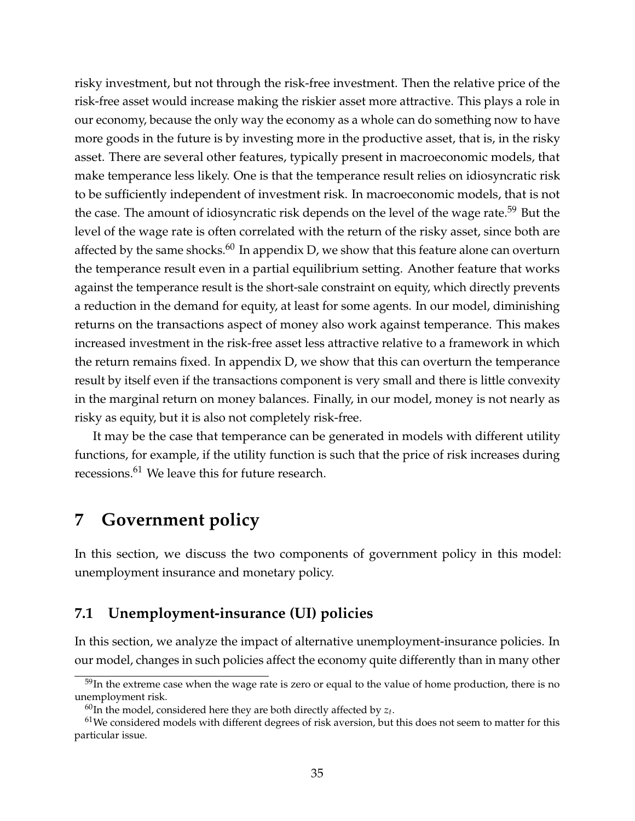risky investment, but not through the risk-free investment. Then the relative price of the risk-free asset would increase making the riskier asset more attractive. This plays a role in our economy, because the only way the economy as a whole can do something now to have more goods in the future is by investing more in the productive asset, that is, in the risky asset. There are several other features, typically present in macroeconomic models, that make temperance less likely. One is that the temperance result relies on idiosyncratic risk to be sufficiently independent of investment risk. In macroeconomic models, that is not the case. The amount of idiosyncratic risk depends on the level of the wage rate.<sup>59</sup> But the level of the wage rate is often correlated with the return of the risky asset, since both are affected by the same shocks. $60$  In appendix D, we show that this feature alone can overturn the temperance result even in a partial equilibrium setting. Another feature that works against the temperance result is the short-sale constraint on equity, which directly prevents a reduction in the demand for equity, at least for some agents. In our model, diminishing returns on the transactions aspect of money also work against temperance. This makes increased investment in the risk-free asset less attractive relative to a framework in which the return remains fixed. In appendix D, we show that this can overturn the temperance result by itself even if the transactions component is very small and there is little convexity in the marginal return on money balances. Finally, in our model, money is not nearly as risky as equity, but it is also not completely risk-free.

It may be the case that temperance can be generated in models with different utility functions, for example, if the utility function is such that the price of risk increases during recessions.<sup>61</sup> We leave this for future research.

## **7 Government policy**

In this section, we discuss the two components of government policy in this model: unemployment insurance and monetary policy.

## **7.1 Unemployment-insurance (UI) policies**

In this section, we analyze the impact of alternative unemployment-insurance policies. In our model, changes in such policies affect the economy quite differently than in many other

 $59$ In the extreme case when the wage rate is zero or equal to the value of home production, there is no unemployment risk.

 $^{60}$ In the model, considered here they are both directly affected by  $z_t$ .

 $61$ We considered models with different degrees of risk aversion, but this does not seem to matter for this particular issue.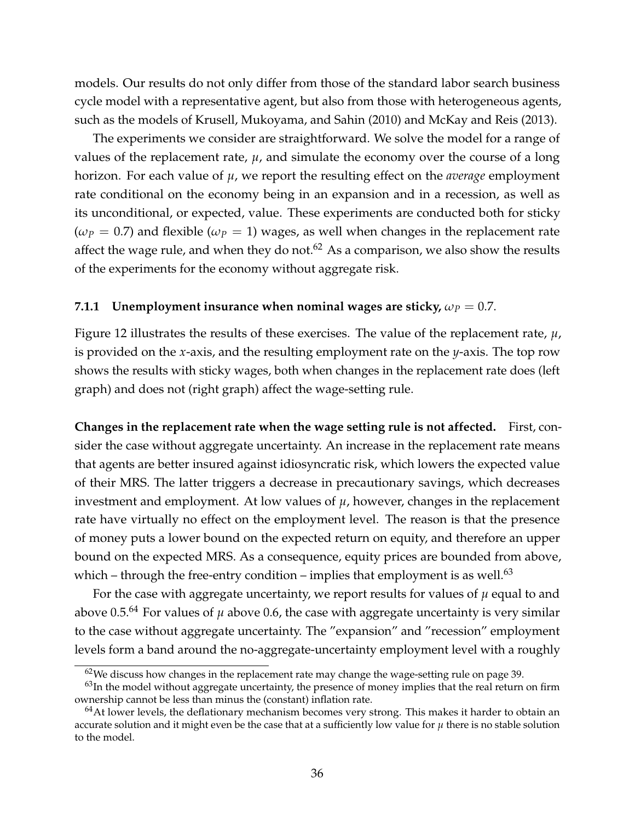models. Our results do not only differ from those of the standard labor search business cycle model with a representative agent, but also from those with heterogeneous agents, such as the models of Krusell, Mukoyama, and Sahin (2010) and McKay and Reis (2013).

The experiments we consider are straightforward. We solve the model for a range of values of the replacement rate,  $\mu$ , and simulate the economy over the course of a long horizon. For each value of *µ*, we report the resulting effect on the *average* employment rate conditional on the economy being in an expansion and in a recession, as well as its unconditional, or expected, value. These experiments are conducted both for sticky  $(\omega_P = 0.7)$  and flexible  $(\omega_P = 1)$  wages, as well when changes in the replacement rate affect the wage rule, and when they do not. $62$  As a comparison, we also show the results of the experiments for the economy without aggregate risk.

#### **7.1.1 Unemployment insurance when nominal wages are sticky,**  $\omega_P = 0.7$ **.**

Figure 12 illustrates the results of these exercises. The value of the replacement rate, *µ*, is provided on the *x*-axis, and the resulting employment rate on the *y*-axis. The top row shows the results with sticky wages, both when changes in the replacement rate does (left graph) and does not (right graph) affect the wage-setting rule.

**Changes in the replacement rate when the wage setting rule is not affected.** First, consider the case without aggregate uncertainty. An increase in the replacement rate means that agents are better insured against idiosyncratic risk, which lowers the expected value of their MRS. The latter triggers a decrease in precautionary savings, which decreases investment and employment. At low values of *µ*, however, changes in the replacement rate have virtually no effect on the employment level. The reason is that the presence of money puts a lower bound on the expected return on equity, and therefore an upper bound on the expected MRS. As a consequence, equity prices are bounded from above, which – through the free-entry condition – implies that employment is as well.<sup>63</sup>

For the case with aggregate uncertainty, we report results for values of  $\mu$  equal to and above 0.5.<sup>64</sup> For values of  $\mu$  above 0.6, the case with aggregate uncertainty is very similar to the case without aggregate uncertainty. The "expansion" and "recession" employment levels form a band around the no-aggregate-uncertainty employment level with a roughly

 $62$ We discuss how changes in the replacement rate may change the wage-setting rule on page 39.

 $63$ In the model without aggregate uncertainty, the presence of money implies that the real return on firm ownership cannot be less than minus the (constant) inflation rate.

 $64$ At lower levels, the deflationary mechanism becomes very strong. This makes it harder to obtain an accurate solution and it might even be the case that at a sufficiently low value for *µ* there is no stable solution to the model.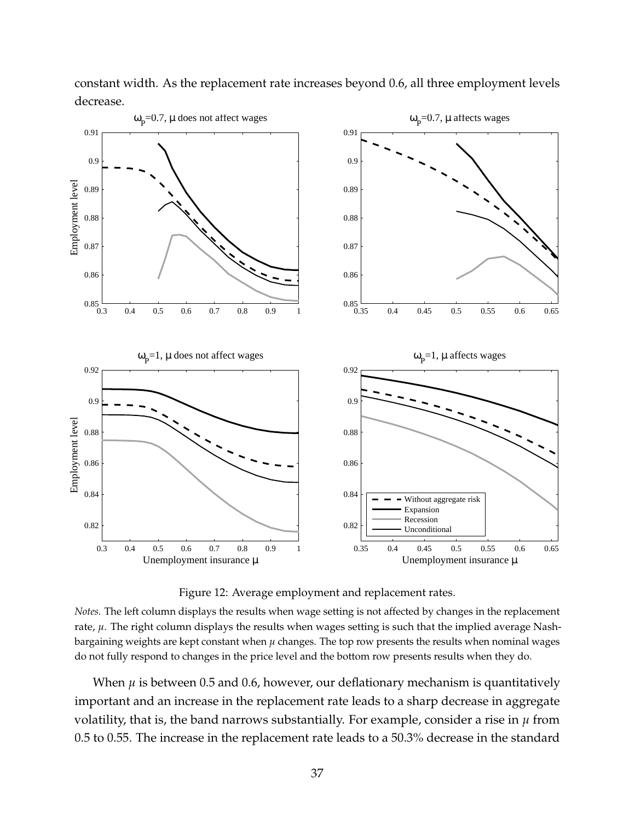

constant width. As the replacement rate increases beyond 0.6, all three employment levels decrease.

Figure 12: Average employment and replacement rates.

*Notes.* The left column displays the results when wage setting is not affected by changes in the replacement rate, *µ*. The right column displays the results when wages setting is such that the implied average Nashbargaining weights are kept constant when  $\mu$  changes. The top row presents the results when nominal wages do not fully respond to changes in the price level and the bottom row presents results when they do.

When *µ* is between 0.5 and 0.6, however, our deflationary mechanism is quantitatively important and an increase in the replacement rate leads to a sharp decrease in aggregate volatility, that is, the band narrows substantially. For example, consider a rise in *µ* from 0.5 to 0.55. The increase in the replacement rate leads to a 50.3% decrease in the standard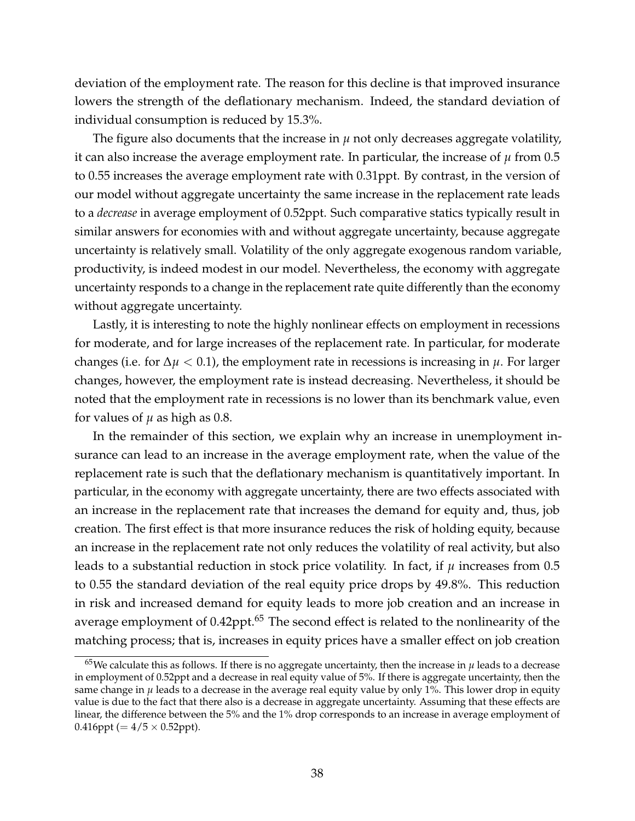deviation of the employment rate. The reason for this decline is that improved insurance lowers the strength of the deflationary mechanism. Indeed, the standard deviation of individual consumption is reduced by 15.3%.

The figure also documents that the increase in  $\mu$  not only decreases aggregate volatility, it can also increase the average employment rate. In particular, the increase of  $\mu$  from 0.5 to 0.55 increases the average employment rate with 0.31ppt. By contrast, in the version of our model without aggregate uncertainty the same increase in the replacement rate leads to a *decrease* in average employment of 0.52ppt. Such comparative statics typically result in similar answers for economies with and without aggregate uncertainty, because aggregate uncertainty is relatively small. Volatility of the only aggregate exogenous random variable, productivity, is indeed modest in our model. Nevertheless, the economy with aggregate uncertainty responds to a change in the replacement rate quite differently than the economy without aggregate uncertainty.

Lastly, it is interesting to note the highly nonlinear effects on employment in recessions for moderate, and for large increases of the replacement rate. In particular, for moderate changes (i.e. for  $\Delta \mu < 0.1$ ), the employment rate in recessions is increasing in  $\mu$ . For larger changes, however, the employment rate is instead decreasing. Nevertheless, it should be noted that the employment rate in recessions is no lower than its benchmark value, even for values of  $\mu$  as high as 0.8.

In the remainder of this section, we explain why an increase in unemployment insurance can lead to an increase in the average employment rate, when the value of the replacement rate is such that the deflationary mechanism is quantitatively important. In particular, in the economy with aggregate uncertainty, there are two effects associated with an increase in the replacement rate that increases the demand for equity and, thus, job creation. The first effect is that more insurance reduces the risk of holding equity, because an increase in the replacement rate not only reduces the volatility of real activity, but also leads to a substantial reduction in stock price volatility. In fact, if *µ* increases from 0.5 to 0.55 the standard deviation of the real equity price drops by 49.8%. This reduction in risk and increased demand for equity leads to more job creation and an increase in average employment of 0.42ppt.<sup>65</sup> The second effect is related to the nonlinearity of the matching process; that is, increases in equity prices have a smaller effect on job creation

 $65$ We calculate this as follows. If there is no aggregate uncertainty, then the increase in  $\mu$  leads to a decrease in employment of 0.52ppt and a decrease in real equity value of 5%. If there is aggregate uncertainty, then the same change in  $\mu$  leads to a decrease in the average real equity value by only 1%. This lower drop in equity value is due to the fact that there also is a decrease in aggregate uncertainty. Assuming that these effects are linear, the difference between the 5% and the 1% drop corresponds to an increase in average employment of 0.416ppt ( $= 4/5 \times 0.52$ ppt).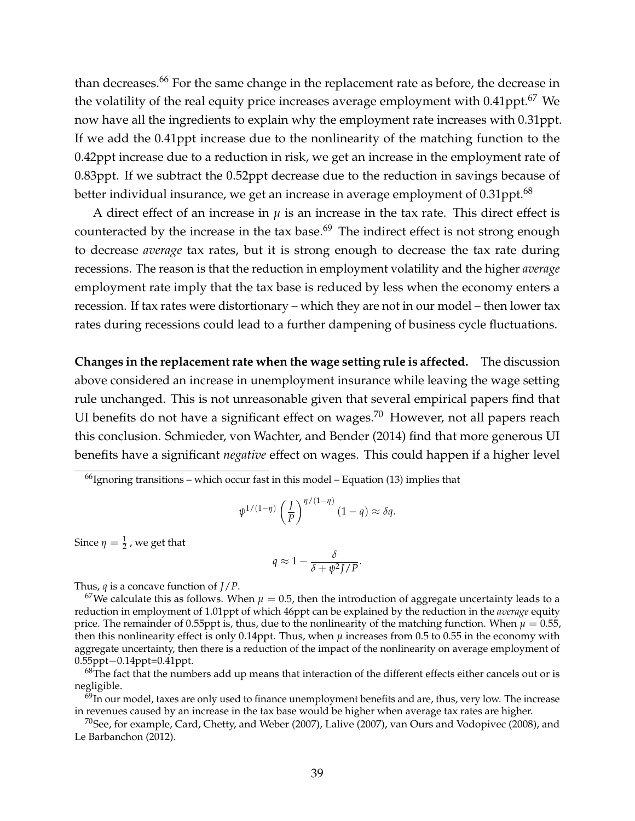than decreases.<sup>66</sup> For the same change in the replacement rate as before, the decrease in the volatility of the real equity price increases average employment with 0.41ppt.<sup>67</sup> We now have all the ingredients to explain why the employment rate increases with 0.31ppt. If we add the 0.41ppt increase due to the nonlinearity of the matching function to the 0.42ppt increase due to a reduction in risk, we get an increase in the employment rate of 0.83ppt. If we subtract the 0.52ppt decrease due to the reduction in savings because of better individual insurance, we get an increase in average employment of  $0.31$ ppt.<sup>68</sup>

A direct effect of an increase in  $\mu$  is an increase in the tax rate. This direct effect is counteracted by the increase in the tax base.<sup>69</sup> The indirect effect is not strong enough to decrease *average* tax rates, but it is strong enough to decrease the tax rate during recessions. The reason is that the reduction in employment volatility and the higher *average* employment rate imply that the tax base is reduced by less when the economy enters a recession. If tax rates were distortionary – which they are not in our model – then lower tax rates during recessions could lead to a further dampening of business cycle fluctuations.

**Changes in the replacement rate when the wage setting rule is affected.** The discussion above considered an increase in unemployment insurance while leaving the wage setting rule unchanged. This is not unreasonable given that several empirical papers find that UI benefits do not have a significant effect on wages.<sup>70</sup> However, not all papers reach this conclusion. Schmieder, von Wachter, and Bender (2014) find that more generous UI benefits have a significant *negative* effect on wages. This could happen if a higher level

 $66$ Ignoring transitions – which occur fast in this model – Equation (13) implies that

$$
\psi^{1/(1-\eta)}\left(\frac{J}{P}\right)^{\eta/(1-\eta)}(1-q) \approx \delta q.
$$

Since  $\eta = \frac{1}{2}$  , we get that

$$
q \approx 1 - \frac{\delta}{\delta + \psi^2 J/P}.
$$

Thus, *q* is a concave function of *J*/*P*.

<sup>67</sup>We calculate this as follows. When  $\mu = 0.5$ , then the introduction of aggregate uncertainty leads to a reduction in employment of 1.01ppt of which 46ppt can be explained by the reduction in the *average* equity price. The remainder of 0.55ppt is, thus, due to the nonlinearity of the matching function. When  $\mu = 0.55$ , then this nonlinearity effect is only 0.14ppt. Thus, when  $\mu$  increases from 0.5 to 0.55 in the economy with aggregate uncertainty, then there is a reduction of the impact of the nonlinearity on average employment of 0.55ppt−0.14ppt=0.41ppt.

 $68$ The fact that the numbers add up means that interaction of the different effects either cancels out or is negligible.

 $^{69}$ In our model, taxes are only used to finance unemployment benefits and are, thus, very low. The increase in revenues caused by an increase in the tax base would be higher when average tax rates are higher.

 $^{70}$ See, for example, Card, Chetty, and Weber (2007), Lalive (2007), van Ours and Vodopivec (2008), and Le Barbanchon (2012).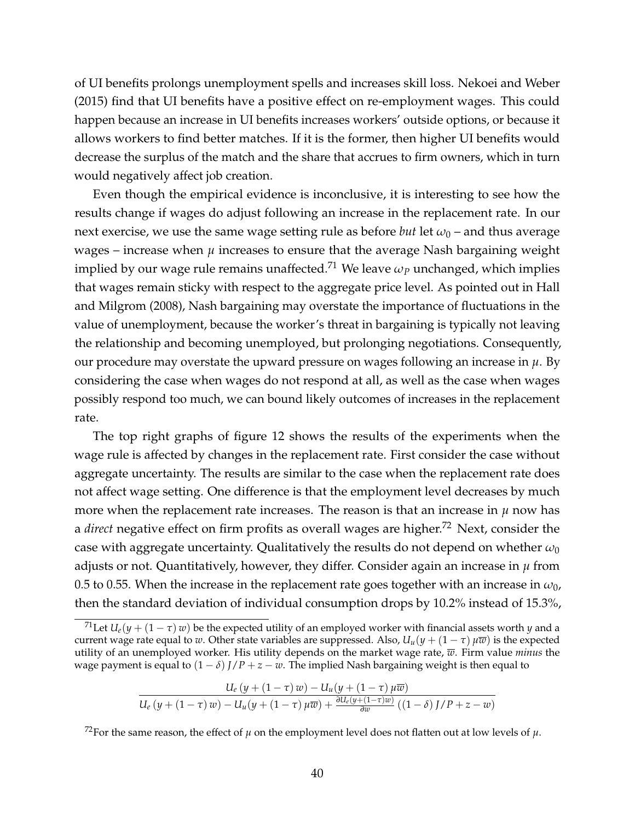of UI benefits prolongs unemployment spells and increases skill loss. Nekoei and Weber (2015) find that UI benefits have a positive effect on re-employment wages. This could happen because an increase in UI benefits increases workers' outside options, or because it allows workers to find better matches. If it is the former, then higher UI benefits would decrease the surplus of the match and the share that accrues to firm owners, which in turn would negatively affect job creation.

Even though the empirical evidence is inconclusive, it is interesting to see how the results change if wages do adjust following an increase in the replacement rate. In our next exercise, we use the same wage setting rule as before *but* let  $\omega_0$  – and thus average wages – increase when  $\mu$  increases to ensure that the average Nash bargaining weight implied by our wage rule remains unaffected.<sup>71</sup> We leave  $\omega_p$  unchanged, which implies that wages remain sticky with respect to the aggregate price level. As pointed out in Hall and Milgrom (2008), Nash bargaining may overstate the importance of fluctuations in the value of unemployment, because the worker's threat in bargaining is typically not leaving the relationship and becoming unemployed, but prolonging negotiations. Consequently, our procedure may overstate the upward pressure on wages following an increase in  $\mu$ . By considering the case when wages do not respond at all, as well as the case when wages possibly respond too much, we can bound likely outcomes of increases in the replacement rate.

The top right graphs of figure 12 shows the results of the experiments when the wage rule is affected by changes in the replacement rate. First consider the case without aggregate uncertainty. The results are similar to the case when the replacement rate does not affect wage setting. One difference is that the employment level decreases by much more when the replacement rate increases. The reason is that an increase in  $\mu$  now has a *direct* negative effect on firm profits as overall wages are higher.<sup>72</sup> Next, consider the case with aggregate uncertainty. Qualitatively the results do not depend on whether  $\omega_0$ adjusts or not. Quantitatively, however, they differ. Consider again an increase in *µ* from 0.5 to 0.55. When the increase in the replacement rate goes together with an increase in  $\omega_0$ , then the standard deviation of individual consumption drops by 10.2% instead of 15.3%,

$$
\frac{U_e(y+(1-\tau) w)-U_u(y+(1-\tau) \mu \overline{w})}{U_e(y+(1-\tau) w)-U_u(y+(1-\tau) \mu \overline{w})+\frac{\partial U_e(y+(1-\tau) w)}{\partial w}((1-\delta) J/P+z-w)}
$$

<sup>72</sup>For the same reason, the effect of  $\mu$  on the employment level does not flatten out at low levels of  $\mu$ .

<sup>&</sup>lt;sup>71</sup>Let  $U_e(y + (1 - \tau) w)$  be the expected utility of an employed worker with financial assets worth *y* and a current wage rate equal to *w*. Other state variables are suppressed. Also,  $U_u(y + (1 - \tau) \mu \overline{w})$  is the expected utility of an unemployed worker. His utility depends on the market wage rate, *w*. Firm value *minus* the wage payment is equal to  $(1 - \delta) J/P + z - w$ . The implied Nash bargaining weight is then equal to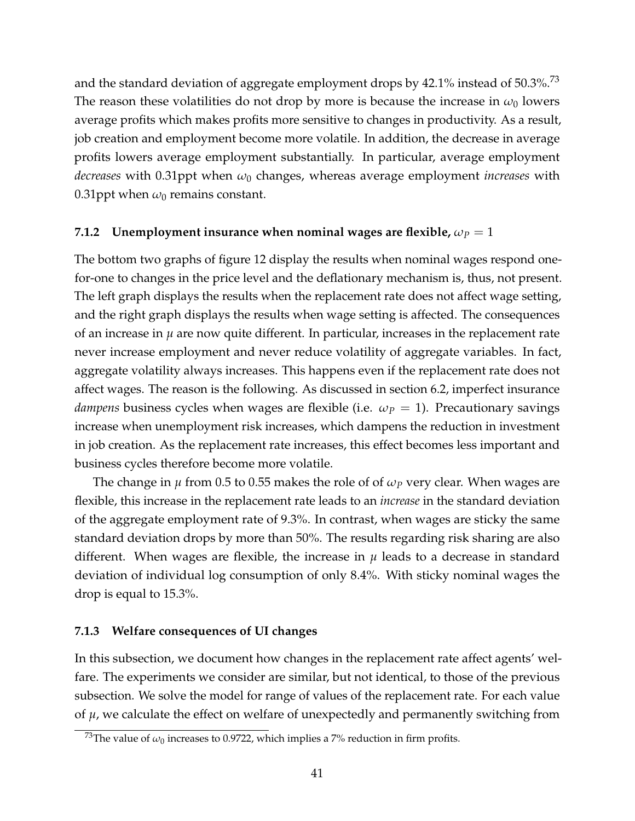and the standard deviation of aggregate employment drops by  $42.1\%$  instead of  $50.3\%$ .<sup>73</sup> The reason these volatilities do not drop by more is because the increase in  $\omega_0$  lowers average profits which makes profits more sensitive to changes in productivity. As a result, job creation and employment become more volatile. In addition, the decrease in average profits lowers average employment substantially. In particular, average employment *decreases* with 0.31ppt when *ω*<sup>0</sup> changes, whereas average employment *increases* with 0.31ppt when  $\omega_0$  remains constant.

#### **7.1.2** Unemployment insurance when nominal wages are flexible,  $\omega_P = 1$

The bottom two graphs of figure 12 display the results when nominal wages respond onefor-one to changes in the price level and the deflationary mechanism is, thus, not present. The left graph displays the results when the replacement rate does not affect wage setting, and the right graph displays the results when wage setting is affected. The consequences of an increase in  $\mu$  are now quite different. In particular, increases in the replacement rate never increase employment and never reduce volatility of aggregate variables. In fact, aggregate volatility always increases. This happens even if the replacement rate does not affect wages. The reason is the following. As discussed in section 6.2, imperfect insurance *dampens* business cycles when wages are flexible (i.e.  $\omega_P = 1$ ). Precautionary savings increase when unemployment risk increases, which dampens the reduction in investment in job creation. As the replacement rate increases, this effect becomes less important and business cycles therefore become more volatile.

The change in *µ* from 0.5 to 0.55 makes the role of of *ω<sup>P</sup>* very clear. When wages are flexible, this increase in the replacement rate leads to an *increase* in the standard deviation of the aggregate employment rate of 9.3%. In contrast, when wages are sticky the same standard deviation drops by more than 50%. The results regarding risk sharing are also different. When wages are flexible, the increase in  $\mu$  leads to a decrease in standard deviation of individual log consumption of only 8.4%. With sticky nominal wages the drop is equal to 15.3%.

#### **7.1.3 Welfare consequences of UI changes**

In this subsection, we document how changes in the replacement rate affect agents' welfare. The experiments we consider are similar, but not identical, to those of the previous subsection. We solve the model for range of values of the replacement rate. For each value of *µ*, we calculate the effect on welfare of unexpectedly and permanently switching from

<sup>&</sup>lt;sup>73</sup>The value of  $\omega_0$  increases to 0.9722, which implies a 7% reduction in firm profits.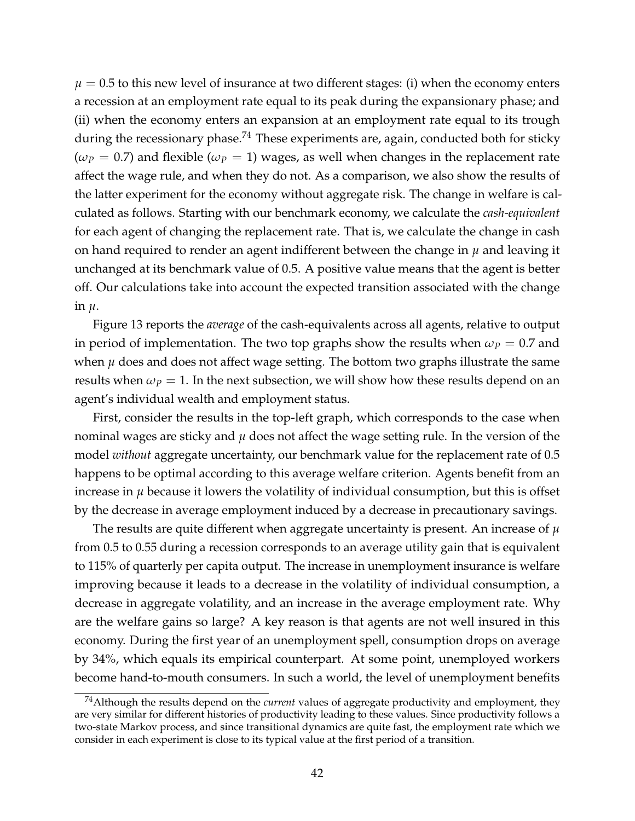$\mu = 0.5$  to this new level of insurance at two different stages: (i) when the economy enters a recession at an employment rate equal to its peak during the expansionary phase; and (ii) when the economy enters an expansion at an employment rate equal to its trough during the recessionary phase.<sup>74</sup> These experiments are, again, conducted both for sticky  $(\omega_P = 0.7)$  and flexible  $(\omega_P = 1)$  wages, as well when changes in the replacement rate affect the wage rule, and when they do not. As a comparison, we also show the results of the latter experiment for the economy without aggregate risk. The change in welfare is calculated as follows. Starting with our benchmark economy, we calculate the *cash-equivalent* for each agent of changing the replacement rate. That is, we calculate the change in cash on hand required to render an agent indifferent between the change in *µ* and leaving it unchanged at its benchmark value of 0.5. A positive value means that the agent is better off. Our calculations take into account the expected transition associated with the change in *µ*.

Figure 13 reports the *average* of the cash-equivalents across all agents, relative to output in period of implementation. The two top graphs show the results when  $\omega_p = 0.7$  and when  $\mu$  does and does not affect wage setting. The bottom two graphs illustrate the same results when  $\omega_p = 1$ . In the next subsection, we will show how these results depend on an agent's individual wealth and employment status.

First, consider the results in the top-left graph, which corresponds to the case when nominal wages are sticky and *µ* does not affect the wage setting rule. In the version of the model *without* aggregate uncertainty, our benchmark value for the replacement rate of 0.5 happens to be optimal according to this average welfare criterion. Agents benefit from an increase in  $\mu$  because it lowers the volatility of individual consumption, but this is offset by the decrease in average employment induced by a decrease in precautionary savings.

The results are quite different when aggregate uncertainty is present. An increase of *µ* from 0.5 to 0.55 during a recession corresponds to an average utility gain that is equivalent to 115% of quarterly per capita output. The increase in unemployment insurance is welfare improving because it leads to a decrease in the volatility of individual consumption, a decrease in aggregate volatility, and an increase in the average employment rate. Why are the welfare gains so large? A key reason is that agents are not well insured in this economy. During the first year of an unemployment spell, consumption drops on average by 34%, which equals its empirical counterpart. At some point, unemployed workers become hand-to-mouth consumers. In such a world, the level of unemployment benefits

<sup>74</sup>Although the results depend on the *current* values of aggregate productivity and employment, they are very similar for different histories of productivity leading to these values. Since productivity follows a two-state Markov process, and since transitional dynamics are quite fast, the employment rate which we consider in each experiment is close to its typical value at the first period of a transition.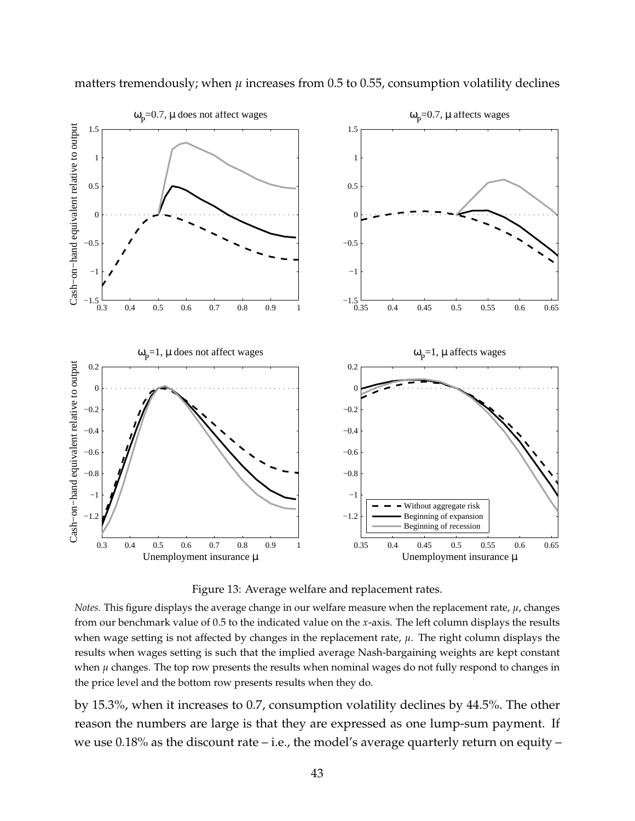

matters tremendously; when  $\mu$  increases from 0.5 to 0.55, consumption volatility declines

Figure 13: Average welfare and replacement rates.

*Notes.* This figure displays the average change in our welfare measure when the replacement rate, *µ*, changes from our benchmark value of 0.5 to the indicated value on the *x*-axis. The left column displays the results when wage setting is not affected by changes in the replacement rate, *µ*. The right column displays the results when wages setting is such that the implied average Nash-bargaining weights are kept constant when  $\mu$  changes. The top row presents the results when nominal wages do not fully respond to changes in the price level and the bottom row presents results when they do.

by 15.3%, when it increases to 0.7, consumption volatility declines by 44.5%. The other reason the numbers are large is that they are expressed as one lump-sum payment. If we use  $0.18\%$  as the discount rate – i.e., the model's average quarterly return on equity –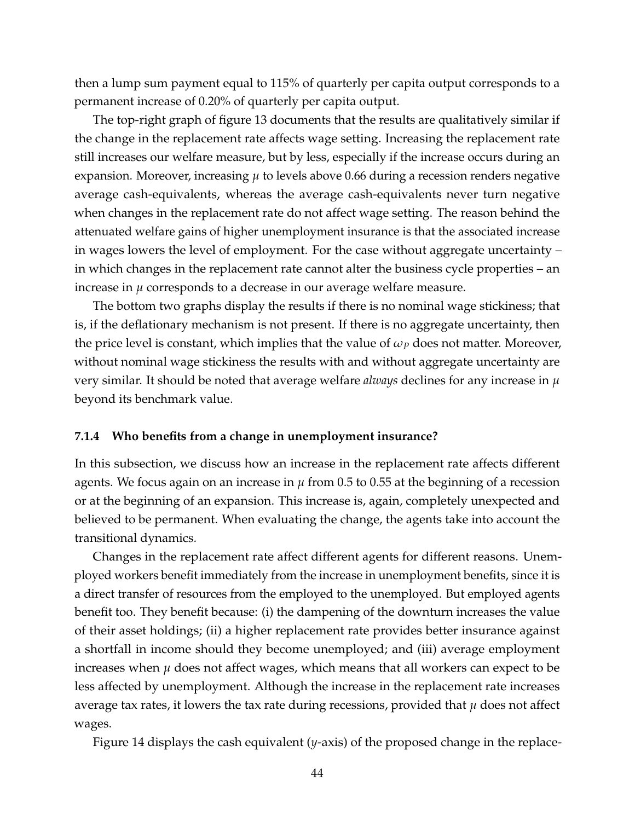then a lump sum payment equal to 115% of quarterly per capita output corresponds to a permanent increase of 0.20% of quarterly per capita output.

The top-right graph of figure 13 documents that the results are qualitatively similar if the change in the replacement rate affects wage setting. Increasing the replacement rate still increases our welfare measure, but by less, especially if the increase occurs during an expansion. Moreover, increasing *µ* to levels above 0.66 during a recession renders negative average cash-equivalents, whereas the average cash-equivalents never turn negative when changes in the replacement rate do not affect wage setting. The reason behind the attenuated welfare gains of higher unemployment insurance is that the associated increase in wages lowers the level of employment. For the case without aggregate uncertainty – in which changes in the replacement rate cannot alter the business cycle properties – an increase in *µ* corresponds to a decrease in our average welfare measure.

The bottom two graphs display the results if there is no nominal wage stickiness; that is, if the deflationary mechanism is not present. If there is no aggregate uncertainty, then the price level is constant, which implies that the value of *ω<sup>P</sup>* does not matter. Moreover, without nominal wage stickiness the results with and without aggregate uncertainty are very similar. It should be noted that average welfare *always* declines for any increase in *µ* beyond its benchmark value.

#### **7.1.4 Who benefits from a change in unemployment insurance?**

In this subsection, we discuss how an increase in the replacement rate affects different agents. We focus again on an increase in  $\mu$  from 0.5 to 0.55 at the beginning of a recession or at the beginning of an expansion. This increase is, again, completely unexpected and believed to be permanent. When evaluating the change, the agents take into account the transitional dynamics.

Changes in the replacement rate affect different agents for different reasons. Unemployed workers benefit immediately from the increase in unemployment benefits, since it is a direct transfer of resources from the employed to the unemployed. But employed agents benefit too. They benefit because: (i) the dampening of the downturn increases the value of their asset holdings; (ii) a higher replacement rate provides better insurance against a shortfall in income should they become unemployed; and (iii) average employment increases when  $\mu$  does not affect wages, which means that all workers can expect to be less affected by unemployment. Although the increase in the replacement rate increases average tax rates, it lowers the tax rate during recessions, provided that  $\mu$  does not affect wages.

Figure 14 displays the cash equivalent (*y*-axis) of the proposed change in the replace-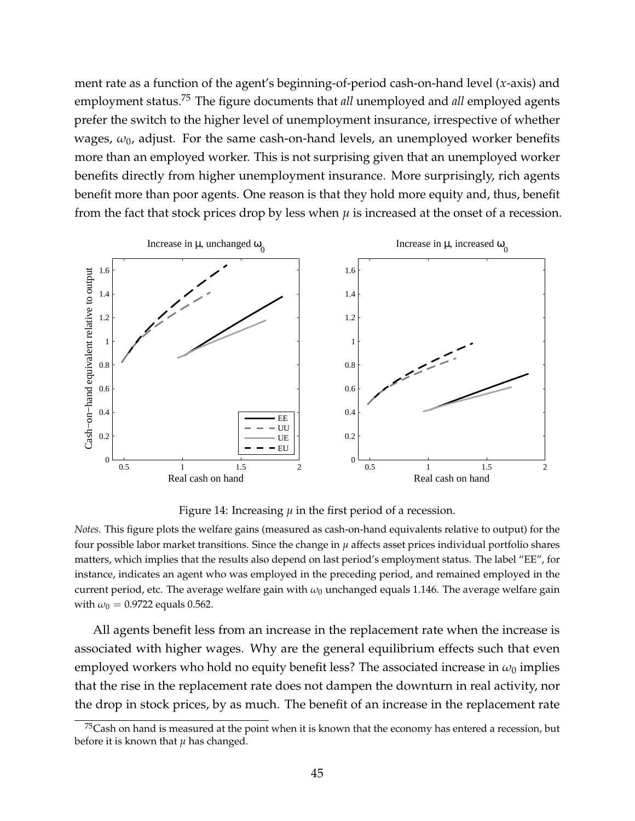ment rate as a function of the agent's beginning-of-period cash-on-hand level (*x*-axis) and employment status.<sup>75</sup> The figure documents that *all* unemployed and *all* employed agents prefer the switch to the higher level of unemployment insurance, irrespective of whether wages,  $\omega_0$ , adjust. For the same cash-on-hand levels, an unemployed worker benefits more than an employed worker. This is not surprising given that an unemployed worker benefits directly from higher unemployment insurance. More surprisingly, rich agents benefit more than poor agents. One reason is that they hold more equity and, thus, benefit from the fact that stock prices drop by less when  $\mu$  is increased at the onset of a recession.



Figure 14: Increasing  $\mu$  in the first period of a recession.

*Notes.* This figure plots the welfare gains (measured as cash-on-hand equivalents relative to output) for the four possible labor market transitions. Since the change in  $\mu$  affects asset prices individual portfolio shares matters, which implies that the results also depend on last period's employment status. The label "EE", for instance, indicates an agent who was employed in the preceding period, and remained employed in the current period, etc. The average welfare gain with  $\omega_0$  unchanged equals 1.146. The average welfare gain with  $\omega_0 = 0.9722$  equals 0.562.

All agents benefit less from an increase in the replacement rate when the increase is associated with higher wages. Why are the general equilibrium effects such that even employed workers who hold no equity benefit less? The associated increase in  $\omega_0$  implies that the rise in the replacement rate does not dampen the downturn in real activity, nor the drop in stock prices, by as much. The benefit of an increase in the replacement rate

 $^{75}$ Cash on hand is measured at the point when it is known that the economy has entered a recession, but before it is known that  $\mu$  has changed.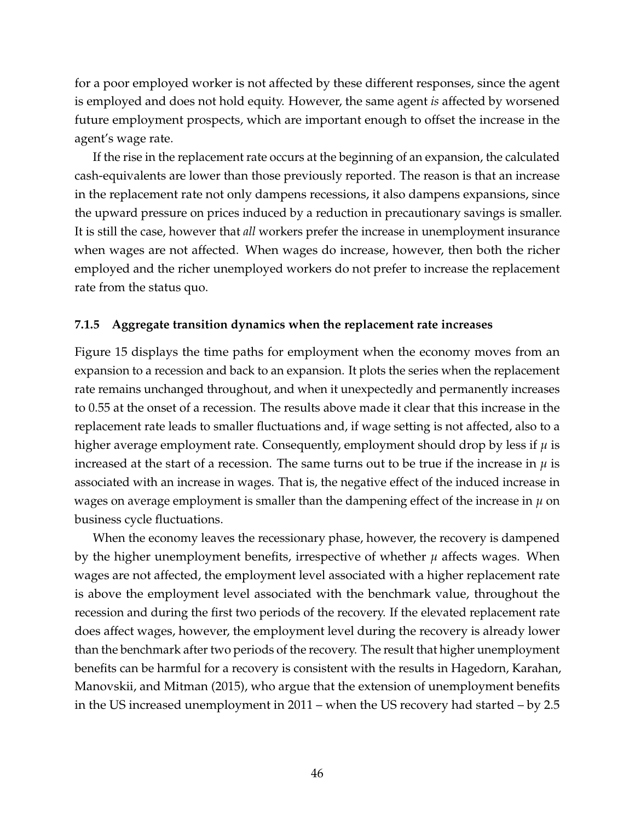for a poor employed worker is not affected by these different responses, since the agent is employed and does not hold equity. However, the same agent *is* affected by worsened future employment prospects, which are important enough to offset the increase in the agent's wage rate.

If the rise in the replacement rate occurs at the beginning of an expansion, the calculated cash-equivalents are lower than those previously reported. The reason is that an increase in the replacement rate not only dampens recessions, it also dampens expansions, since the upward pressure on prices induced by a reduction in precautionary savings is smaller. It is still the case, however that *all* workers prefer the increase in unemployment insurance when wages are not affected. When wages do increase, however, then both the richer employed and the richer unemployed workers do not prefer to increase the replacement rate from the status quo.

### **7.1.5 Aggregate transition dynamics when the replacement rate increases**

Figure 15 displays the time paths for employment when the economy moves from an expansion to a recession and back to an expansion. It plots the series when the replacement rate remains unchanged throughout, and when it unexpectedly and permanently increases to 0.55 at the onset of a recession. The results above made it clear that this increase in the replacement rate leads to smaller fluctuations and, if wage setting is not affected, also to a higher average employment rate. Consequently, employment should drop by less if  $\mu$  is increased at the start of a recession. The same turns out to be true if the increase in  $\mu$  is associated with an increase in wages. That is, the negative effect of the induced increase in wages on average employment is smaller than the dampening effect of the increase in  $\mu$  on business cycle fluctuations.

When the economy leaves the recessionary phase, however, the recovery is dampened by the higher unemployment benefits, irrespective of whether  $\mu$  affects wages. When wages are not affected, the employment level associated with a higher replacement rate is above the employment level associated with the benchmark value, throughout the recession and during the first two periods of the recovery. If the elevated replacement rate does affect wages, however, the employment level during the recovery is already lower than the benchmark after two periods of the recovery. The result that higher unemployment benefits can be harmful for a recovery is consistent with the results in Hagedorn, Karahan, Manovskii, and Mitman (2015), who argue that the extension of unemployment benefits in the US increased unemployment in 2011 – when the US recovery had started – by 2.5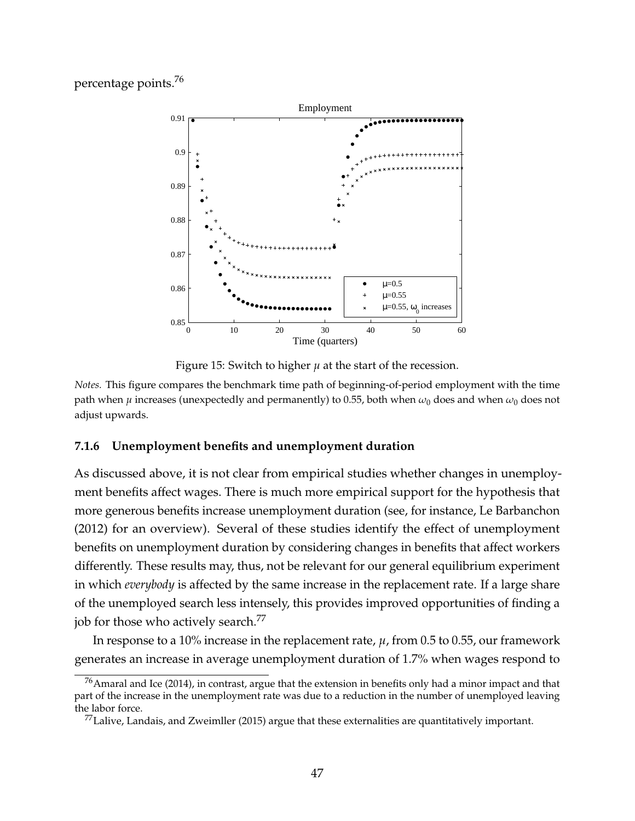## percentage points.<sup>76</sup>



Figure 15: Switch to higher  $\mu$  at the start of the recession.

*Notes.* This figure compares the benchmark time path of beginning-of-period employment with the time path when  $\mu$  increases (unexpectedly and permanently) to 0.55, both when  $\omega_0$  does and when  $\omega_0$  does not adjust upwards.

#### **7.1.6 Unemployment benefits and unemployment duration**

As discussed above, it is not clear from empirical studies whether changes in unemployment benefits affect wages. There is much more empirical support for the hypothesis that more generous benefits increase unemployment duration (see, for instance, Le Barbanchon (2012) for an overview). Several of these studies identify the effect of unemployment benefits on unemployment duration by considering changes in benefits that affect workers differently. These results may, thus, not be relevant for our general equilibrium experiment in which *everybody* is affected by the same increase in the replacement rate. If a large share of the unemployed search less intensely, this provides improved opportunities of finding a job for those who actively search.<sup>77</sup>

In response to a 10% increase in the replacement rate, *µ*, from 0.5 to 0.55, our framework generates an increase in average unemployment duration of 1.7% when wages respond to

 $^{76}$ Amaral and Ice (2014), in contrast, argue that the extension in benefits only had a minor impact and that part of the increase in the unemployment rate was due to a reduction in the number of unemployed leaving the labor force.

 $^{77}$ Lalive, Landais, and Zweimller (2015) argue that these externalities are quantitatively important.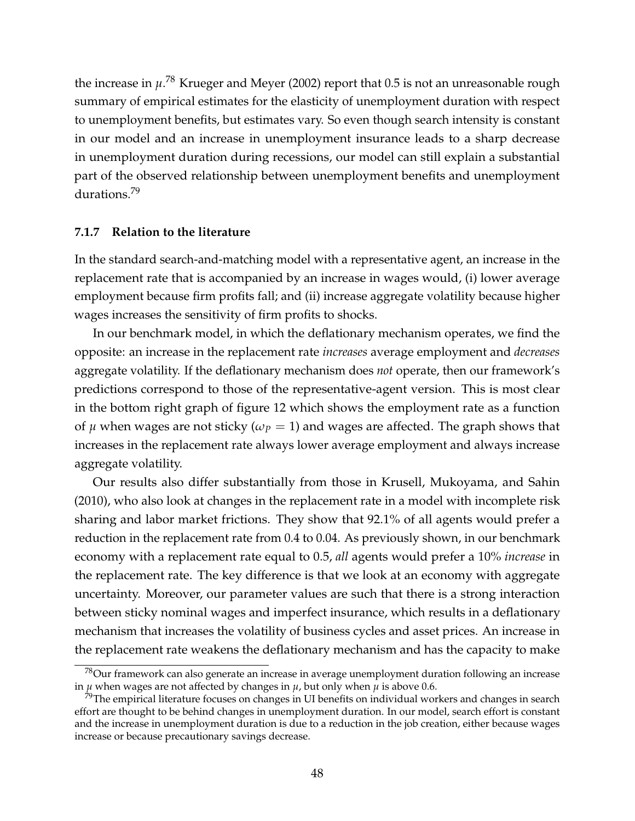the increase in *µ*. <sup>78</sup> Krueger and Meyer (2002) report that 0.5 is not an unreasonable rough summary of empirical estimates for the elasticity of unemployment duration with respect to unemployment benefits, but estimates vary. So even though search intensity is constant in our model and an increase in unemployment insurance leads to a sharp decrease in unemployment duration during recessions, our model can still explain a substantial part of the observed relationship between unemployment benefits and unemployment durations.<sup>79</sup>

#### **7.1.7 Relation to the literature**

In the standard search-and-matching model with a representative agent, an increase in the replacement rate that is accompanied by an increase in wages would, (i) lower average employment because firm profits fall; and (ii) increase aggregate volatility because higher wages increases the sensitivity of firm profits to shocks.

In our benchmark model, in which the deflationary mechanism operates, we find the opposite: an increase in the replacement rate *increases* average employment and *decreases* aggregate volatility. If the deflationary mechanism does *not* operate, then our framework's predictions correspond to those of the representative-agent version. This is most clear in the bottom right graph of figure 12 which shows the employment rate as a function of  $\mu$  when wages are not sticky ( $\omega_P = 1$ ) and wages are affected. The graph shows that increases in the replacement rate always lower average employment and always increase aggregate volatility.

Our results also differ substantially from those in Krusell, Mukoyama, and Sahin (2010), who also look at changes in the replacement rate in a model with incomplete risk sharing and labor market frictions. They show that 92.1% of all agents would prefer a reduction in the replacement rate from 0.4 to 0.04. As previously shown, in our benchmark economy with a replacement rate equal to 0.5, *all* agents would prefer a 10% *increase* in the replacement rate. The key difference is that we look at an economy with aggregate uncertainty. Moreover, our parameter values are such that there is a strong interaction between sticky nominal wages and imperfect insurance, which results in a deflationary mechanism that increases the volatility of business cycles and asset prices. An increase in the replacement rate weakens the deflationary mechanism and has the capacity to make

<sup>78</sup>Our framework can also generate an increase in average unemployment duration following an increase in  $\mu$  when wages are not affected by changes in  $\mu$ , but only when  $\mu$  is above 0.6.

 $79$ The empirical literature focuses on changes in UI benefits on individual workers and changes in search effort are thought to be behind changes in unemployment duration. In our model, search effort is constant and the increase in unemployment duration is due to a reduction in the job creation, either because wages increase or because precautionary savings decrease.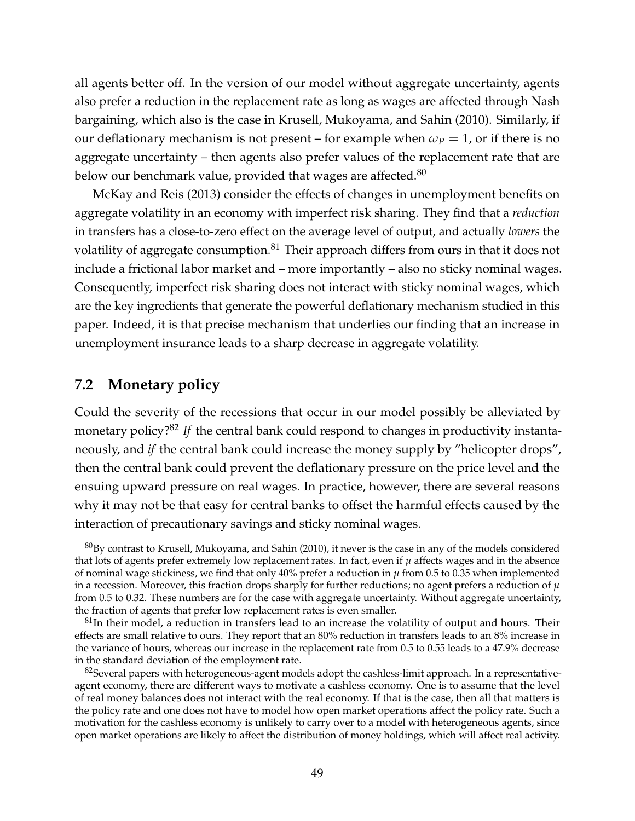all agents better off. In the version of our model without aggregate uncertainty, agents also prefer a reduction in the replacement rate as long as wages are affected through Nash bargaining, which also is the case in Krusell, Mukoyama, and Sahin (2010). Similarly, if our deflationary mechanism is not present – for example when  $\omega_P = 1$ , or if there is no aggregate uncertainty – then agents also prefer values of the replacement rate that are below our benchmark value, provided that wages are affected.<sup>80</sup>

McKay and Reis (2013) consider the effects of changes in unemployment benefits on aggregate volatility in an economy with imperfect risk sharing. They find that a *reduction* in transfers has a close-to-zero effect on the average level of output, and actually *lowers* the volatility of aggregate consumption.<sup>81</sup> Their approach differs from ours in that it does not include a frictional labor market and – more importantly – also no sticky nominal wages. Consequently, imperfect risk sharing does not interact with sticky nominal wages, which are the key ingredients that generate the powerful deflationary mechanism studied in this paper. Indeed, it is that precise mechanism that underlies our finding that an increase in unemployment insurance leads to a sharp decrease in aggregate volatility.

## **7.2 Monetary policy**

Could the severity of the recessions that occur in our model possibly be alleviated by monetary policy?<sup>82</sup> If the central bank could respond to changes in productivity instantaneously, and *if* the central bank could increase the money supply by "helicopter drops", then the central bank could prevent the deflationary pressure on the price level and the ensuing upward pressure on real wages. In practice, however, there are several reasons why it may not be that easy for central banks to offset the harmful effects caused by the interaction of precautionary savings and sticky nominal wages.

 $80$ By contrast to Krusell, Mukoyama, and Sahin (2010), it never is the case in any of the models considered that lots of agents prefer extremely low replacement rates. In fact, even if *µ* affects wages and in the absence of nominal wage stickiness, we find that only  $40\%$  prefer a reduction in  $\mu$  from 0.5 to 0.35 when implemented in a recession. Moreover, this fraction drops sharply for further reductions; no agent prefers a reduction of *µ* from 0.5 to 0.32. These numbers are for the case with aggregate uncertainty. Without aggregate uncertainty, the fraction of agents that prefer low replacement rates is even smaller.

 $81$ In their model, a reduction in transfers lead to an increase the volatility of output and hours. Their effects are small relative to ours. They report that an 80% reduction in transfers leads to an 8% increase in the variance of hours, whereas our increase in the replacement rate from 0.5 to 0.55 leads to a 47.9% decrease in the standard deviation of the employment rate.

 $82$ Several papers with heterogeneous-agent models adopt the cashless-limit approach. In a representativeagent economy, there are different ways to motivate a cashless economy. One is to assume that the level of real money balances does not interact with the real economy. If that is the case, then all that matters is the policy rate and one does not have to model how open market operations affect the policy rate. Such a motivation for the cashless economy is unlikely to carry over to a model with heterogeneous agents, since open market operations are likely to affect the distribution of money holdings, which will affect real activity.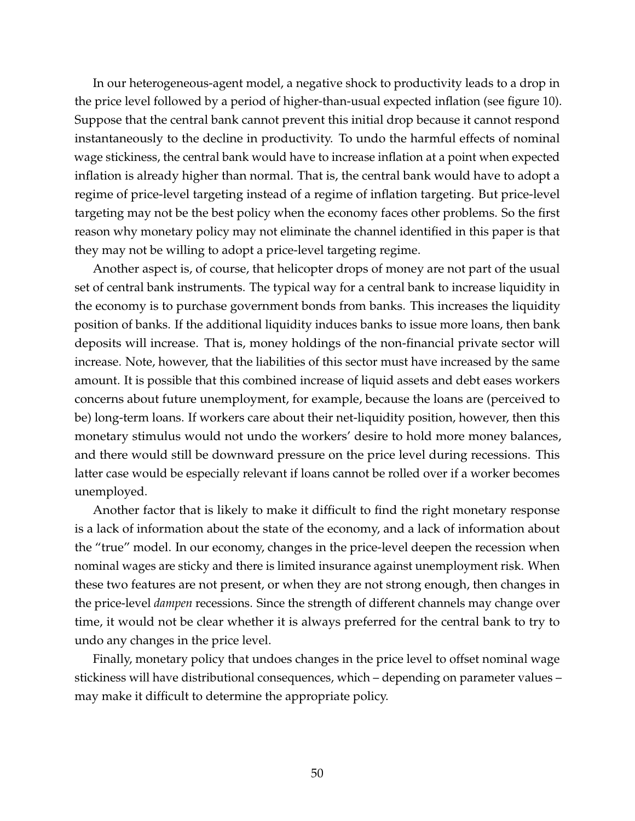In our heterogeneous-agent model, a negative shock to productivity leads to a drop in the price level followed by a period of higher-than-usual expected inflation (see figure 10). Suppose that the central bank cannot prevent this initial drop because it cannot respond instantaneously to the decline in productivity. To undo the harmful effects of nominal wage stickiness, the central bank would have to increase inflation at a point when expected inflation is already higher than normal. That is, the central bank would have to adopt a regime of price-level targeting instead of a regime of inflation targeting. But price-level targeting may not be the best policy when the economy faces other problems. So the first reason why monetary policy may not eliminate the channel identified in this paper is that they may not be willing to adopt a price-level targeting regime.

Another aspect is, of course, that helicopter drops of money are not part of the usual set of central bank instruments. The typical way for a central bank to increase liquidity in the economy is to purchase government bonds from banks. This increases the liquidity position of banks. If the additional liquidity induces banks to issue more loans, then bank deposits will increase. That is, money holdings of the non-financial private sector will increase. Note, however, that the liabilities of this sector must have increased by the same amount. It is possible that this combined increase of liquid assets and debt eases workers concerns about future unemployment, for example, because the loans are (perceived to be) long-term loans. If workers care about their net-liquidity position, however, then this monetary stimulus would not undo the workers' desire to hold more money balances, and there would still be downward pressure on the price level during recessions. This latter case would be especially relevant if loans cannot be rolled over if a worker becomes unemployed.

Another factor that is likely to make it difficult to find the right monetary response is a lack of information about the state of the economy, and a lack of information about the "true" model. In our economy, changes in the price-level deepen the recession when nominal wages are sticky and there is limited insurance against unemployment risk. When these two features are not present, or when they are not strong enough, then changes in the price-level *dampen* recessions. Since the strength of different channels may change over time, it would not be clear whether it is always preferred for the central bank to try to undo any changes in the price level.

Finally, monetary policy that undoes changes in the price level to offset nominal wage stickiness will have distributional consequences, which – depending on parameter values – may make it difficult to determine the appropriate policy.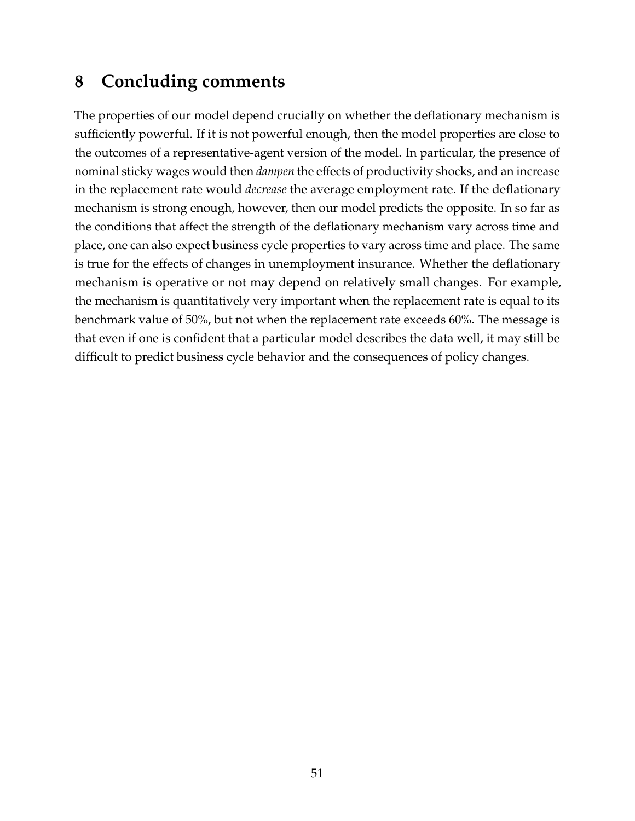# **8 Concluding comments**

The properties of our model depend crucially on whether the deflationary mechanism is sufficiently powerful. If it is not powerful enough, then the model properties are close to the outcomes of a representative-agent version of the model. In particular, the presence of nominal sticky wages would then *dampen* the effects of productivity shocks, and an increase in the replacement rate would *decrease* the average employment rate. If the deflationary mechanism is strong enough, however, then our model predicts the opposite. In so far as the conditions that affect the strength of the deflationary mechanism vary across time and place, one can also expect business cycle properties to vary across time and place. The same is true for the effects of changes in unemployment insurance. Whether the deflationary mechanism is operative or not may depend on relatively small changes. For example, the mechanism is quantitatively very important when the replacement rate is equal to its benchmark value of 50%, but not when the replacement rate exceeds 60%. The message is that even if one is confident that a particular model describes the data well, it may still be difficult to predict business cycle behavior and the consequences of policy changes.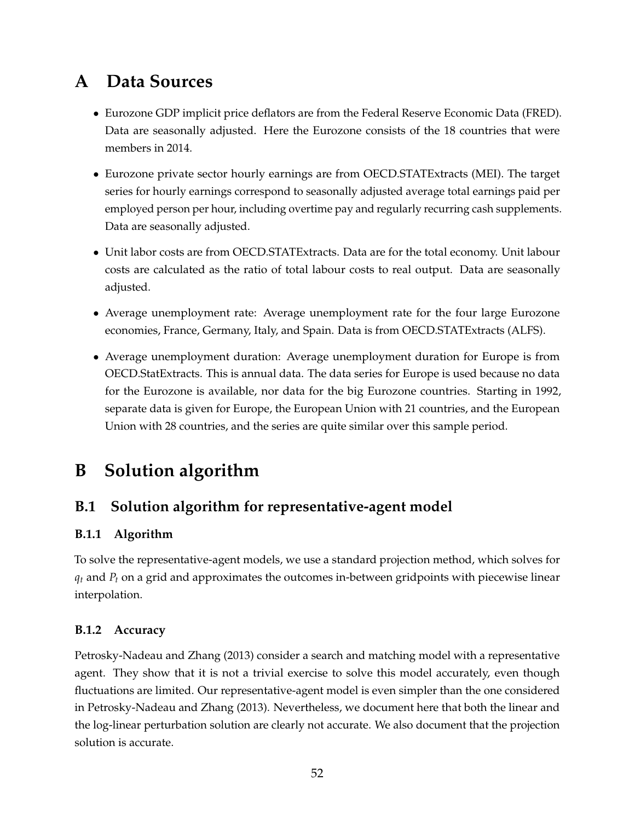# **A Data Sources**

- Eurozone GDP implicit price deflators are from the Federal Reserve Economic Data (FRED). Data are seasonally adjusted. Here the Eurozone consists of the 18 countries that were members in 2014.
- Eurozone private sector hourly earnings are from OECD.STATExtracts (MEI). The target series for hourly earnings correspond to seasonally adjusted average total earnings paid per employed person per hour, including overtime pay and regularly recurring cash supplements. Data are seasonally adjusted.
- Unit labor costs are from OECD.STATExtracts. Data are for the total economy. Unit labour costs are calculated as the ratio of total labour costs to real output. Data are seasonally adjusted.
- Average unemployment rate: Average unemployment rate for the four large Eurozone economies, France, Germany, Italy, and Spain. Data is from OECD.STATExtracts (ALFS).
- Average unemployment duration: Average unemployment duration for Europe is from OECD.StatExtracts. This is annual data. The data series for Europe is used because no data for the Eurozone is available, nor data for the big Eurozone countries. Starting in 1992, separate data is given for Europe, the European Union with 21 countries, and the European Union with 28 countries, and the series are quite similar over this sample period.

# **B Solution algorithm**

## **B.1 Solution algorithm for representative-agent model**

## **B.1.1 Algorithm**

To solve the representative-agent models, we use a standard projection method, which solves for  $q_t$  and  $P_t$  on a grid and approximates the outcomes in-between gridpoints with piecewise linear interpolation.

### **B.1.2 Accuracy**

Petrosky-Nadeau and Zhang (2013) consider a search and matching model with a representative agent. They show that it is not a trivial exercise to solve this model accurately, even though fluctuations are limited. Our representative-agent model is even simpler than the one considered in Petrosky-Nadeau and Zhang (2013). Nevertheless, we document here that both the linear and the log-linear perturbation solution are clearly not accurate. We also document that the projection solution is accurate.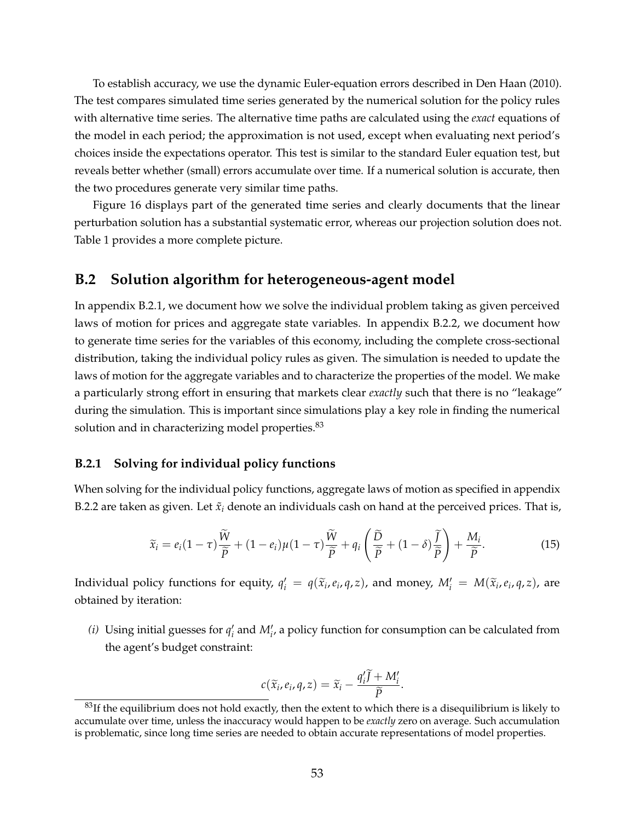To establish accuracy, we use the dynamic Euler-equation errors described in Den Haan (2010). The test compares simulated time series generated by the numerical solution for the policy rules with alternative time series. The alternative time paths are calculated using the *exact* equations of the model in each period; the approximation is not used, except when evaluating next period's choices inside the expectations operator. This test is similar to the standard Euler equation test, but reveals better whether (small) errors accumulate over time. If a numerical solution is accurate, then the two procedures generate very similar time paths.

Figure 16 displays part of the generated time series and clearly documents that the linear perturbation solution has a substantial systematic error, whereas our projection solution does not. Table 1 provides a more complete picture.

### **B.2 Solution algorithm for heterogeneous-agent model**

In appendix B.2.1, we document how we solve the individual problem taking as given perceived laws of motion for prices and aggregate state variables. In appendix B.2.2, we document how to generate time series for the variables of this economy, including the complete cross-sectional distribution, taking the individual policy rules as given. The simulation is needed to update the laws of motion for the aggregate variables and to characterize the properties of the model. We make a particularly strong effort in ensuring that markets clear *exactly* such that there is no "leakage" during the simulation. This is important since simulations play a key role in finding the numerical solution and in characterizing model properties.<sup>83</sup>

#### **B.2.1 Solving for individual policy functions**

When solving for the individual policy functions, aggregate laws of motion as specified in appendix B.2.2 are taken as given. Let  $\tilde{x}_i$  denote an individuals cash on hand at the perceived prices. That is,

$$
\widetilde{x}_i = e_i (1 - \tau) \frac{\widetilde{W}}{\widetilde{P}} + (1 - e_i) \mu (1 - \tau) \frac{\widetilde{W}}{\widetilde{P}} + q_i \left( \frac{\widetilde{D}}{\widetilde{P}} + (1 - \delta) \frac{\widetilde{I}}{\widetilde{P}} \right) + \frac{M_i}{\widetilde{P}}.
$$
\n(15)

Individual policy functions for equity,  $q'_i = q(\tilde{x}_i, e_i, q, z)$ , and money,  $M'_i = M(\tilde{x}_i, e_i, q, z)$ , are obtained by iteration:

*(i)* Using initial guesses for  $q'_i$  and  $M'_i$ , a policy function for consumption can be calculated from the agent's budget constraint:

$$
c(\widetilde{x}_i,e_i,q,z)=\widetilde{x}_i-\frac{q_i'\widetilde{J}+M_i'}{\widetilde{P}}.
$$

 $^{83}$ If the equilibrium does not hold exactly, then the extent to which there is a disequilibrium is likely to accumulate over time, unless the inaccuracy would happen to be *exactly* zero on average. Such accumulation is problematic, since long time series are needed to obtain accurate representations of model properties.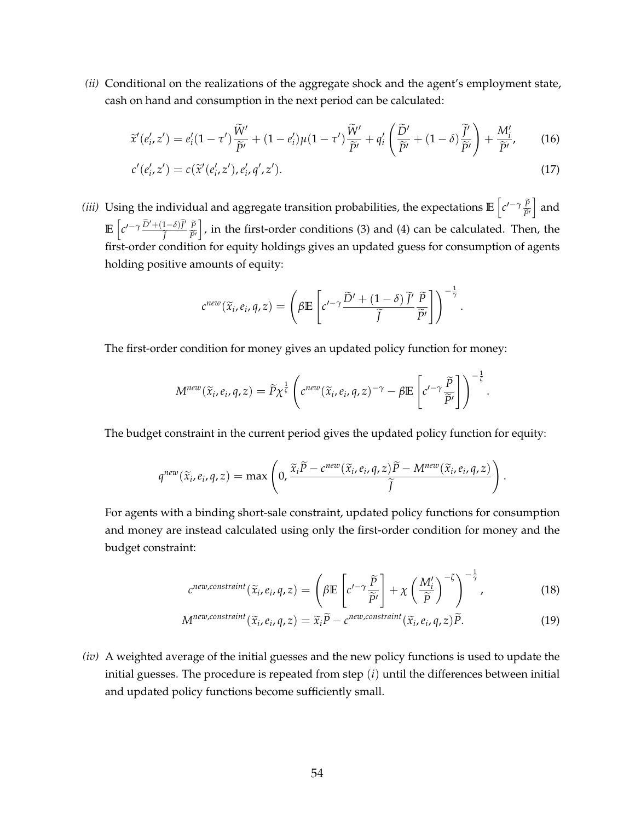*(ii)* Conditional on the realizations of the aggregate shock and the agent's employment state, cash on hand and consumption in the next period can be calculated:

$$
\widetilde{x}'(e'_i, z') = e'_i(1 - \tau')\frac{\widetilde{W}'}{\widetilde{P}'} + (1 - e'_i)\mu(1 - \tau')\frac{\widetilde{W}'}{\widetilde{P}'} + q'_i\left(\frac{\widetilde{D}'}{\widetilde{P}'} + (1 - \delta)\frac{\widetilde{J}'}{\widetilde{P}'}\right) + \frac{M'_i}{\widetilde{P}'},\qquad(16)
$$

$$
c'(e'_i, z') = c(\tilde{x}'(e'_i, z'), e'_i, q', z').
$$
\n(17)

*(iii)* Using the individual and aggregate transition probabilities, the expectations  $\mathbb{E}\left[c'^{-\gamma}\frac{\tilde{p}}{\tilde{p}'}\right]$  $\widetilde{P}$ <sup>t</sup> and  $\mathbb{E}\left[c'^{-\gamma}\frac{\tilde{D}'+(1-\delta)\tilde{J}'}{\tilde{I}}\right]$ e*J P*<sub> $\approx$ </sub>  $\tilde{P}'$ .  $\big]$ , in the first-order conditions (3) and (4) can be calculated. Then, the first-order condition for equity holdings gives an updated guess for consumption of agents holding positive amounts of equity:

$$
c^{new}(\widetilde{x}_i, e_i, q, z) = \left(\beta \mathbb{E}\left[c'^{-\gamma} \frac{\widetilde{D}' + (1-\delta)\widetilde{J}'}{\widetilde{J}} \frac{\widetilde{P}}{\widetilde{P}'}\right]\right)^{-\frac{1}{\gamma}}
$$

.

The first-order condition for money gives an updated policy function for money:

$$
M^{new}(\widetilde{x}_i, e_i, q, z) = \widetilde{P}\chi^{\frac{1}{\zeta}}\left(c^{new}(\widetilde{x}_i, e_i, q, z)^{-\gamma} - \beta \mathbb{E}\left[c'^{-\gamma}\frac{\widetilde{P}}{\widetilde{P}'}\right]\right)^{-\frac{1}{\zeta}}.
$$

The budget constraint in the current period gives the updated policy function for equity:

$$
q^{new}(\widetilde{x}_i, e_i, q, z) = \max \left(0, \frac{\widetilde{x}_i \widetilde{P} - c^{new}(\widetilde{x}_i, e_i, q, z) \widetilde{P} - M^{new}(\widetilde{x}_i, e_i, q, z)}{\widetilde{J}}\right).
$$

For agents with a binding short-sale constraint, updated policy functions for consumption and money are instead calculated using only the first-order condition for money and the budget constraint:

$$
c^{new, constraint}(\widetilde{x}_i, e_i, q, z) = \left(\beta \mathbb{E}\left[c'^{-\gamma} \frac{\widetilde{P}}{\widetilde{P}'}\right] + \chi \left(\frac{M'_i}{\widetilde{P}}\right)^{-\zeta}\right)^{-\frac{1}{\gamma}},
$$
(18)

$$
M^{new, constraint}(\widetilde{x}_i, e_i, q, z) = \widetilde{x}_i \widetilde{P} - c^{new, constraint}(\widetilde{x}_i, e_i, q, z) \widetilde{P}.
$$
 (19)

*(iv)* A weighted average of the initial guesses and the new policy functions is used to update the initial guesses. The procedure is repeated from step (*i*) until the differences between initial and updated policy functions become sufficiently small.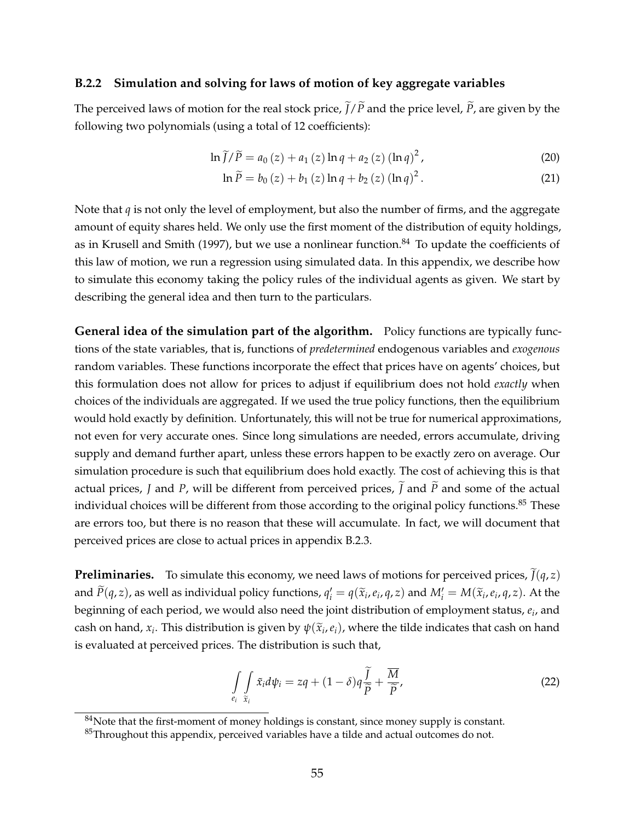#### **B.2.2 Simulation and solving for laws of motion of key aggregate variables**

The perceived laws of motion for the real stock price,  $\tilde{J}/\tilde{P}$  and the price level,  $\tilde{P}$ , are given by the following two polynomials (using a total of 12 coefficients):

$$
\ln \tilde{f}/\tilde{P} = a_0(z) + a_1(z) \ln q + a_2(z) (\ln q)^2, \tag{20}
$$

$$
\ln \widetilde{P} = b_0 (z) + b_1 (z) \ln q + b_2 (z) (\ln q)^2.
$$
 (21)

Note that *q* is not only the level of employment, but also the number of firms, and the aggregate amount of equity shares held. We only use the first moment of the distribution of equity holdings, as in Krusell and Smith (1997), but we use a nonlinear function. $84$  To update the coefficients of this law of motion, we run a regression using simulated data. In this appendix, we describe how to simulate this economy taking the policy rules of the individual agents as given. We start by describing the general idea and then turn to the particulars.

**General idea of the simulation part of the algorithm.** Policy functions are typically functions of the state variables, that is, functions of *predetermined* endogenous variables and *exogenous* random variables. These functions incorporate the effect that prices have on agents' choices, but this formulation does not allow for prices to adjust if equilibrium does not hold *exactly* when choices of the individuals are aggregated. If we used the true policy functions, then the equilibrium would hold exactly by definition. Unfortunately, this will not be true for numerical approximations, not even for very accurate ones. Since long simulations are needed, errors accumulate, driving supply and demand further apart, unless these errors happen to be exactly zero on average. Our simulation procedure is such that equilibrium does hold exactly. The cost of achieving this is that actual prices, *J* and *P*, will be different from perceived prices,  $\tilde{J}$  and  $\tilde{P}$  and some of the actual individual choices will be different from those according to the original policy functions.<sup>85</sup> These are errors too, but there is no reason that these will accumulate. In fact, we will document that perceived prices are close to actual prices in appendix B.2.3.

**Preliminaries.** To simulate this economy, we need laws of motions for perceived prices,  $\tilde{J}(q, z)$ and  $\widetilde{P}(q, z)$ , as well as individual policy functions,  $q'_i = q(\widetilde{x}_i, e_i, q, z)$  and  $M'_i = M(\widetilde{x}_i, e_i, q, z)$ . At the beginning of each period, we would also need the joint distribution of employment status, *e<sup>i</sup>* , and cash on hand,  $x_i$ . This distribution is given by  $\psi(\tilde{x}_i, e_i)$ , where the tilde indicates that cash on hand is evaluated at perceived prices. The distribution is such that,

$$
\int\limits_{e_i} \int\limits_{\widetilde{x}_i} \widetilde{x}_i d\psi_i = zq + (1 - \delta)q \frac{\widetilde{J}}{\widetilde{P}} + \frac{\overline{M}}{\widetilde{P}},
$$
\n(22)

 $84$ Note that the first-moment of money holdings is constant, since money supply is constant.

 $85$ Throughout this appendix, perceived variables have a tilde and actual outcomes do not.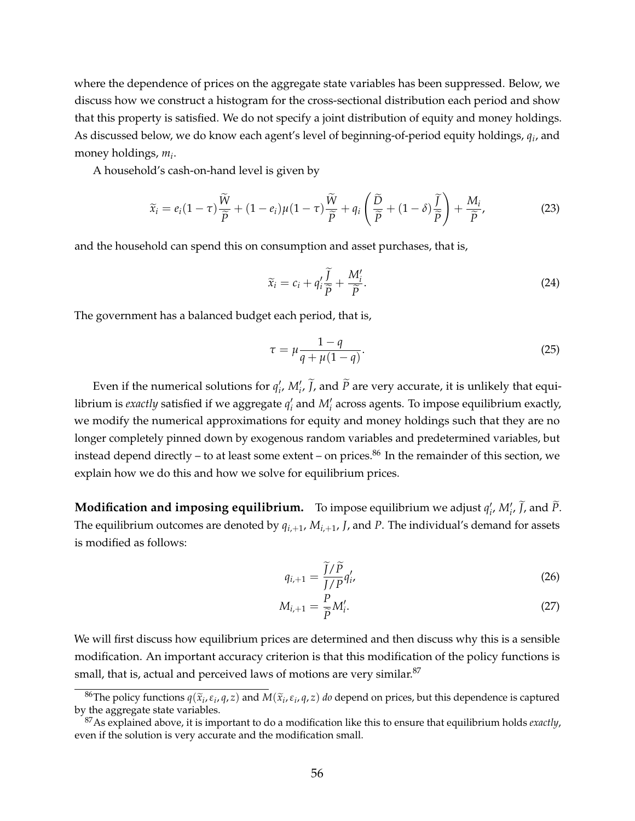where the dependence of prices on the aggregate state variables has been suppressed. Below, we discuss how we construct a histogram for the cross-sectional distribution each period and show that this property is satisfied. We do not specify a joint distribution of equity and money holdings. As discussed below, we do know each agent's level of beginning-of-period equity holdings, *q<sup>i</sup>* , and money holdings, *m<sup>i</sup>* .

A household's cash-on-hand level is given by

$$
\widetilde{x}_i = e_i (1 - \tau) \frac{\widetilde{W}}{\widetilde{P}} + (1 - e_i) \mu (1 - \tau) \frac{\widetilde{W}}{\widetilde{P}} + q_i \left( \frac{\widetilde{D}}{\widetilde{P}} + (1 - \delta) \frac{\widetilde{I}}{\widetilde{P}} \right) + \frac{M_i}{\widetilde{P}},
$$
\n(23)

and the household can spend this on consumption and asset purchases, that is,

$$
\widetilde{x}_i = c_i + q'_i \frac{\widetilde{J}}{\widetilde{P}} + \frac{M'_i}{\widetilde{P}}.
$$
\n(24)

The government has a balanced budget each period, that is,

$$
\tau = \mu \frac{1 - q}{q + \mu(1 - q)}.\tag{25}
$$

Even if the numerical solutions for  $q'_i$ ,  $M'_i$ ,  $\tilde{J}$ , and  $\tilde{P}$  are very accurate, it is unlikely that equilibrium is *exactly* satisfied if we aggregate  $q'_i$  and  $M'_i$  across agents. To impose equilibrium exactly, we modify the numerical approximations for equity and money holdings such that they are no longer completely pinned down by exogenous random variables and predetermined variables, but instead depend directly – to at least some extent – on prices.<sup>86</sup> In the remainder of this section, we explain how we do this and how we solve for equilibrium prices.

**Modification and imposing equilibrium.** To impose equilibrium we adjust  $q'_i$ ,  $M'_i$ ,  $\widetilde{J}$ , and  $\widetilde{P}$ . The equilibrium outcomes are denoted by  $q_{i+1}$ ,  $M_{i+1}$ , *J*, and *P*. The individual's demand for assets is modified as follows:

$$
q_{i+1} = \frac{\widetilde{J}/\widetilde{P}}{J/P}q_i',\tag{26}
$$

$$
M_{i,+1} = \frac{P}{\widetilde{P}} M'_i.
$$
 (27)

We will first discuss how equilibrium prices are determined and then discuss why this is a sensible modification. An important accuracy criterion is that this modification of the policy functions is small, that is, actual and perceived laws of motions are very similar.<sup>87</sup>

<sup>&</sup>lt;sup>86</sup>The policy functions  $q(\tilde{x}_i, \varepsilon_i, q, z)$  and  $M(\tilde{x}_i, \varepsilon_i, q, z)$  *do* depend on prices, but this dependence is captured the aggregate state variables by the aggregate state variables.

<sup>87</sup>As explained above, it is important to do a modification like this to ensure that equilibrium holds *exactly*, even if the solution is very accurate and the modification small.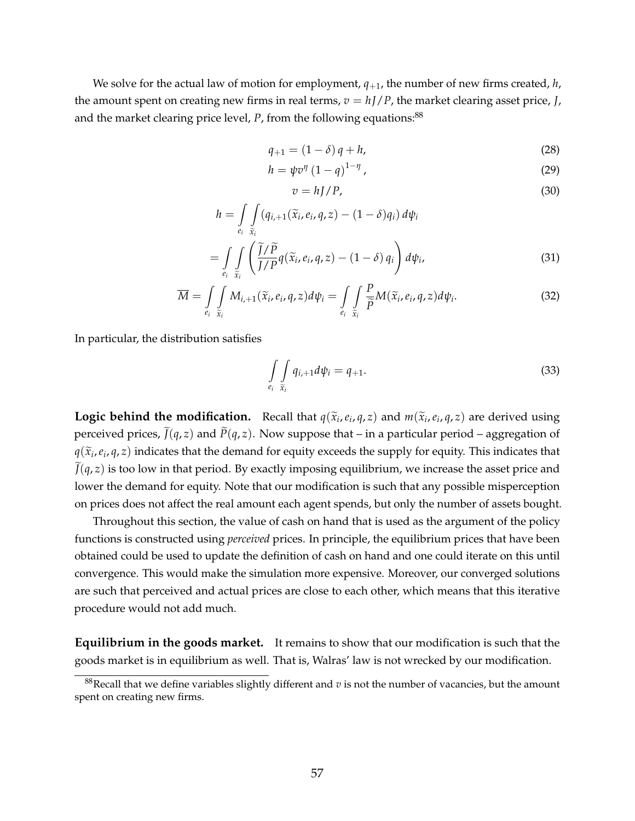We solve for the actual law of motion for employment,  $q_{+1}$ , the number of new firms created,  $h$ , the amount spent on creating new firms in real terms,  $v = hJ/P$ , the market clearing asset price, *J*, and the market clearing price level,  $P$ , from the following equations:<sup>88</sup>

$$
q_{+1} = (1 - \delta) q + h,\tag{28}
$$

$$
h = \psi v^{\eta} \left(1 - q\right)^{1 - \eta},\tag{29}
$$

$$
v = hJ/P,\tag{30}
$$

$$
h = \int\limits_{e_i} \int\limits_{\tilde{x}_i} (q_{i,+1}(\tilde{x}_i, e_i, q, z) - (1 - \delta)q_i) d\psi_i
$$
  
= 
$$
\int\int \left(\frac{\tilde{J}/\tilde{P}}{J/P} q(\tilde{x}_i, e_i, q, z) - (1 - \delta) q_i\right) d\psi_i,
$$
 (31)

$$
\overline{M} = \int\limits_{e_i} \int\limits_{\tilde{x}_i}^{e_i} M_{i,+1}(\tilde{x}_i, e_i, q, z) d\psi_i = \int\limits_{e_i} \int\limits_{\tilde{x}_i} \frac{P}{\tilde{P}} M(\tilde{x}_i, e_i, q, z) d\psi_i.
$$
 (32)

In particular, the distribution satisfies

$$
\int\limits_{e_i} \int\limits_{\widetilde{x}_i} q_{i,+1} d\psi_i = q_{+1}.\tag{33}
$$

**Logic behind the modification.** Recall that  $q(\tilde{x}_i, e_i, q, z)$  and  $m(\tilde{x}_i, e_i, q, z)$  are derived using perceived prices,  $\tilde{J}(q, z)$  and  $\tilde{P}(q, z)$ . Now suppose that – in a particular period – aggregation of  $q(\tilde{x}_i, e_i, q, z)$  indicates that the demand for equity exceeds the supply for equity. This indicates that  $\tilde{z}_i$  $\tilde{J}(q, z)$  is too low in that period. By exactly imposing equilibrium, we increase the asset price and lower the demand for equity. Note that our modification is such that any possible misperception on prices does not affect the real amount each agent spends, but only the number of assets bought.

Throughout this section, the value of cash on hand that is used as the argument of the policy functions is constructed using *perceived* prices. In principle, the equilibrium prices that have been obtained could be used to update the definition of cash on hand and one could iterate on this until convergence. This would make the simulation more expensive. Moreover, our converged solutions are such that perceived and actual prices are close to each other, which means that this iterative procedure would not add much.

**Equilibrium in the goods market.** It remains to show that our modification is such that the goods market is in equilibrium as well. That is, Walras' law is not wrecked by our modification.

 $88$ Recall that we define variables slightly different and  $v$  is not the number of vacancies, but the amount spent on creating new firms.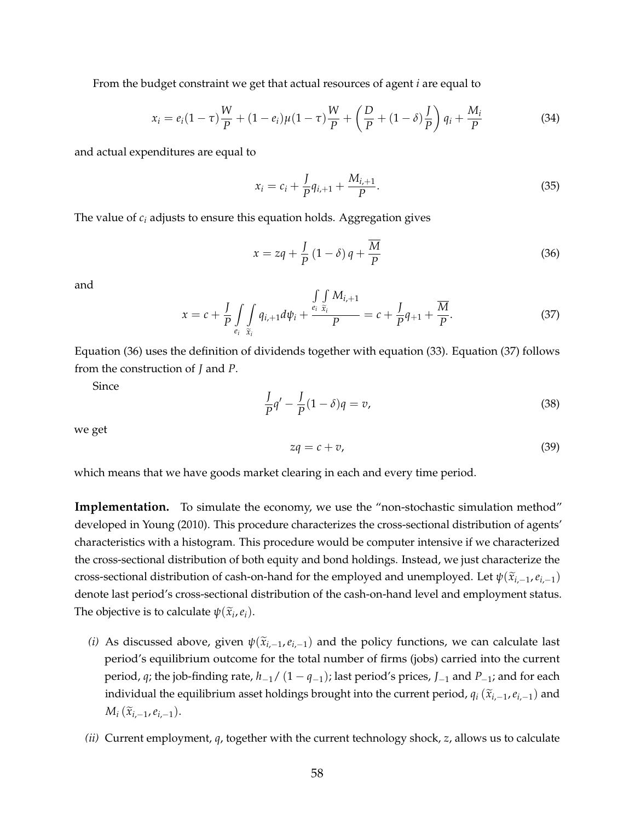From the budget constraint we get that actual resources of agent *i* are equal to

$$
x_i = e_i (1 - \tau) \frac{W}{P} + (1 - e_i) \mu (1 - \tau) \frac{W}{P} + \left( \frac{D}{P} + (1 - \delta) \frac{I}{P} \right) q_i + \frac{M_i}{P}
$$
(34)

and actual expenditures are equal to

$$
x_i = c_i + \frac{J}{P}q_{i+1} + \frac{M_{i+1}}{P}.
$$
\n(35)

The value of *c<sup>i</sup>* adjusts to ensure this equation holds. Aggregation gives

$$
x = zq + \frac{J}{P} (1 - \delta) q + \frac{\overline{M}}{P}
$$
 (36)

and

$$
x = c + \frac{J}{P} \int\limits_{e_i} \int\limits_{\tilde{x}_i} q_{i+1} d\psi_i + \frac{\int\limits_{e_i} \int\limits_{\tilde{x}_i} M_{i+1}}{P} = c + \frac{J}{P} q_{+1} + \frac{\overline{M}}{P}.
$$
 (37)

Equation (36) uses the definition of dividends together with equation (33). Equation (37) follows from the construction of *J* and *P*.

Since

$$
\frac{I}{P}q' - \frac{I}{P}(1-\delta)q = v,\tag{38}
$$

we get

$$
zq = c + v,\tag{39}
$$

which means that we have goods market clearing in each and every time period.

**Implementation.** To simulate the economy, we use the "non-stochastic simulation method" developed in Young (2010). This procedure characterizes the cross-sectional distribution of agents' characteristics with a histogram. This procedure would be computer intensive if we characterized the cross-sectional distribution of both equity and bond holdings. Instead, we just characterize the cross-sectional distribution of cash-on-hand for the employed and unemployed. Let  $\psi(\tilde{x}_{i-1}, e_{i-1})$ denote last period's cross-sectional distribution of the cash-on-hand level and employment status. The objective is to calculate  $\psi(\widetilde{x}_i, e_i)$ .

- *(i)* As discussed above, given  $\psi(\tilde{x}_{i,-1}, e_{i,-1})$  and the policy functions, we can calculate last period's equilibrium outcome for the total number of firms (jobs) carried into the current period, *q*; the job-finding rate, *h*−1/ (1 − *q*−1); last period's prices, *J*−<sup>1</sup> and *P*−1; and for each individual the equilibrium asset holdings brought into the current period,  $q_i$  ( $\tilde{x}_{i,-1}$ ,  $e_{i,-1}$ ) and  $M_i$  ( $\tilde{x}_{i,-1}, e_{i,-1}$ ).
- *(ii)* Current employment, *q*, together with the current technology shock, *z*, allows us to calculate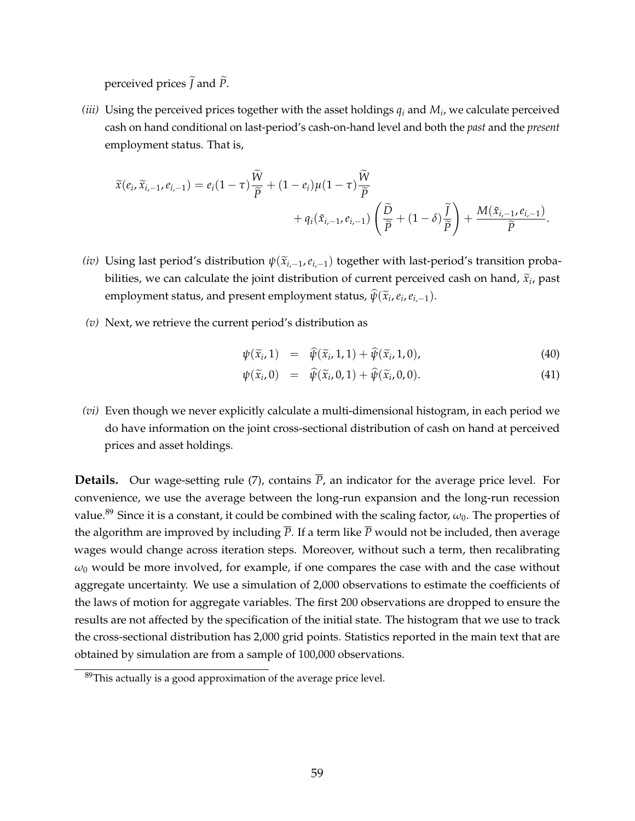perceived prices  $\tilde{J}$  and  $\tilde{P}$ .

*(iii)* Using the perceived prices together with the asset holdings  $q_i$  and  $M_i$ , we calculate perceived cash on hand conditional on last-period's cash-on-hand level and both the *past* and the *present* employment status. That is,

$$
\widetilde{x}(e_i,\widetilde{x}_{i,-1},e_{i,-1}) = e_i(1-\tau)\frac{\widetilde{W}}{\widetilde{P}} + (1-e_i)\mu(1-\tau)\frac{\widetilde{W}}{\widetilde{P}} + q_i(\widetilde{x}_{i,-1},e_{i,-1})\left(\frac{\widetilde{D}}{\widetilde{P}} + (1-\delta)\frac{\widetilde{I}}{\widetilde{P}}\right) + \frac{M(\widetilde{x}_{i,-1},e_{i,-1})}{\widetilde{P}}.
$$

- *(iv)* Using last period's distribution  $\psi(\tilde{x}_{i,-1}, e_{i,-1})$  together with last-period's transition probabilities, we can calculate the joint distribution of current perceived cash on hand,  $\tilde{x}_i$ , past  $\epsilon$  employment status, and present employment status,  $\hat{\psi}(\widetilde{x}_i, e_i, e_{i,-1}).$
- *(v)* Next, we retrieve the current period's distribution as

$$
\psi(\widetilde{x}_i, 1) = \widehat{\psi}(\widetilde{x}_i, 1, 1) + \widehat{\psi}(\widetilde{x}_i, 1, 0), \tag{40}
$$

$$
\psi(\widetilde{x}_i,0) = \widehat{\psi}(\widetilde{x}_i,0,1) + \widehat{\psi}(\widetilde{x}_i,0,0). \tag{41}
$$

*(vi)* Even though we never explicitly calculate a multi-dimensional histogram, in each period we do have information on the joint cross-sectional distribution of cash on hand at perceived prices and asset holdings.

**Details.** Our wage-setting rule (7), contains  $\overline{P}$ , an indicator for the average price level. For convenience, we use the average between the long-run expansion and the long-run recession value.<sup>89</sup> Since it is a constant, it could be combined with the scaling factor,  $\omega_0$ . The properties of the algorithm are improved by including  $\overline{P}$ . If a term like  $\overline{P}$  would not be included, then average wages would change across iteration steps. Moreover, without such a term, then recalibrating  $\omega_0$  would be more involved, for example, if one compares the case with and the case without aggregate uncertainty. We use a simulation of 2,000 observations to estimate the coefficients of the laws of motion for aggregate variables. The first 200 observations are dropped to ensure the results are not affected by the specification of the initial state. The histogram that we use to track the cross-sectional distribution has 2,000 grid points. Statistics reported in the main text that are obtained by simulation are from a sample of 100,000 observations.

 $89$ This actually is a good approximation of the average price level.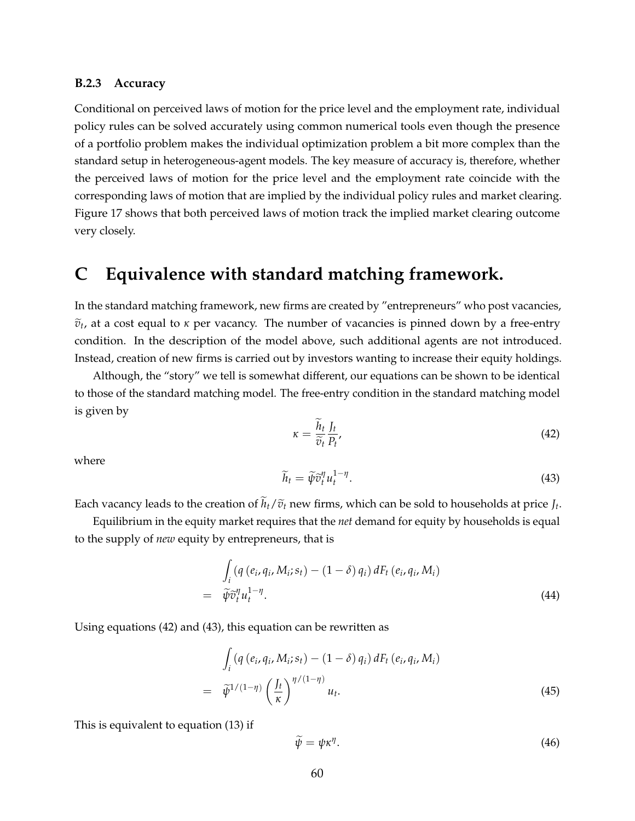#### **B.2.3 Accuracy**

Conditional on perceived laws of motion for the price level and the employment rate, individual policy rules can be solved accurately using common numerical tools even though the presence of a portfolio problem makes the individual optimization problem a bit more complex than the standard setup in heterogeneous-agent models. The key measure of accuracy is, therefore, whether the perceived laws of motion for the price level and the employment rate coincide with the corresponding laws of motion that are implied by the individual policy rules and market clearing. Figure 17 shows that both perceived laws of motion track the implied market clearing outcome very closely.

# **C Equivalence with standard matching framework.**

In the standard matching framework, new firms are created by "entrepreneurs" who post vacancies,  $\tilde{v}_t$ , at a cost equal to *κ* per vacancy. The number of vacancies is pinned down by a free-entry condition. In the description of the model above, such additional agents are not introduced. Instead, creation of new firms is carried out by investors wanting to increase their equity holdings.

Although, the "story" we tell is somewhat different, our equations can be shown to be identical to those of the standard matching model. The free-entry condition in the standard matching model is given by

$$
\kappa = \frac{\widetilde{h}_t}{\widetilde{v}_t} \frac{J_t}{P_t},\tag{42}
$$

where

$$
\widetilde{h}_t = \widetilde{\psi}\widetilde{v}_t^{\eta}u_t^{1-\eta}.\tag{43}
$$

Each vacancy leads to the creation of  $h_t/\tilde{v}_t$  new firms, which can be sold to households at price  $J_t$ .

Equilibrium in the equity market requires that the *net* demand for equity by households is equal to the supply of *new* equity by entrepreneurs, that is

$$
\int_{i} \left(q\left(e_{i}, q_{i}, M_{i}; s_{t}\right) - (1 - \delta) q_{i}\right) dF_{t}\left(e_{i}, q_{i}, M_{i}\right)
$$
\n
$$
= \widetilde{\psi}\widetilde{v}_{t}^{\eta} u_{t}^{1-\eta}.
$$
\n(44)

Using equations (42) and (43), this equation can be rewritten as

$$
\int_{i} \left(q\left(e_{i}, q_{i}, M_{i}; s_{t}\right) - (1 - \delta) q_{i}\right) dF_{t}\left(e_{i}, q_{i}, M_{i}\right)
$$
\n
$$
= \tilde{\psi}^{1/(1-\eta)} \left(\frac{I_{t}}{\kappa}\right)^{\eta/(1-\eta)} u_{t}.
$$
\n(45)

This is equivalent to equation (13) if

$$
\widetilde{\psi} = \psi \kappa^{\eta}.
$$
\n(46)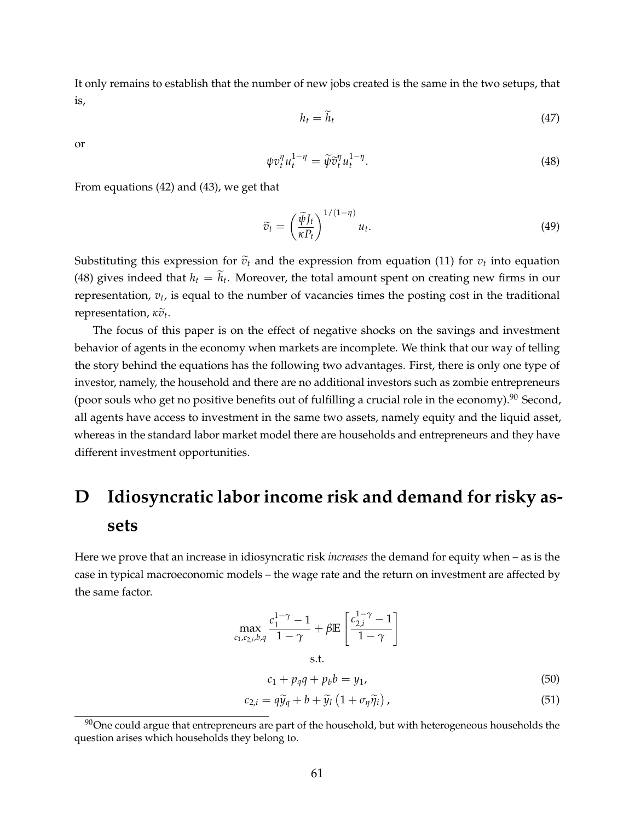It only remains to establish that the number of new jobs created is the same in the two setups, that is,

$$
h_t = \widetilde{h}_t \tag{47}
$$

or

$$
\psi v_t^{\eta} u_t^{1-\eta} = \widetilde{\psi} \widetilde{v}_t^{\eta} u_t^{1-\eta}.
$$
\n(48)

From equations (42) and (43), we get that

$$
\widetilde{v}_t = \left(\frac{\widetilde{\psi}J_t}{\kappa P_t}\right)^{1/(1-\eta)} u_t.
$$
\n(49)

Substituting this expression for  $\tilde{v}_t$  and the expression from equation (11) for  $v_t$  into equation (48) gives indeed that  $h_t = h_t$ . Moreover, the total amount spent on creating new firms in our representation, *v<sup>t</sup>* , is equal to the number of vacancies times the posting cost in the traditional **representation,**  $\kappa \tilde{v}_t$ **.** 

The focus of this paper is on the effect of negative shocks on the savings and investment behavior of agents in the economy when markets are incomplete. We think that our way of telling the story behind the equations has the following two advantages. First, there is only one type of investor, namely, the household and there are no additional investors such as zombie entrepreneurs (poor souls who get no positive benefits out of fulfilling a crucial role in the economy).<sup>90</sup> Second, all agents have access to investment in the same two assets, namely equity and the liquid asset, whereas in the standard labor market model there are households and entrepreneurs and they have different investment opportunities.

# **D Idiosyncratic labor income risk and demand for risky assets**

Here we prove that an increase in idiosyncratic risk *increases* the demand for equity when – as is the case in typical macroeconomic models – the wage rate and the return on investment are affected by the same factor.

$$
\max_{c_1, c_2, i, b, q} \frac{c_1^{1-\gamma} - 1}{1 - \gamma} + \beta \mathbb{E}\left[\frac{c_{2,i}^{1-\gamma} - 1}{1 - \gamma}\right]
$$
\ns.t.

$$
c_1 + p_q q + p_b b = y_1,\tag{50}
$$

$$
c_{2,i} = q\widetilde{y}_q + b + \widetilde{y}_l \left(1 + \sigma_\eta \widetilde{\eta}_i\right),\tag{51}
$$

 $90$ One could argue that entrepreneurs are part of the household, but with heterogeneous households the question arises which households they belong to.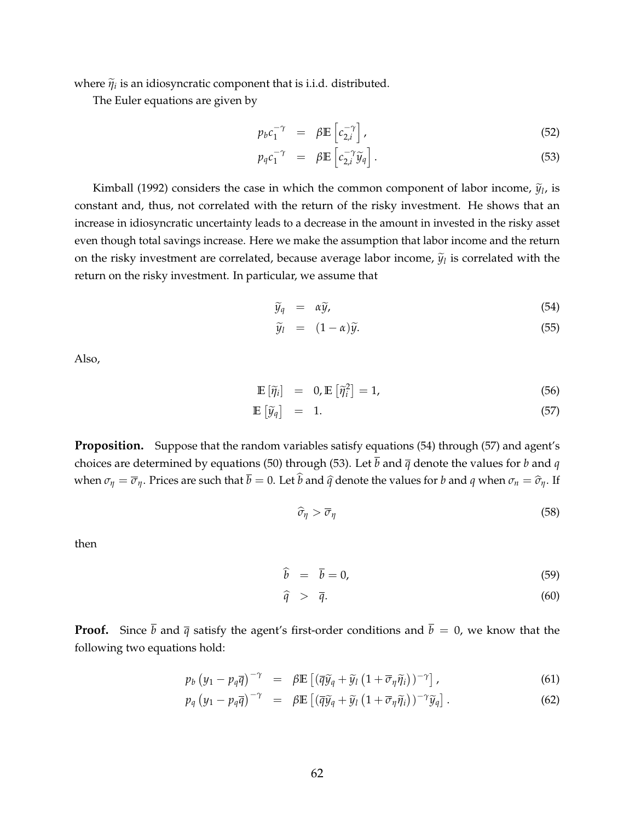where  $\tilde{\eta}_i$  is an idiosyncratic component that is i.i.d. distributed.

The Euler equations are given by

$$
p_b c_1^{-\gamma} = \beta \mathbb{E} \left[ c_{2,i}^{-\gamma} \right], \tag{52}
$$

$$
p_q c_1^{-\gamma} = \beta \mathbb{E} \left[ c_{2,i}^{-\gamma} \widetilde{y}_q \right]. \tag{53}
$$

Kimball (1992) considers the case in which the common component of labor income,  $\tilde{y}_l$ , is constant and, thus, not correlated with the return of the risky investment. He shows that an increase in idiosyncratic uncertainty leads to a decrease in the amount in invested in the risky asset even though total savings increase. Here we make the assumption that labor income and the return on the risky investment are correlated, because average labor income,  $\tilde{y}_l$  is correlated with the return on the risky investment. In particular, we assume that

$$
\widetilde{y}_q = \alpha \widetilde{y}, \tag{54}
$$

$$
\widetilde{y}_l = (1 - \alpha)\widetilde{y}.\tag{55}
$$

Also,

$$
\mathbb{E}\left[\tilde{\eta}_i\right] = 0, \mathbb{E}\left[\tilde{\eta}_i^2\right] = 1,\tag{56}
$$

$$
\mathbb{E}\left[\widetilde{y}_q\right] = 1. \tag{57}
$$

**Proposition.** Suppose that the random variables satisfy equations (54) through (57) and agent's choices are determined by equations (50) through (53). Let  $\overline{b}$  and  $\overline{q}$  denote the values for *b* and *q* when  $\sigma_{\eta} = \overline{\sigma}_{\eta}$ . Prices are such that  $\overline{b} = 0$ . Let  $\widehat{b}$  and  $\widehat{q}$  denote the values for *b* and *q* when  $\sigma_n = \widehat{\sigma}_{\eta}$ . If

$$
\widehat{\sigma}_{\eta} > \overline{\sigma}_{\eta} \tag{58}
$$

then

$$
\widehat{b} = \overline{b} = 0,\tag{59}
$$

$$
\widehat{q} > \overline{q}.\tag{60}
$$

**Proof.** Since  $\bar{b}$  and  $\bar{q}$  satisfy the agent's first-order conditions and  $\bar{b} = 0$ , we know that the following two equations hold:

$$
p_b \left( y_1 - p_q \overline{q} \right)^{-\gamma} = \beta \mathbb{E} \left[ \left( \overline{q} \widetilde{y}_q + \widetilde{y}_l \left( 1 + \overline{\sigma}_\eta \widetilde{\eta}_i \right) \right)^{-\gamma} \right], \tag{61}
$$

$$
p_q (y_1 - p_q \overline{q})^{-\gamma} = \beta \mathbb{E} \left[ (\overline{q} \widetilde{y}_q + \widetilde{y}_l (1 + \overline{\sigma}_\eta \widetilde{\eta}_l))^{-\gamma} \widetilde{y}_q \right]. \tag{62}
$$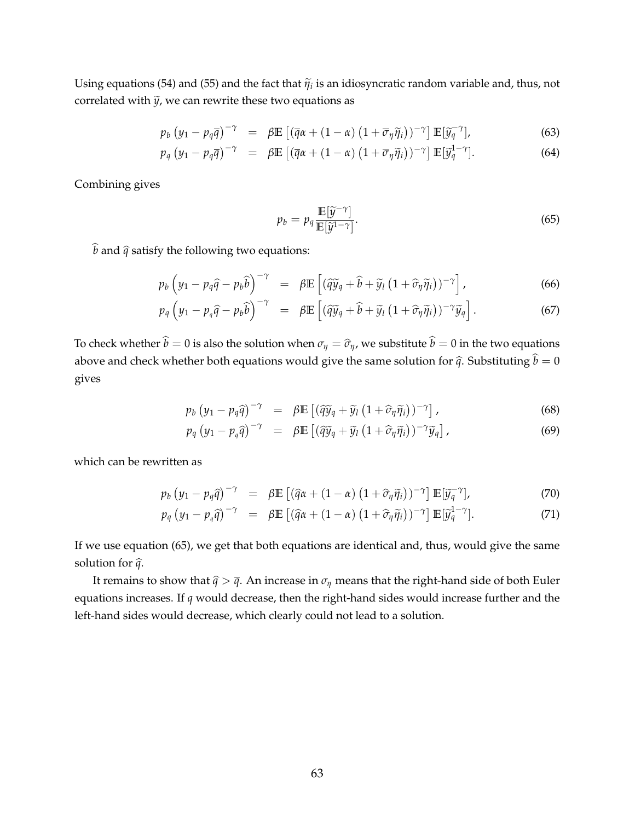Using equations (54) and (55) and the fact that  $\tilde{\eta}_i$  is an idiosyncratic random variable and, thus, not correlated with  $\tilde{y}$ , we can rewrite these two equations as

$$
p_b \left( y_1 - p_q \overline{q} \right)^{-\gamma} = \beta \mathbb{E} \left[ \left( \overline{q} \alpha + (1 - \alpha) \left( 1 + \overline{\sigma}_\eta \widetilde{\eta}_i \right) \right)^{-\gamma} \right] \mathbb{E} \left[ \widetilde{y}_q^{-\gamma} \right], \tag{63}
$$

$$
p_q (y_1 - p_q \overline{q})^{-\gamma} = \beta \mathbb{E} \left[ (\overline{q}\alpha + (1 - \alpha) (1 + \overline{\sigma}_\eta \widetilde{\eta}_i))^{-\gamma} \right] \mathbb{E}[\widetilde{y}_q^{1-\gamma}]. \tag{64}
$$

Combining gives

$$
p_b = p_q \frac{\mathbb{E}[\widetilde{y}^{-\gamma}]}{\mathbb{E}[\widetilde{y}^{1-\gamma}]}.
$$
\n(65)

 $\widehat{b}$  and  $\widehat{q}$  satisfy the following two equations:

$$
p_b \left( y_1 - p_q \hat{q} - p_b \hat{b} \right)^{-\gamma} = \beta \mathbb{E} \left[ (\hat{q} \tilde{y}_q + \hat{b} + \tilde{y}_l \left( 1 + \hat{\sigma}_\eta \tilde{\eta}_i \right))^{-\gamma} \right], \tag{66}
$$

$$
p_q\left(y_1-p_q\widehat{q}-p_b\widehat{b}\right)^{-\gamma} = \beta \mathbb{E}\left[\left(\widehat{q}\widetilde{y}_q+\widehat{b}+\widetilde{y}_l\left(1+\widehat{\sigma}_\eta\widetilde{\eta}_i\right)\right)^{-\gamma}\widetilde{y}_q\right].\tag{67}
$$

To check whether  $\hat{b} = 0$  is also the solution when  $\sigma_{\eta} = \hat{\sigma}_{\eta}$ , we substitute  $\hat{b} = 0$  in the two equations above and check whether both equations would give the same solution for  $\hat{q}$ . Substituting  $\hat{b} = 0$ gives

$$
p_b \left( y_1 - p_q \hat{q} \right)^{-\gamma} = \beta \mathbb{E} \left[ \left( \hat{q} \tilde{y}_q + \tilde{y}_l \left( 1 + \hat{\sigma}_\eta \tilde{\eta}_i \right) \right)^{-\gamma} \right], \tag{68}
$$

$$
p_q (y_1 - p_q \widehat{q})^{-\gamma} = \beta \mathbb{E} \left[ (\widehat{q} \widetilde{y}_q + \widetilde{y}_l (1 + \widehat{\sigma}_\eta \widetilde{\eta}_i))^{-\gamma} \widetilde{y}_q \right], \tag{69}
$$

which can be rewritten as

$$
p_b \left( y_1 - p_q \hat{q} \right)^{-\gamma} = \beta \mathbb{E} \left[ \left( \hat{q} \alpha + (1 - \alpha) \left( 1 + \hat{\sigma}_\eta \tilde{\eta}_i \right) \right)^{-\gamma} \right] \mathbb{E} \left[ \tilde{y}_q^{-\gamma} \right], \tag{70}
$$

$$
p_q (y_1 - p_q \hat{q})^{-\gamma} = \beta \mathbb{E} \left[ (\hat{q}\alpha + (1 - \alpha) (1 + \hat{\sigma}_\eta \tilde{\eta}_i))^{-\gamma} \right] \mathbb{E}[\tilde{y}_q^{1 - \gamma}]. \tag{71}
$$

If we use equation (65), we get that both equations are identical and, thus, would give the same solution for  $\hat{q}$ .

It remains to show that  $\hat{q} > \bar{q}$ . An increase in  $\sigma_{\eta}$  means that the right-hand side of both Euler equations increases. If *q* would decrease, then the right-hand sides would increase further and the left-hand sides would decrease, which clearly could not lead to a solution.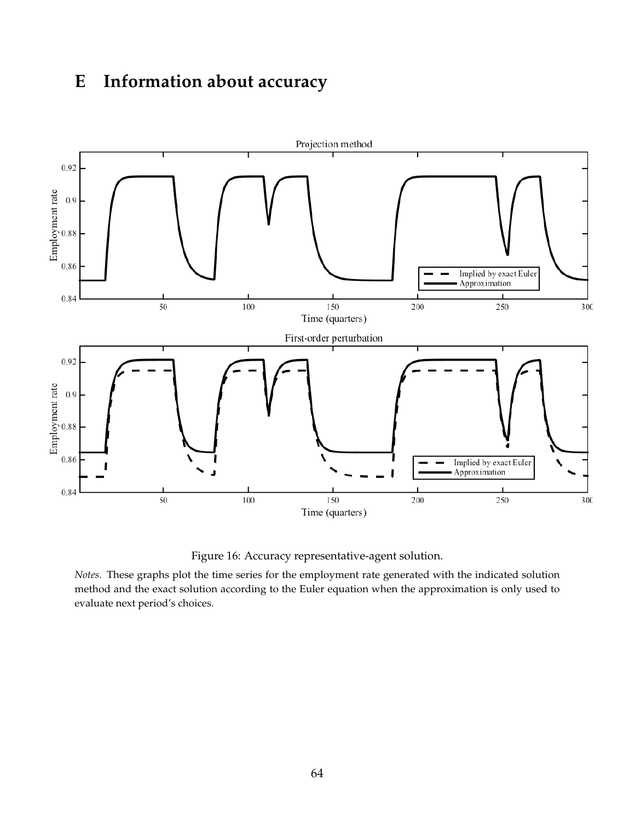# **E Information about accuracy**



Figure 16: Accuracy representative-agent solution.

*Notes.* These graphs plot the time series for the employment rate generated with the indicated solution method and the exact solution according to the Euler equation when the approximation is only used to evaluate next period's choices.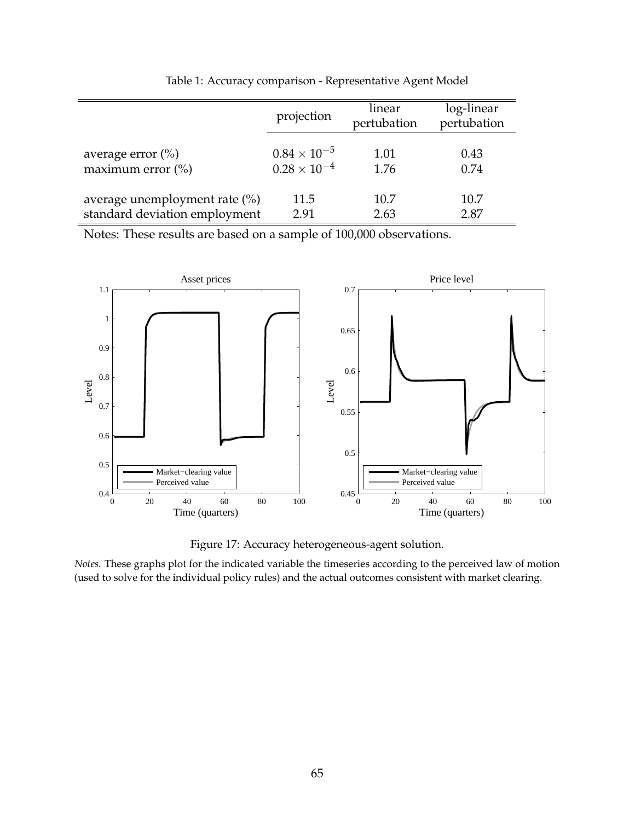|                                  | projection            | linear<br>pertubation | log-linear<br>pertubation |
|----------------------------------|-----------------------|-----------------------|---------------------------|
| average error $(\% )$            | $0.84 \times 10^{-5}$ | 1.01                  | 0.43                      |
| maximum error $\binom{0}{0}$     | $0.28 \times 10^{-4}$ | 1.76                  | 0.74                      |
| average unemployment rate $(\%)$ | 11.5                  | 10.7                  | 10.7                      |
| standard deviation employment    | 2.91                  | 2.63                  | 2.87                      |

Table 1: Accuracy comparison - Representative Agent Model

Notes: These results are based on a sample of 100,000 observations.



Figure 17: Accuracy heterogeneous-agent solution.

*Notes.* These graphs plot for the indicated variable the timeseries according to the perceived law of motion (used to solve for the individual policy rules) and the actual outcomes consistent with market clearing.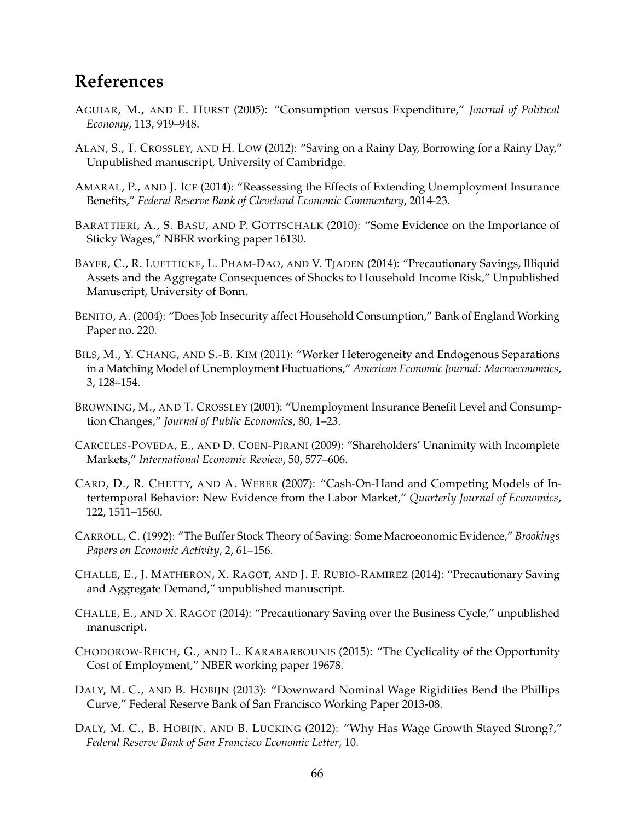# **References**

- AGUIAR, M., AND E. HURST (2005): "Consumption versus Expenditure," *Journal of Political Economy*, 113, 919–948.
- ALAN, S., T. CROSSLEY, AND H. LOW (2012): "Saving on a Rainy Day, Borrowing for a Rainy Day," Unpublished manuscript, University of Cambridge.
- AMARAL, P., AND J. ICE (2014): "Reassessing the Effects of Extending Unemployment Insurance Benefits," *Federal Reserve Bank of Cleveland Economic Commentary*, 2014-23.
- BARATTIERI, A., S. BASU, AND P. GOTTSCHALK (2010): "Some Evidence on the Importance of Sticky Wages," NBER working paper 16130.
- BAYER, C., R. LUETTICKE, L. PHAM-DAO, AND V. TJADEN (2014): "Precautionary Savings, Illiquid Assets and the Aggregate Consequences of Shocks to Household Income Risk," Unpublished Manuscript, University of Bonn.
- BENITO, A. (2004): "Does Job Insecurity affect Household Consumption," Bank of England Working Paper no. 220.
- BILS, M., Y. CHANG, AND S.-B. KIM (2011): "Worker Heterogeneity and Endogenous Separations in a Matching Model of Unemployment Fluctuations," *American Economic Journal: Macroeconomics*, 3, 128–154.
- BROWNING, M., AND T. CROSSLEY (2001): "Unemployment Insurance Benefit Level and Consumption Changes," *Journal of Public Economics*, 80, 1–23.
- CARCELES-POVEDA, E., AND D. COEN-PIRANI (2009): "Shareholders' Unanimity with Incomplete Markets," *International Economic Review*, 50, 577–606.
- CARD, D., R. CHETTY, AND A. WEBER (2007): "Cash-On-Hand and Competing Models of Intertemporal Behavior: New Evidence from the Labor Market," *Quarterly Journal of Economics*, 122, 1511–1560.
- CARROLL, C. (1992): "The Buffer Stock Theory of Saving: Some Macroeonomic Evidence," *Brookings Papers on Economic Activity*, 2, 61–156.
- CHALLE, E., J. MATHERON, X. RAGOT, AND J. F. RUBIO-RAMIREZ (2014): "Precautionary Saving and Aggregate Demand," unpublished manuscript.
- CHALLE, E., AND X. RAGOT (2014): "Precautionary Saving over the Business Cycle," unpublished manuscript.
- CHODOROW-REICH, G., AND L. KARABARBOUNIS (2015): "The Cyclicality of the Opportunity Cost of Employment," NBER working paper 19678.
- DALY, M. C., AND B. HOBIJN (2013): "Downward Nominal Wage Rigidities Bend the Phillips Curve," Federal Reserve Bank of San Francisco Working Paper 2013-08.
- DALY, M. C., B. HOBIJN, AND B. LUCKING (2012): "Why Has Wage Growth Stayed Strong?," *Federal Reserve Bank of San Francisco Economic Letter*, 10.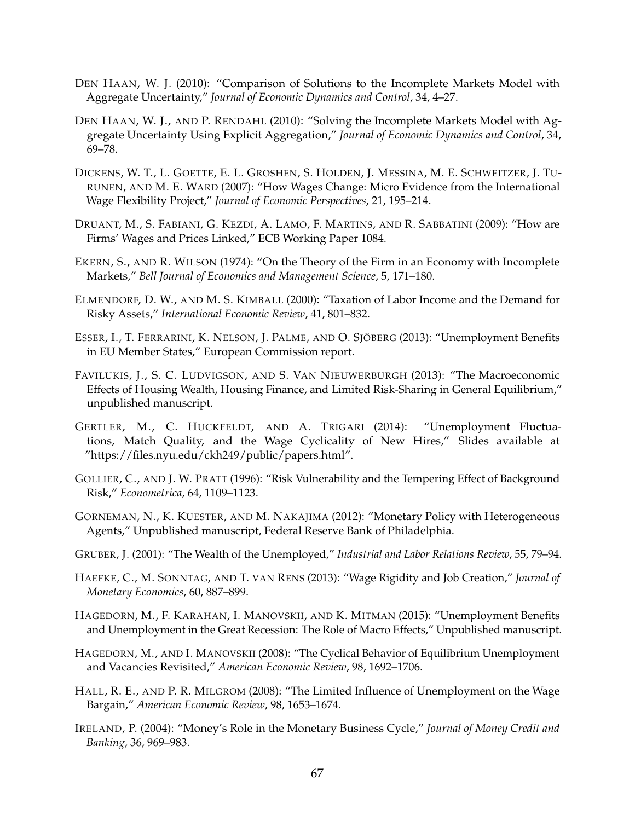- DEN HAAN, W. J. (2010): "Comparison of Solutions to the Incomplete Markets Model with Aggregate Uncertainty," *Journal of Economic Dynamics and Control*, 34, 4–27.
- DEN HAAN, W. J., AND P. RENDAHL (2010): "Solving the Incomplete Markets Model with Aggregate Uncertainty Using Explicit Aggregation," *Journal of Economic Dynamics and Control*, 34, 69–78.
- DICKENS, W. T., L. GOETTE, E. L. GROSHEN, S. HOLDEN, J. MESSINA, M. E. SCHWEITZER, J. TU-RUNEN, AND M. E. WARD (2007): "How Wages Change: Micro Evidence from the International Wage Flexibility Project," *Journal of Economic Perspectives*, 21, 195–214.
- DRUANT, M., S. FABIANI, G. KEZDI, A. LAMO, F. MARTINS, AND R. SABBATINI (2009): "How are Firms' Wages and Prices Linked," ECB Working Paper 1084.
- EKERN, S., AND R. WILSON (1974): "On the Theory of the Firm in an Economy with Incomplete Markets," *Bell Journal of Economics and Management Science*, 5, 171–180.
- ELMENDORF, D. W., AND M. S. KIMBALL (2000): "Taxation of Labor Income and the Demand for Risky Assets," *International Economic Review*, 41, 801–832.
- ESSER, I., T. FERRARINI, K. NELSON, J. PALME, AND O. SJÖBERG (2013): "Unemployment Benefits in EU Member States," European Commission report.
- FAVILUKIS, J., S. C. LUDVIGSON, AND S. VAN NIEUWERBURGH (2013): "The Macroeconomic Effects of Housing Wealth, Housing Finance, and Limited Risk-Sharing in General Equilibrium," unpublished manuscript.
- GERTLER, M., C. HUCKFELDT, AND A. TRIGARI (2014): "Unemployment Fluctuations, Match Quality, and the Wage Cyclicality of New Hires," Slides available at "https://files.nyu.edu/ckh249/public/papers.html".
- GOLLIER, C., AND J. W. PRATT (1996): "Risk Vulnerability and the Tempering Effect of Background Risk," *Econometrica*, 64, 1109–1123.
- GORNEMAN, N., K. KUESTER, AND M. NAKAJIMA (2012): "Monetary Policy with Heterogeneous Agents," Unpublished manuscript, Federal Reserve Bank of Philadelphia.
- GRUBER, J. (2001): "The Wealth of the Unemployed," *Industrial and Labor Relations Review*, 55, 79–94.
- HAEFKE, C., M. SONNTAG, AND T. VAN RENS (2013): "Wage Rigidity and Job Creation," *Journal of Monetary Economics*, 60, 887–899.
- HAGEDORN, M., F. KARAHAN, I. MANOVSKII, AND K. MITMAN (2015): "Unemployment Benefits and Unemployment in the Great Recession: The Role of Macro Effects," Unpublished manuscript.
- HAGEDORN, M., AND I. MANOVSKII (2008): "The Cyclical Behavior of Equilibrium Unemployment and Vacancies Revisited," *American Economic Review*, 98, 1692–1706.
- HALL, R. E., AND P. R. MILGROM (2008): "The Limited Influence of Unemployment on the Wage Bargain," *American Economic Review*, 98, 1653–1674.
- IRELAND, P. (2004): "Money's Role in the Monetary Business Cycle," *Journal of Money Credit and Banking*, 36, 969–983.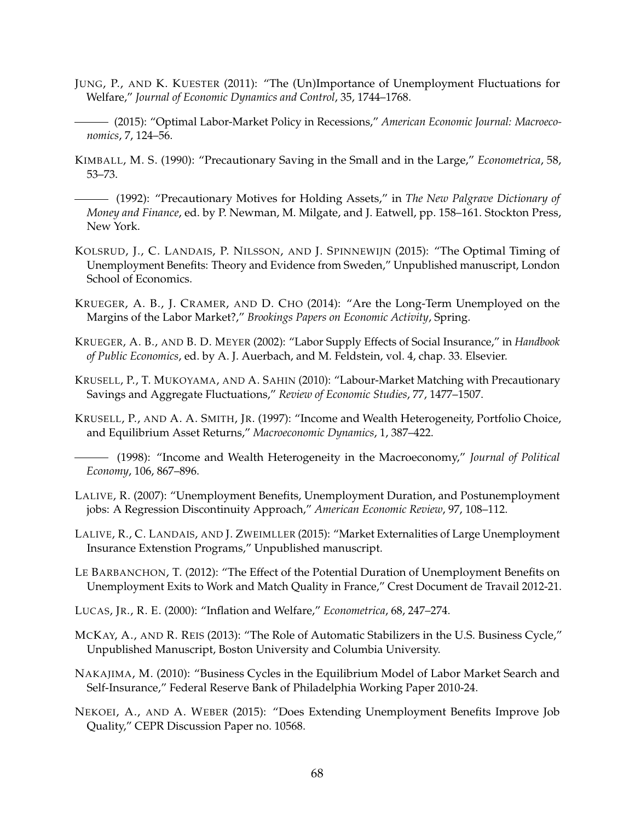- JUNG, P., AND K. KUESTER (2011): "The (Un)Importance of Unemployment Fluctuations for Welfare," *Journal of Economic Dynamics and Control*, 35, 1744–1768.
- (2015): "Optimal Labor-Market Policy in Recessions," *American Economic Journal: Macroeconomics*, 7, 124–56.
- KIMBALL, M. S. (1990): "Precautionary Saving in the Small and in the Large," *Econometrica*, 58, 53–73.

(1992): "Precautionary Motives for Holding Assets," in *The New Palgrave Dictionary of Money and Finance*, ed. by P. Newman, M. Milgate, and J. Eatwell, pp. 158–161. Stockton Press, New York.

- KOLSRUD, J., C. LANDAIS, P. NILSSON, AND J. SPINNEWIJN (2015): "The Optimal Timing of Unemployment Benefits: Theory and Evidence from Sweden," Unpublished manuscript, London School of Economics.
- KRUEGER, A. B., J. CRAMER, AND D. CHO (2014): "Are the Long-Term Unemployed on the Margins of the Labor Market?," *Brookings Papers on Economic Activity*, Spring.
- KRUEGER, A. B., AND B. D. MEYER (2002): "Labor Supply Effects of Social Insurance," in *Handbook of Public Economics*, ed. by A. J. Auerbach, and M. Feldstein, vol. 4, chap. 33. Elsevier.
- KRUSELL, P., T. MUKOYAMA, AND A. SAHIN (2010): "Labour-Market Matching with Precautionary Savings and Aggregate Fluctuations," *Review of Economic Studies*, 77, 1477–1507.
- KRUSELL, P., AND A. A. SMITH, JR. (1997): "Income and Wealth Heterogeneity, Portfolio Choice, and Equilibrium Asset Returns," *Macroeconomic Dynamics*, 1, 387–422.
- (1998): "Income and Wealth Heterogeneity in the Macroeconomy," *Journal of Political Economy*, 106, 867–896.
- LALIVE, R. (2007): "Unemployment Benefits, Unemployment Duration, and Postunemployment jobs: A Regression Discontinuity Approach," *American Economic Review*, 97, 108–112.
- LALIVE, R., C. LANDAIS, AND J. ZWEIMLLER (2015): "Market Externalities of Large Unemployment Insurance Extenstion Programs," Unpublished manuscript.
- LE BARBANCHON, T. (2012): "The Effect of the Potential Duration of Unemployment Benefits on Unemployment Exits to Work and Match Quality in France," Crest Document de Travail 2012-21.
- LUCAS, JR., R. E. (2000): "Inflation and Welfare," *Econometrica*, 68, 247–274.
- MCKAY, A., AND R. REIS (2013): "The Role of Automatic Stabilizers in the U.S. Business Cycle," Unpublished Manuscript, Boston University and Columbia University.
- NAKAJIMA, M. (2010): "Business Cycles in the Equilibrium Model of Labor Market Search and Self-Insurance," Federal Reserve Bank of Philadelphia Working Paper 2010-24.
- NEKOEI, A., AND A. WEBER (2015): "Does Extending Unemployment Benefits Improve Job Quality," CEPR Discussion Paper no. 10568.